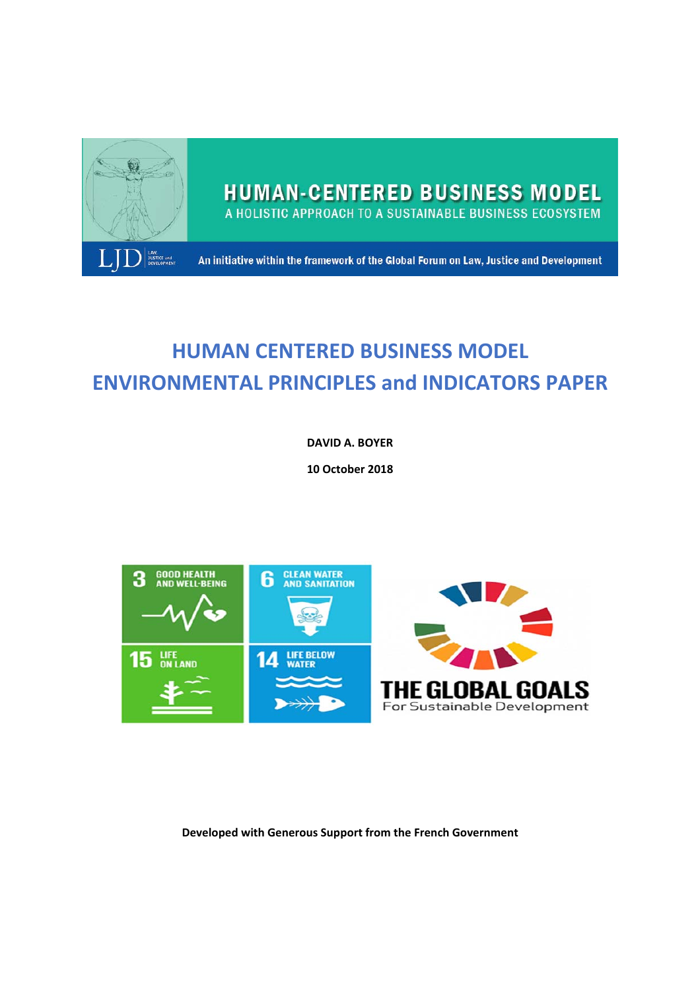

# **HUMAN CENTERED BUSINESS MODEL ENVIRONMENTAL PRINCIPLES and INDICATORS PAPER**

**DAVID A. BOYER** 

**10 October 2018** 



**Developed with Generous Support from the French Government**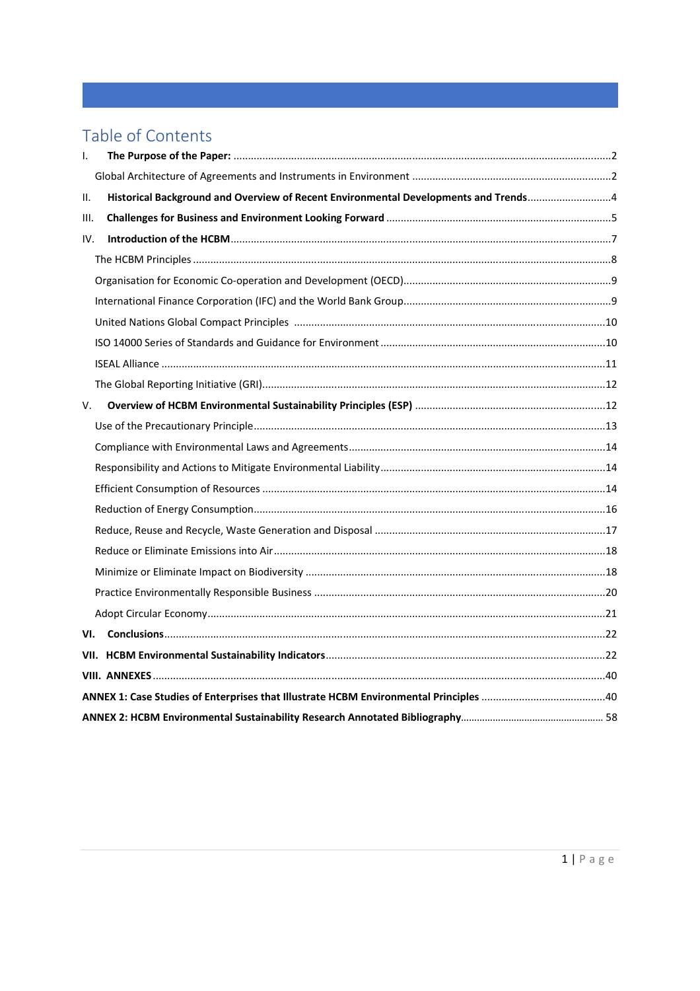# Table of Contents

| $\mathsf{L}$ |                                                                                     |  |  |  |  |  |
|--------------|-------------------------------------------------------------------------------------|--|--|--|--|--|
|              |                                                                                     |  |  |  |  |  |
| ΙΙ.          | Historical Background and Overview of Recent Environmental Developments and Trends4 |  |  |  |  |  |
| III.         |                                                                                     |  |  |  |  |  |
| IV.          |                                                                                     |  |  |  |  |  |
|              |                                                                                     |  |  |  |  |  |
|              |                                                                                     |  |  |  |  |  |
|              |                                                                                     |  |  |  |  |  |
|              |                                                                                     |  |  |  |  |  |
|              |                                                                                     |  |  |  |  |  |
|              |                                                                                     |  |  |  |  |  |
|              |                                                                                     |  |  |  |  |  |
| V.           |                                                                                     |  |  |  |  |  |
|              |                                                                                     |  |  |  |  |  |
|              |                                                                                     |  |  |  |  |  |
|              |                                                                                     |  |  |  |  |  |
|              |                                                                                     |  |  |  |  |  |
|              |                                                                                     |  |  |  |  |  |
|              |                                                                                     |  |  |  |  |  |
|              |                                                                                     |  |  |  |  |  |
|              |                                                                                     |  |  |  |  |  |
|              |                                                                                     |  |  |  |  |  |
|              |                                                                                     |  |  |  |  |  |
| VI.          |                                                                                     |  |  |  |  |  |
|              |                                                                                     |  |  |  |  |  |
|              |                                                                                     |  |  |  |  |  |
|              |                                                                                     |  |  |  |  |  |
|              |                                                                                     |  |  |  |  |  |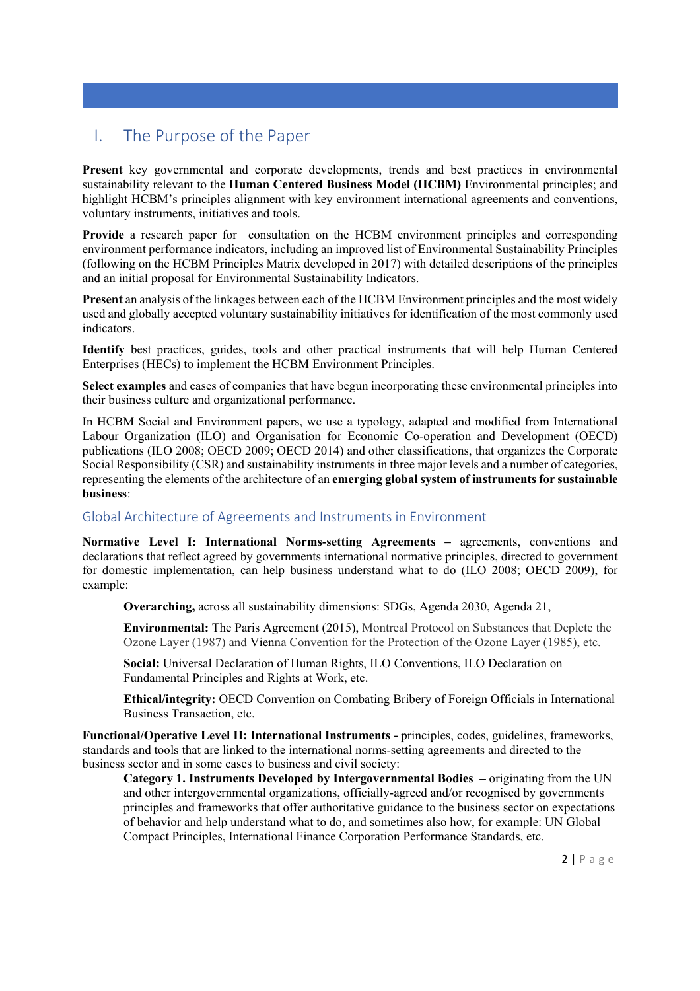# I. The Purpose of the Paper

**Present** key governmental and corporate developments, trends and best practices in environmental sustainability relevant to the **Human Centered Business Model (HCBM)** Environmental principles; and highlight HCBM's principles alignment with key environment international agreements and conventions, voluntary instruments, initiatives and tools.

**Provide** a research paper for consultation on the HCBM environment principles and corresponding environment performance indicators, including an improved list of Environmental Sustainability Principles (following on the HCBM Principles Matrix developed in 2017) with detailed descriptions of the principles and an initial proposal for Environmental Sustainability Indicators.

**Present** an analysis of the linkages between each of the HCBM Environment principles and the most widely used and globally accepted voluntary sustainability initiatives for identification of the most commonly used indicators.

**Identify** best practices, guides, tools and other practical instruments that will help Human Centered Enterprises (HECs) to implement the HCBM Environment Principles.

**Select examples** and cases of companies that have begun incorporating these environmental principles into their business culture and organizational performance.

In HCBM Social and Environment papers, we use a typology, adapted and modified from International Labour Organization (ILO) and Organisation for Economic Co-operation and Development (OECD) publications (ILO 2008; OECD 2009; OECD 2014) and other classifications, that organizes the Corporate Social Responsibility (CSR) and sustainability instruments in three major levels and a number of categories, representing the elements of the architecture of an **emerging global system of instruments for sustainable business**:

# Global Architecture of Agreements and Instruments in Environment

**Normative Level I: International Norms-setting Agreements –** agreements, conventions and declarations that reflect agreed by governments international normative principles, directed to government for domestic implementation, can help business understand what to do (ILO 2008; OECD 2009), for example:

**Overarching,** across all sustainability dimensions: SDGs, Agenda 2030, Agenda 21,

**Environmental:** The Paris Agreement (2015), Montreal Protocol on Substances that Deplete the Ozone Layer (1987) and Vienna Convention for the Protection of the Ozone Layer (1985), etc.

**Social:** Universal Declaration of Human Rights, ILO Conventions, ILO Declaration on Fundamental Principles and Rights at Work, etc.

**Ethical/integrity:** OECD Convention on Combating Bribery of Foreign Officials in International Business Transaction, etc.

**Functional/Operative Level II: International Instruments - principles, codes, guidelines, frameworks,** standards and tools that are linked to the international norms-setting agreements and directed to the business sector and in some cases to business and civil society:

Category 1. Instruments Developed by Intergovernmental Bodies – originating from the UN and other intergovernmental organizations, officially-agreed and/or recognised by governments principles and frameworks that offer authoritative guidance to the business sector on expectations of behavior and help understand what to do, and sometimes also how, for example: UN Global Compact Principles, International Finance Corporation Performance Standards, etc.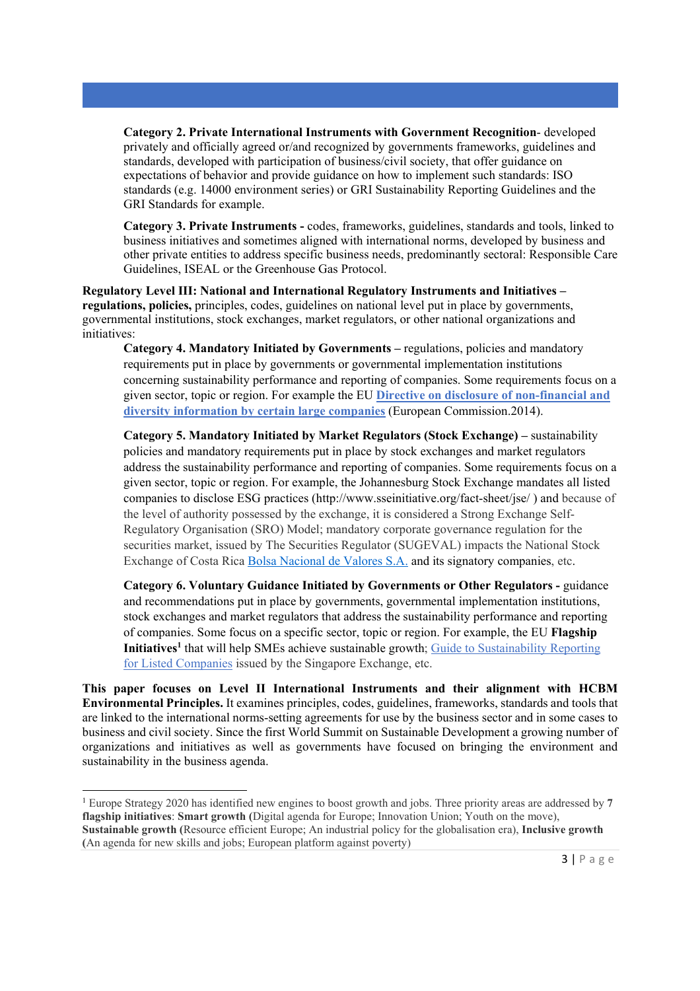**Category 2. Private International Instruments with Government Recognition**- developed privately and officially agreed or/and recognized by governments frameworks, guidelines and standards, developed with participation of business/civil society, that offer guidance on expectations of behavior and provide guidance on how to implement such standards: ISO standards (e.g. 14000 environment series) or GRI Sustainability Reporting Guidelines and the GRI Standards for example.

**Category 3. Private Instruments -** codes, frameworks, guidelines, standards and tools, linked to business initiatives and sometimes aligned with international norms, developed by business and other private entities to address specific business needs, predominantly sectoral: Responsible Care Guidelines, ISEAL or the Greenhouse Gas Protocol.

**Regulatory Level III: National and International Regulatory Instruments and Initiatives – regulations, policies,** principles, codes, guidelines on national level put in place by governments, governmental institutions, stock exchanges, market regulators, or other national organizations and initiatives:

**Category 4. Mandatory Initiated by Governments –** regulations, policies and mandatory requirements put in place by governments or governmental implementation institutions concerning sustainability performance and reporting of companies. Some requirements focus on a given sector, topic or region. For example the EU **Directive on disclosure of non-financial and diversity information by certain large companies** (European Commission.2014).

**Category 5. Mandatory Initiated by Market Regulators (Stock Exchange) –** sustainability policies and mandatory requirements put in place by stock exchanges and market regulators address the sustainability performance and reporting of companies. Some requirements focus on a given sector, topic or region. For example, the Johannesburg Stock Exchange mandates all listed companies to disclose ESG practices (http://www.sseinitiative.org/fact-sheet/jse/ ) and because of the level of authority possessed by the exchange, it is considered a Strong Exchange Self-Regulatory Organisation (SRO) Model; mandatory corporate governance regulation for the securities market, issued by The Securities Regulator (SUGEVAL) impacts the National Stock Exchange of Costa Rica Bolsa Nacional de Valores S.A. and its signatory companies, etc.

**Category 6. Voluntary Guidance Initiated by Governments or Other Regulators -** guidance and recommendations put in place by governments, governmental implementation institutions, stock exchanges and market regulators that address the sustainability performance and reporting of companies. Some focus on a specific sector, topic or region. For example, the EU **Flagship Initiatives<sup>1</sup>** that will help SMEs achieve sustainable growth; Guide to Sustainability Reporting for Listed Companies issued by the Singapore Exchange, etc.

**This paper focuses on Level II International Instruments and their alignment with HCBM Environmental Principles.** It examines principles, codes, guidelines, frameworks, standards and tools that are linked to the international norms-setting agreements for use by the business sector and in some cases to business and civil society. Since the first World Summit on Sustainable Development a growing number of organizations and initiatives as well as governments have focused on bringing the environment and sustainability in the business agenda.

<sup>1</sup> Europe Strategy 2020 has identified new engines to boost growth and jobs. Three priority areas are addressed by **7 flagship initiatives**: **Smart growth (**Digital agenda for Europe; Innovation Union; Youth on the move), **Sustainable growth (**Resource efficient Europe; An industrial policy for the globalisation era), **Inclusive growth (**An agenda for new skills and jobs; European platform against poverty)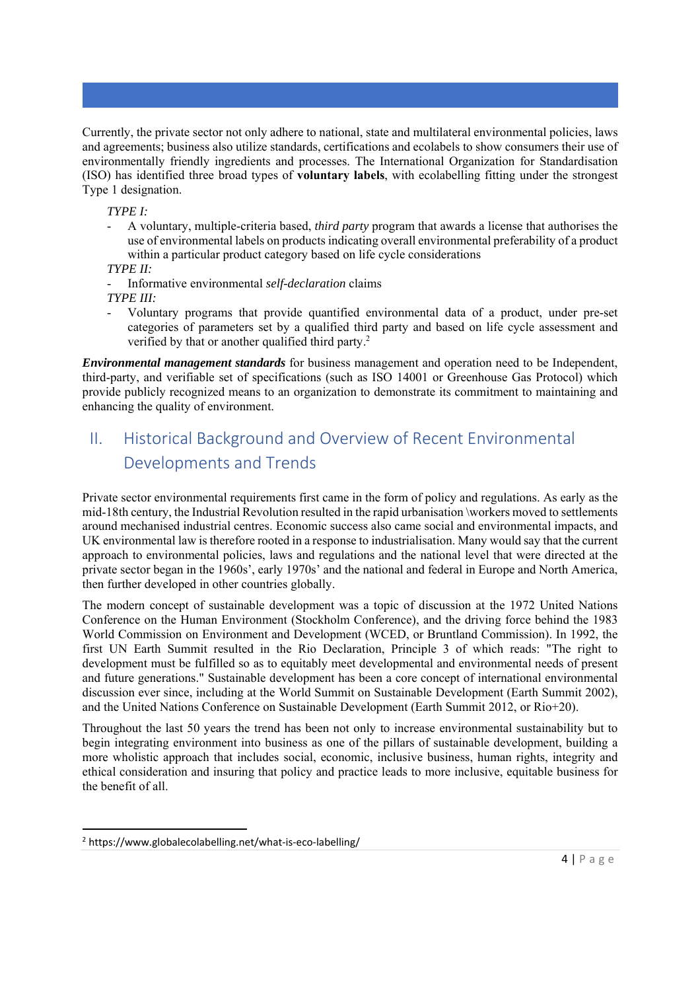Currently, the private sector not only adhere to national, state and multilateral environmental policies, laws and agreements; business also utilize standards, certifications and ecolabels to show consumers their use of environmentally friendly ingredients and processes. The International Organization for Standardisation (ISO) has identified three broad types of **voluntary labels**, with ecolabelling fitting under the strongest Type 1 designation.

*TYPE I:* 

- A voluntary, multiple-criteria based, *third party* program that awards a license that authorises the use of environmental labels on products indicating overall environmental preferability of a product within a particular product category based on life cycle considerations

*TYPE II:* 

- Informative environmental *self-declaration* claims *TYPE III:* 

- Voluntary programs that provide quantified environmental data of a product, under pre-set categories of parameters set by a qualified third party and based on life cycle assessment and verified by that or another qualified third party.<sup>2</sup>

*Environmental management standards* for business management and operation need to be Independent, third-party, and verifiable set of specifications (such as ISO 14001 or Greenhouse Gas Protocol) which provide publicly recognized means to an organization to demonstrate its commitment to maintaining and enhancing the quality of environment.

# II. Historical Background and Overview of Recent Environmental Developments and Trends

Private sector environmental requirements first came in the form of policy and regulations. As early as the mid-18th century, the Industrial Revolution resulted in the rapid urbanisation \workers moved to settlements around mechanised industrial centres. Economic success also came social and environmental impacts, and UK environmental law is therefore rooted in a response to industrialisation. Many would say that the current approach to environmental policies, laws and regulations and the national level that were directed at the private sector began in the 1960s', early 1970s' and the national and federal in Europe and North America, then further developed in other countries globally.

The modern concept of sustainable development was a topic of discussion at the 1972 United Nations Conference on the Human Environment (Stockholm Conference), and the driving force behind the 1983 World Commission on Environment and Development (WCED, or Bruntland Commission). In 1992, the first UN Earth Summit resulted in the Rio Declaration, Principle 3 of which reads: "The right to development must be fulfilled so as to equitably meet developmental and environmental needs of present and future generations." Sustainable development has been a core concept of international environmental discussion ever since, including at the World Summit on Sustainable Development (Earth Summit 2002), and the United Nations Conference on Sustainable Development (Earth Summit 2012, or Rio+20).

Throughout the last 50 years the trend has been not only to increase environmental sustainability but to begin integrating environment into business as one of the pillars of sustainable development, building a more wholistic approach that includes social, economic, inclusive business, human rights, integrity and ethical consideration and insuring that policy and practice leads to more inclusive, equitable business for the benefit of all.

<sup>2</sup> https://www.globalecolabelling.net/what‐is‐eco‐labelling/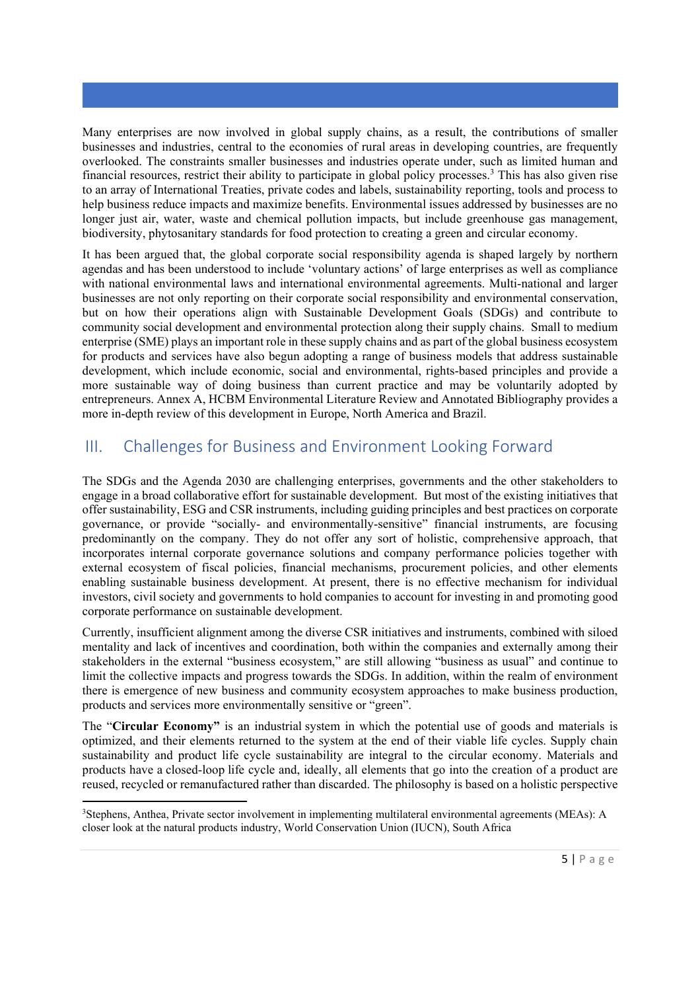Many enterprises are now involved in global supply chains, as a result, the contributions of smaller businesses and industries, central to the economies of rural areas in developing countries, are frequently overlooked. The constraints smaller businesses and industries operate under, such as limited human and financial resources, restrict their ability to participate in global policy processes.<sup>3</sup> This has also given rise to an array of International Treaties, private codes and labels, sustainability reporting, tools and process to help business reduce impacts and maximize benefits. Environmental issues addressed by businesses are no longer just air, water, waste and chemical pollution impacts, but include greenhouse gas management, biodiversity, phytosanitary standards for food protection to creating a green and circular economy.

It has been argued that, the global corporate social responsibility agenda is shaped largely by northern agendas and has been understood to include 'voluntary actions' of large enterprises as well as compliance with national environmental laws and international environmental agreements. Multi-national and larger businesses are not only reporting on their corporate social responsibility and environmental conservation, but on how their operations align with Sustainable Development Goals (SDGs) and contribute to community social development and environmental protection along their supply chains. Small to medium enterprise (SME) plays an important role in these supply chains and as part of the global business ecosystem for products and services have also begun adopting a range of business models that address sustainable development, which include economic, social and environmental, rights-based principles and provide a more sustainable way of doing business than current practice and may be voluntarily adopted by entrepreneurs. Annex A, HCBM Environmental Literature Review and Annotated Bibliography provides a more in-depth review of this development in Europe, North America and Brazil.

# III. Challenges for Business and Environment Looking Forward

The SDGs and the Agenda 2030 are challenging enterprises, governments and the other stakeholders to engage in a broad collaborative effort for sustainable development. But most of the existing initiatives that offer sustainability, ESG and CSR instruments, including guiding principles and best practices on corporate governance, or provide "socially- and environmentally-sensitive" financial instruments, are focusing predominantly on the company. They do not offer any sort of holistic, comprehensive approach, that incorporates internal corporate governance solutions and company performance policies together with external ecosystem of fiscal policies, financial mechanisms, procurement policies, and other elements enabling sustainable business development. At present, there is no effective mechanism for individual investors, civil society and governments to hold companies to account for investing in and promoting good corporate performance on sustainable development.

Currently, insufficient alignment among the diverse CSR initiatives and instruments, combined with siloed mentality and lack of incentives and coordination, both within the companies and externally among their stakeholders in the external "business ecosystem," are still allowing "business as usual" and continue to limit the collective impacts and progress towards the SDGs. In addition, within the realm of environment there is emergence of new business and community ecosystem approaches to make business production, products and services more environmentally sensitive or "green".

The "**Circular Economy"** is an industrial system in which the potential use of goods and materials is optimized, and their elements returned to the system at the end of their viable life cycles. Supply chain sustainability and product life cycle sustainability are integral to the circular economy. Materials and products have a closed-loop life cycle and, ideally, all elements that go into the creation of a product are reused, recycled or remanufactured rather than discarded. The philosophy is based on a holistic perspective

<sup>3</sup> Stephens, Anthea, Private sector involvement in implementing multilateral environmental agreements (MEAs): A closer look at the natural products industry, World Conservation Union (IUCN), South Africa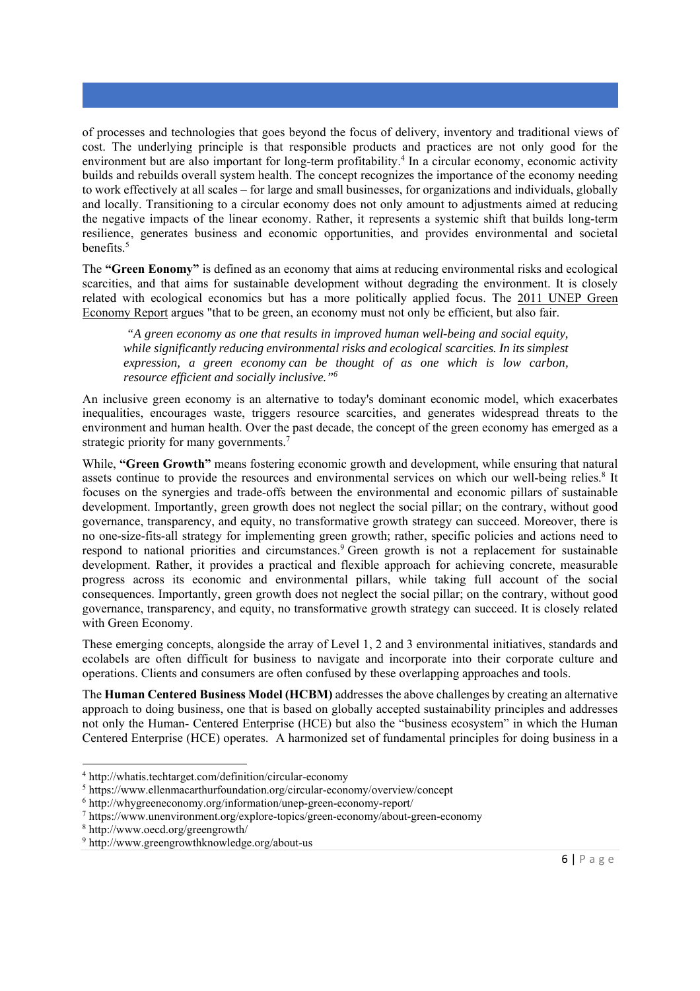of processes and technologies that goes beyond the focus of delivery, inventory and traditional views of cost. The underlying principle is that responsible products and practices are not only good for the environment but are also important for long-term profitability.<sup>4</sup> In a circular economy, economic activity builds and rebuilds overall system health. The concept recognizes the importance of the economy needing to work effectively at all scales – for large and small businesses, for organizations and individuals, globally and locally. Transitioning to a circular economy does not only amount to adjustments aimed at reducing the negative impacts of the linear economy. Rather, it represents a systemic shift that builds long-term resilience, generates business and economic opportunities, and provides environmental and societal benefits.5

The **"Green Eonomy"** is defined as an economy that aims at reducing environmental risks and ecological scarcities, and that aims for sustainable development without degrading the environment. It is closely related with ecological economics but has a more politically applied focus. The 2011 UNEP Green Economy Report argues "that to be green, an economy must not only be efficient, but also fair.

 *"A green economy as one that results in improved human well-being and social equity, while significantly reducing environmental risks and ecological scarcities. In its simplest expression, a green economy can be thought of as one which is low carbon, resource efficient and socially inclusive."6*

An inclusive green economy is an alternative to today's dominant economic model, which exacerbates inequalities, encourages waste, triggers resource scarcities, and generates widespread threats to the environment and human health. Over the past decade, the concept of the green economy has emerged as a strategic priority for many governments.<sup>7</sup>

While, **"Green Growth"** means fostering economic growth and development, while ensuring that natural assets continue to provide the resources and environmental services on which our well-being relies.<sup>8</sup> It focuses on the synergies and trade-offs between the environmental and economic pillars of sustainable development. Importantly, green growth does not neglect the social pillar; on the contrary, without good governance, transparency, and equity, no transformative growth strategy can succeed. Moreover, there is no one-size-fits-all strategy for implementing green growth; rather, specific policies and actions need to respond to national priorities and circumstances.<sup>9</sup> Green growth is not a replacement for sustainable development. Rather, it provides a practical and flexible approach for achieving concrete, measurable progress across its economic and environmental pillars, while taking full account of the social consequences. Importantly, green growth does not neglect the social pillar; on the contrary, without good governance, transparency, and equity, no transformative growth strategy can succeed. It is closely related with Green Economy.

These emerging concepts, alongside the array of Level 1, 2 and 3 environmental initiatives, standards and ecolabels are often difficult for business to navigate and incorporate into their corporate culture and operations. Clients and consumers are often confused by these overlapping approaches and tools.

The **Human Centered Business Model (HCBM)** addresses the above challenges by creating an alternative approach to doing business, one that is based on globally accepted sustainability principles and addresses not only the Human- Centered Enterprise (HCE) but also the "business ecosystem" in which the Human Centered Enterprise (HCE) operates. A harmonized set of fundamental principles for doing business in a

<sup>4</sup> http://whatis.techtarget.com/definition/circular-economy

<sup>&</sup>lt;sup>5</sup> https://www.ellenmacarthurfoundation.org/circular-economy/overview/concept  $\frac{6 \text{ htr} \cdot}{2}$ 

 $6$  http://whygreeneconomy.org/information/unep-green-economy-report/

https://www.unenvironment.org/explore-topics/green-economy/about-green-economy

<sup>8</sup> http://www.oecd.org/greengrowth/

<sup>9</sup> http://www.greengrowthknowledge.org/about-us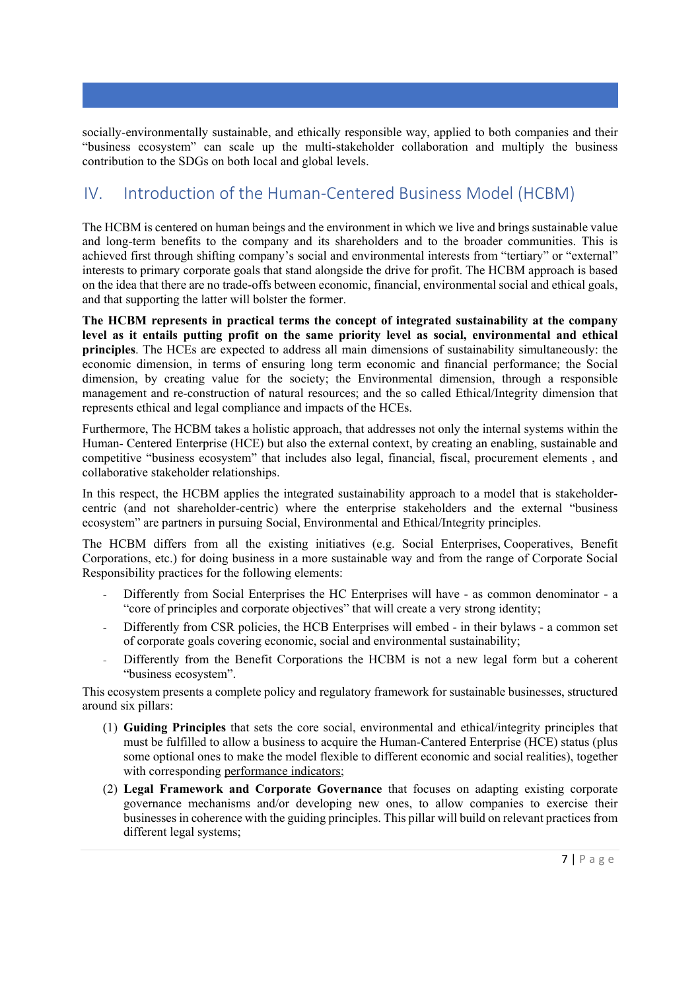socially-environmentally sustainable, and ethically responsible way, applied to both companies and their "business ecosystem" can scale up the multi-stakeholder collaboration and multiply the business contribution to the SDGs on both local and global levels.

# IV. Introduction of the Human‐Centered Business Model (HCBM)

The HCBM is centered on human beings and the environment in which we live and brings sustainable value and long-term benefits to the company and its shareholders and to the broader communities. This is achieved first through shifting company's social and environmental interests from "tertiary" or "external" interests to primary corporate goals that stand alongside the drive for profit. The HCBM approach is based on the idea that there are no trade-offs between economic, financial, environmental social and ethical goals, and that supporting the latter will bolster the former.

**The HCBM represents in practical terms the concept of integrated sustainability at the company level as it entails putting profit on the same priority level as social, environmental and ethical principles**. The HCEs are expected to address all main dimensions of sustainability simultaneously: the economic dimension, in terms of ensuring long term economic and financial performance; the Social dimension, by creating value for the society; the Environmental dimension, through a responsible management and re-construction of natural resources; and the so called Ethical/Integrity dimension that represents ethical and legal compliance and impacts of the HCEs.

Furthermore, The HCBM takes a holistic approach, that addresses not only the internal systems within the Human- Centered Enterprise (HCE) but also the external context, by creating an enabling, sustainable and competitive "business ecosystem" that includes also legal, financial, fiscal, procurement elements , and collaborative stakeholder relationships.

In this respect, the HCBM applies the integrated sustainability approach to a model that is stakeholdercentric (and not shareholder-centric) where the enterprise stakeholders and the external "business ecosystem" are partners in pursuing Social, Environmental and Ethical/Integrity principles.

The HCBM differs from all the existing initiatives (e.g. Social Enterprises, Cooperatives, Benefit Corporations, etc.) for doing business in a more sustainable way and from the range of Corporate Social Responsibility practices for the following elements:

- Differently from Social Enterprises the HC Enterprises will have as common denominator a "core of principles and corporate objectives" that will create a very strong identity;
- Differently from CSR policies, the HCB Enterprises will embed in their bylaws a common set of corporate goals covering economic, social and environmental sustainability;
- Differently from the Benefit Corporations the HCBM is not a new legal form but a coherent "business ecosystem".

This ecosystem presents a complete policy and regulatory framework for sustainable businesses, structured around six pillars:

- (1) **Guiding Principles** that sets the core social, environmental and ethical/integrity principles that must be fulfilled to allow a business to acquire the Human-Cantered Enterprise (HCE) status (plus some optional ones to make the model flexible to different economic and social realities), together with corresponding performance indicators;
- (2) **Legal Framework and Corporate Governance** that focuses on adapting existing corporate governance mechanisms and/or developing new ones, to allow companies to exercise their businesses in coherence with the guiding principles. This pillar will build on relevant practices from different legal systems;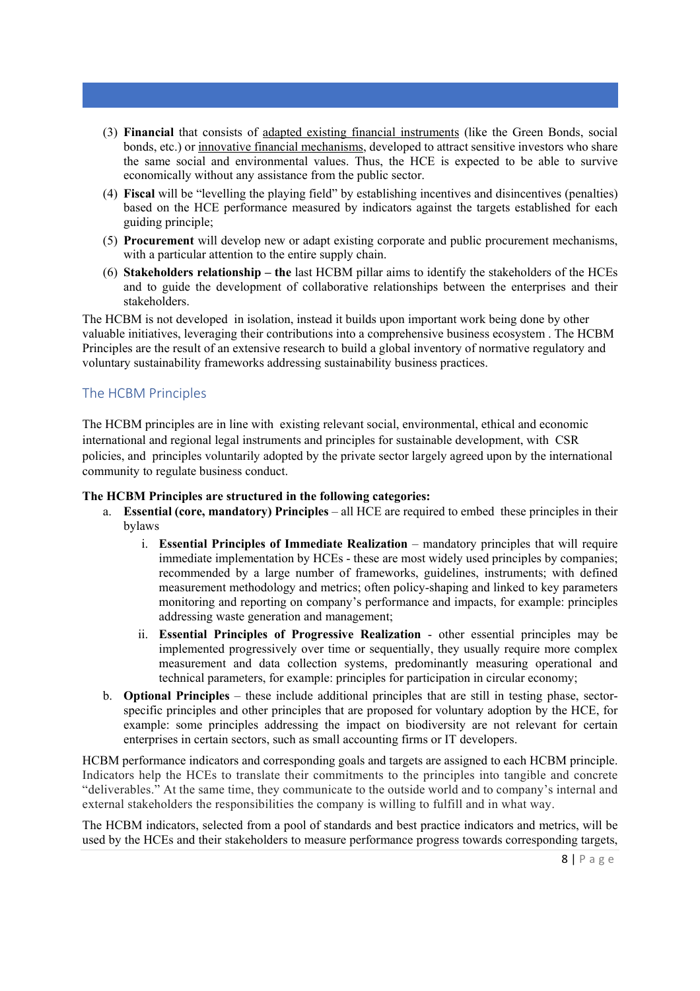- (3) **Financial** that consists of adapted existing financial instruments (like the Green Bonds, social bonds, etc.) or innovative financial mechanisms, developed to attract sensitive investors who share the same social and environmental values. Thus, the HCE is expected to be able to survive economically without any assistance from the public sector.
- (4) **Fiscal** will be "levelling the playing field" by establishing incentives and disincentives (penalties) based on the HCE performance measured by indicators against the targets established for each guiding principle;
- (5) **Procurement** will develop new or adapt existing corporate and public procurement mechanisms, with a particular attention to the entire supply chain.
- (6) **Stakeholders relationship the** last HCBM pillar aims to identify the stakeholders of the HCEs and to guide the development of collaborative relationships between the enterprises and their stakeholders.

The HCBM is not developed in isolation, instead it builds upon important work being done by other valuable initiatives, leveraging their contributions into a comprehensive business ecosystem . The HCBM Principles are the result of an extensive research to build a global inventory of normative regulatory and voluntary sustainability frameworks addressing sustainability business practices.

# The HCBM Principles

The HCBM principles are in line with existing relevant social, environmental, ethical and economic international and regional legal instruments and principles for sustainable development, with CSR policies, and principles voluntarily adopted by the private sector largely agreed upon by the international community to regulate business conduct.

#### **The HCBM Principles are structured in the following categories:**

- a. **Essential (core, mandatory) Principles**  all HCE are required to embed these principles in their bylaws
	- i. **Essential Principles of Immediate Realization** mandatory principles that will require immediate implementation by HCEs - these are most widely used principles by companies; recommended by a large number of frameworks, guidelines, instruments; with defined measurement methodology and metrics; often policy-shaping and linked to key parameters monitoring and reporting on company's performance and impacts, for example: principles addressing waste generation and management;
	- ii. **Essential Principles of Progressive Realization** other essential principles may be implemented progressively over time or sequentially, they usually require more complex measurement and data collection systems, predominantly measuring operational and technical parameters, for example: principles for participation in circular economy;
- b. **Optional Principles** these include additional principles that are still in testing phase, sectorspecific principles and other principles that are proposed for voluntary adoption by the HCE, for example: some principles addressing the impact on biodiversity are not relevant for certain enterprises in certain sectors, such as small accounting firms or IT developers.

HCBM performance indicators and corresponding goals and targets are assigned to each HCBM principle. Indicators help the HCEs to translate their commitments to the principles into tangible and concrete "deliverables." At the same time, they communicate to the outside world and to company's internal and external stakeholders the responsibilities the company is willing to fulfill and in what way.

The HCBM indicators, selected from a pool of standards and best practice indicators and metrics, will be used by the HCEs and their stakeholders to measure performance progress towards corresponding targets,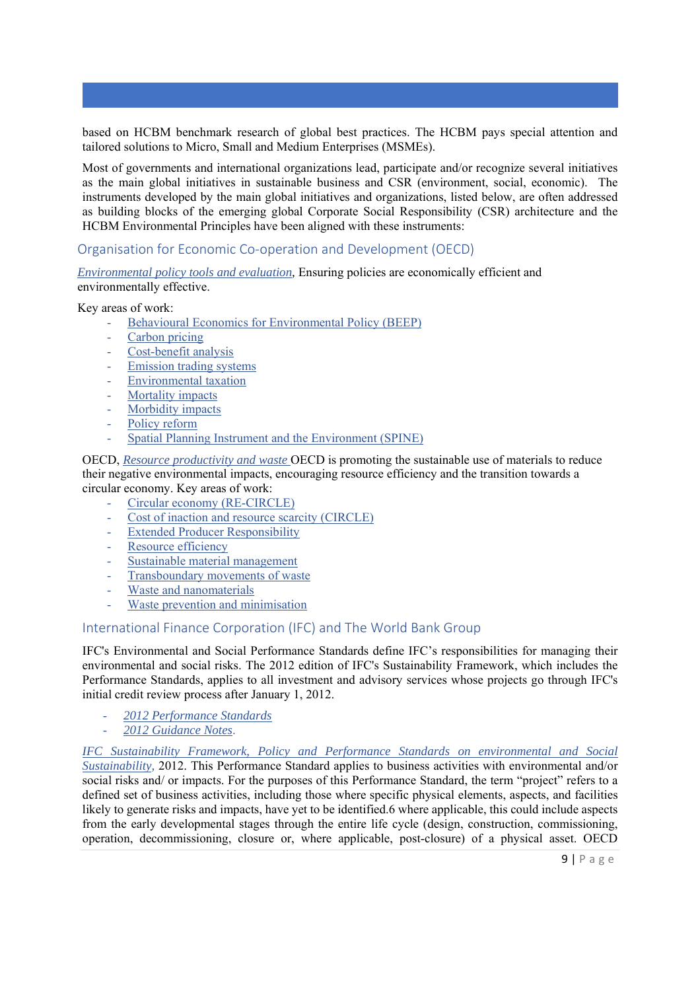based on HCBM benchmark research of global best practices. The HCBM pays special attention and tailored solutions to Micro, Small and Medium Enterprises (MSMEs).

Most of governments and international organizations lead, participate and/or recognize several initiatives as the main global initiatives in sustainable business and CSR (environment, social, economic). The instruments developed by the main global initiatives and organizations, listed below, are often addressed as building blocks of the emerging global Corporate Social Responsibility (CSR) architecture and the HCBM Environmental Principles have been aligned with these instruments:

### Organisation for Economic Co‐operation and Development (OECD)

*Environmental policy tools and evaluation,* Ensuring policies are economically efficient and environmentally effective.

Key areas of work:

- Behavioural Economics for Environmental Policy (BEEP)
- Carbon pricing
- Cost-benefit analysis
- Emission trading systems
- Environmental taxation
- Mortality impacts
- Morbidity impacts
- Policy reform
- Spatial Planning Instrument and the Environment (SPINE)

OECD, *Resource productivity and waste* OECD is promoting the sustainable use of materials to reduce their negative environmental impacts, encouraging resource efficiency and the transition towards a circular economy. Key areas of work:

- Circular economy (RE-CIRCLE)
- Cost of inaction and resource scarcity (CIRCLE)
- **Extended Producer Responsibility**
- Resource efficiency
- Sustainable material management
- Transboundary movements of waste
- Waste and nanomaterials
- Waste prevention and minimisation

#### International Finance Corporation (IFC) and The World Bank Group

IFC's Environmental and Social Performance Standards define IFC's responsibilities for managing their environmental and social risks. The 2012 edition of IFC's Sustainability Framework, which includes the Performance Standards, applies to all investment and advisory services whose projects go through IFC's initial credit review process after January 1, 2012.

- *2012 Performance Standards*
- *2012 Guidance Notes*.

*IFC Sustainability Framework, Policy and Performance Standards on environmental and Social Sustainability,* 2012. This Performance Standard applies to business activities with environmental and/or social risks and/ or impacts. For the purposes of this Performance Standard, the term "project" refers to a defined set of business activities, including those where specific physical elements, aspects, and facilities likely to generate risks and impacts, have yet to be identified.6 where applicable, this could include aspects from the early developmental stages through the entire life cycle (design, construction, commissioning, operation, decommissioning, closure or, where applicable, post-closure) of a physical asset. OECD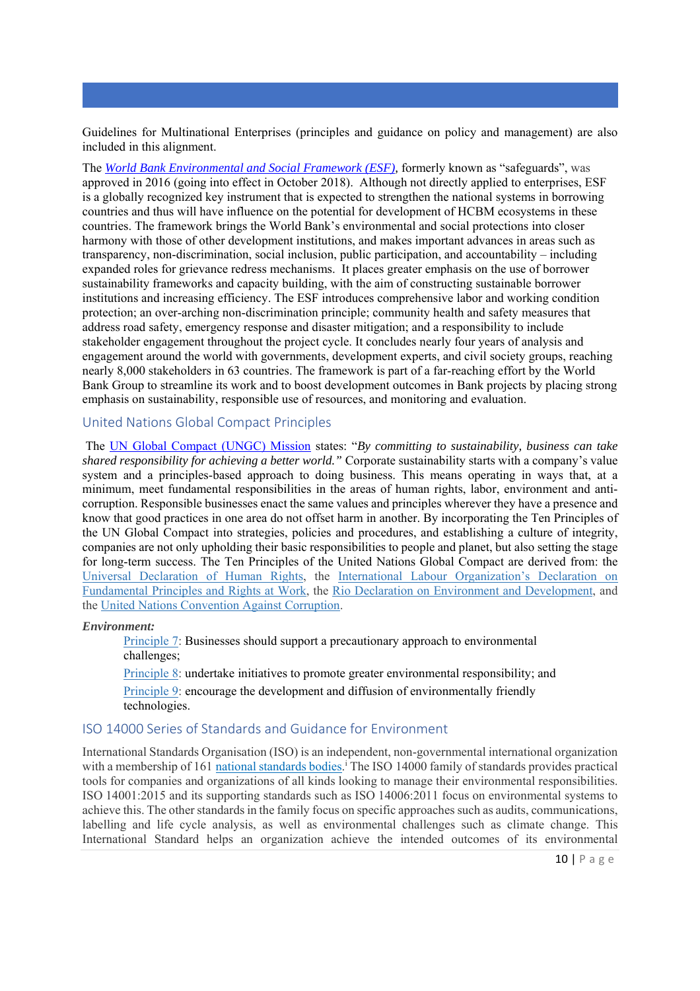Guidelines for Multinational Enterprises (principles and guidance on policy and management) are also included in this alignment.

The *World Bank Environmental and Social Framework (ESF),* formerly known as "safeguards", was approved in 2016 (going into effect in October 2018). Although not directly applied to enterprises, ESF is a globally recognized key instrument that is expected to strengthen the national systems in borrowing countries and thus will have influence on the potential for development of HCBM ecosystems in these countries. The framework brings the World Bank's environmental and social protections into closer harmony with those of other development institutions, and makes important advances in areas such as transparency, non-discrimination, social inclusion, public participation, and accountability – including expanded roles for grievance redress mechanisms. It places greater emphasis on the use of borrower sustainability frameworks and capacity building, with the aim of constructing sustainable borrower institutions and increasing efficiency. The ESF introduces comprehensive labor and working condition protection; an over-arching non-discrimination principle; community health and safety measures that address road safety, emergency response and disaster mitigation; and a responsibility to include stakeholder engagement throughout the project cycle. It concludes nearly four years of analysis and engagement around the world with governments, development experts, and civil society groups, reaching nearly 8,000 stakeholders in 63 countries. The framework is part of a far-reaching effort by the World Bank Group to streamline its work and to boost development outcomes in Bank projects by placing strong emphasis on sustainability, responsible use of resources, and monitoring and evaluation.

#### United Nations Global Compact Principles

 The UN Global Compact (UNGC) Mission states: "*By committing to sustainability, business can take shared responsibility for achieving a better world."* Corporate sustainability starts with a company's value system and a principles-based approach to doing business. This means operating in ways that, at a minimum, meet fundamental responsibilities in the areas of human rights, labor, environment and anticorruption. Responsible businesses enact the same values and principles wherever they have a presence and know that good practices in one area do not offset harm in another. By incorporating the Ten Principles of the UN Global Compact into strategies, policies and procedures, and establishing a culture of integrity, companies are not only upholding their basic responsibilities to people and planet, but also setting the stage for long-term success. The Ten Principles of the United Nations Global Compact are derived from: the Universal Declaration of Human Rights, the International Labour Organization's Declaration on Fundamental Principles and Rights at Work, the Rio Declaration on Environment and Development, and the United Nations Convention Against Corruption.

#### *Environment:*

Principle 7: Businesses should support a precautionary approach to environmental challenges;

Principle 8: undertake initiatives to promote greater environmental responsibility; and

Principle 9: encourage the development and diffusion of environmentally friendly technologies.

# ISO 14000 Series of Standards and Guidance for Environment

International Standards Organisation (ISO) is an independent, non-governmental international organization with a membership of 161 national standards bodies.<sup>1</sup> The ISO 14000 family of standards provides practical tools for companies and organizations of all kinds looking to manage their environmental responsibilities. ISO 14001:2015 and its supporting standards such as ISO 14006:2011 focus on environmental systems to achieve this. The other standards in the family focus on specific approaches such as audits, communications, labelling and life cycle analysis, as well as environmental challenges such as climate change. This International Standard helps an organization achieve the intended outcomes of its environmental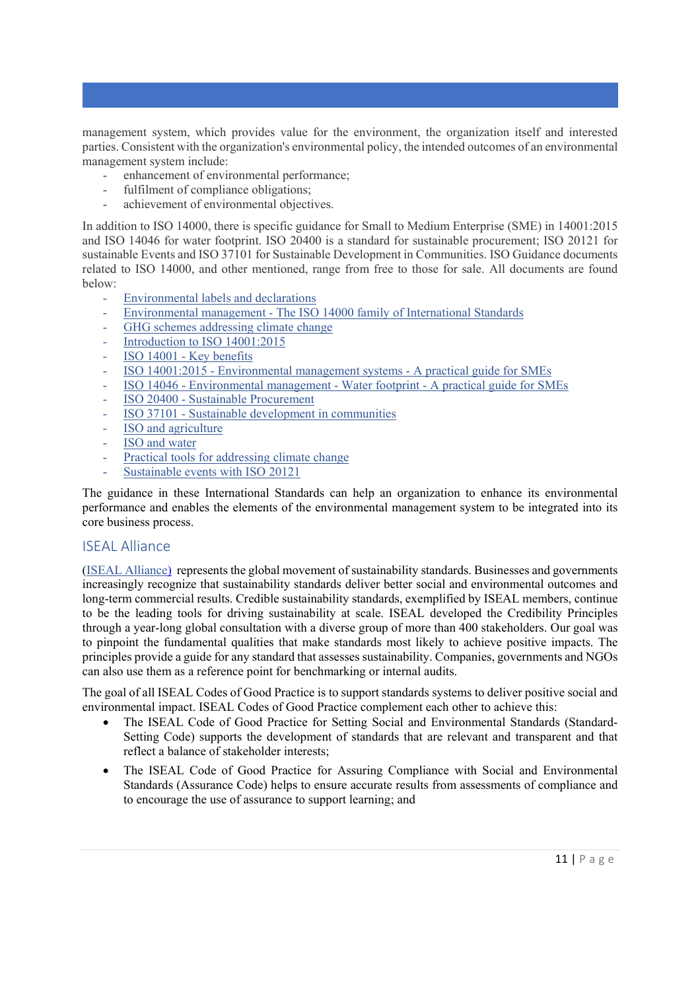management system, which provides value for the environment, the organization itself and interested parties. Consistent with the organization's environmental policy, the intended outcomes of an environmental management system include:

- enhancement of environmental performance;
- fulfilment of compliance obligations;
- achievement of environmental objectives.

In addition to ISO 14000, there is specific guidance for Small to Medium Enterprise (SME) in 14001:2015 and ISO 14046 for water footprint. ISO 20400 is a standard for sustainable procurement; ISO 20121 for sustainable Events and ISO 37101 for Sustainable Development in Communities. ISO Guidance documents related to ISO 14000, and other mentioned, range from free to those for sale. All documents are found below:

- Environmental labels and declarations
- Environmental management The ISO 14000 family of International Standards
- GHG schemes addressing climate change
- Introduction to ISO 14001:2015
- ISO 14001 Key benefits
- ISO 14001:2015 Environmental management systems A practical guide for SMEs
- ISO 14046 Environmental management Water footprint A practical guide for SMEs
- ISO 20400 Sustainable Procurement
- ISO 37101 Sustainable development in communities
- ISO and agriculture
- ISO and water
- Practical tools for addressing climate change
- Sustainable events with ISO 20121

The guidance in these International Standards can help an organization to enhance its environmental performance and enables the elements of the environmental management system to be integrated into its core business process.

# ISEAL Alliance

(ISEAL Alliance) represents the global movement of sustainability standards. Businesses and governments increasingly recognize that sustainability standards deliver better social and environmental outcomes and long-term commercial results. Credible sustainability standards, exemplified by ISEAL members, continue to be the leading tools for driving sustainability at scale. ISEAL developed the Credibility Principles through a year-long global consultation with a diverse group of more than 400 stakeholders. Our goal was to pinpoint the fundamental qualities that make standards most likely to achieve positive impacts. The principles provide a guide for any standard that assesses sustainability. Companies, governments and NGOs can also use them as a reference point for benchmarking or internal audits.

The goal of all ISEAL Codes of Good Practice is to support standards systems to deliver positive social and environmental impact. ISEAL Codes of Good Practice complement each other to achieve this:

- The ISEAL Code of Good Practice for Setting Social and Environmental Standards (Standard-Setting Code) supports the development of standards that are relevant and transparent and that reflect a balance of stakeholder interests;
- The ISEAL Code of Good Practice for Assuring Compliance with Social and Environmental Standards (Assurance Code) helps to ensure accurate results from assessments of compliance and to encourage the use of assurance to support learning; and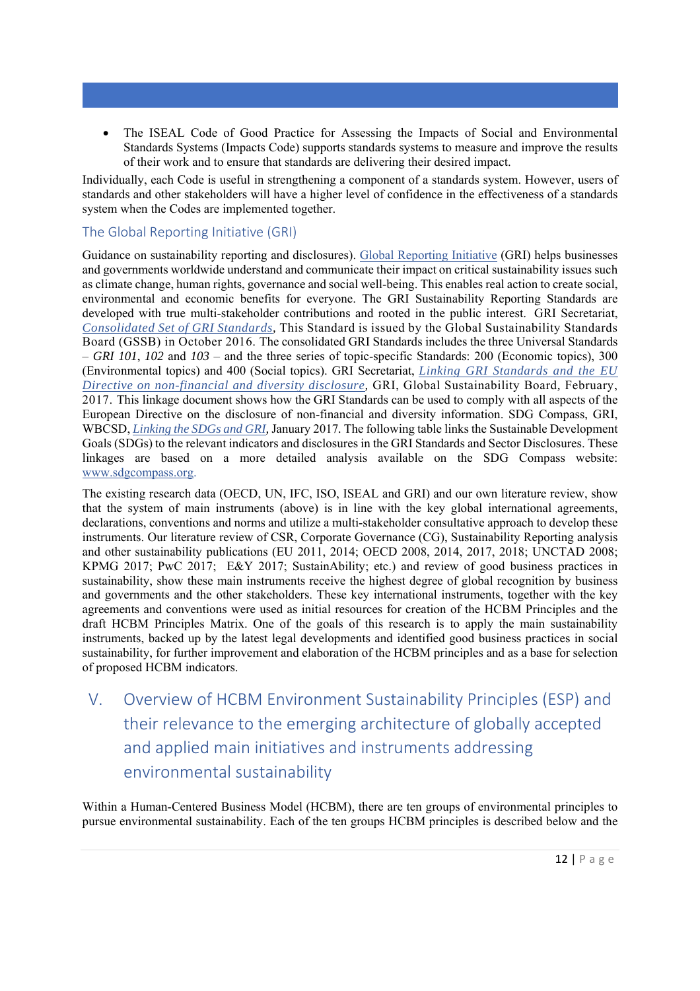The ISEAL Code of Good Practice for Assessing the Impacts of Social and Environmental Standards Systems (Impacts Code) supports standards systems to measure and improve the results of their work and to ensure that standards are delivering their desired impact.

Individually, each Code is useful in strengthening a component of a standards system. However, users of standards and other stakeholders will have a higher level of confidence in the effectiveness of a standards system when the Codes are implemented together.

# The Global Reporting Initiative (GRI)

Guidance on sustainability reporting and disclosures). Global Reporting Initiative (GRI) helps businesses and governments worldwide understand and communicate their impact on critical sustainability issues such as climate change, human rights, governance and social well-being. This enables real action to create social, environmental and economic benefits for everyone. The GRI Sustainability Reporting Standards are developed with true multi-stakeholder contributions and rooted in the public interest. GRI Secretariat, *Consolidated Set of GRI Standards,* This Standard is issued by the Global Sustainability Standards Board (GSSB) in October 2016. The consolidated GRI Standards includes the three Universal Standards – *GRI 101*, *102* and *103* – and the three series of topic-specific Standards: 200 (Economic topics), 300 (Environmental topics) and 400 (Social topics). GRI Secretariat, *Linking GRI Standards and the EU Directive on non-financial and diversity disclosure,* GRI, Global Sustainability Board*,* February, 2017. This linkage document shows how the GRI Standards can be used to comply with all aspects of the European Directive on the disclosure of non-financial and diversity information. SDG Compass, GRI, WBCSD, *Linking the SDGs and GRI,* January 2017*.* The following table links the Sustainable Development Goals (SDGs) to the relevant indicators and disclosures in the GRI Standards and Sector Disclosures. These linkages are based on a more detailed analysis available on the SDG Compass website: www.sdgcompass.org.

The existing research data (OECD, UN, IFC, ISO, ISEAL and GRI) and our own literature review, show that the system of main instruments (above) is in line with the key global international agreements, declarations, conventions and norms and utilize a multi-stakeholder consultative approach to develop these instruments. Our literature review of CSR, Corporate Governance (CG), Sustainability Reporting analysis and other sustainability publications (EU 2011, 2014; OECD 2008, 2014, 2017, 2018; UNCTAD 2008; KPMG 2017; PwC 2017; E&Y 2017; SustainAbility; etc.) and review of good business practices in sustainability, show these main instruments receive the highest degree of global recognition by business and governments and the other stakeholders. These key international instruments, together with the key agreements and conventions were used as initial resources for creation of the HCBM Principles and the draft HCBM Principles Matrix. One of the goals of this research is to apply the main sustainability instruments, backed up by the latest legal developments and identified good business practices in social sustainability, for further improvement and elaboration of the HCBM principles and as a base for selection of proposed HCBM indicators.

V. Overview of HCBM Environment Sustainability Principles (ESP) and their relevance to the emerging architecture of globally accepted and applied main initiatives and instruments addressing environmental sustainability

Within a Human-Centered Business Model (HCBM), there are ten groups of environmental principles to pursue environmental sustainability. Each of the ten groups HCBM principles is described below and the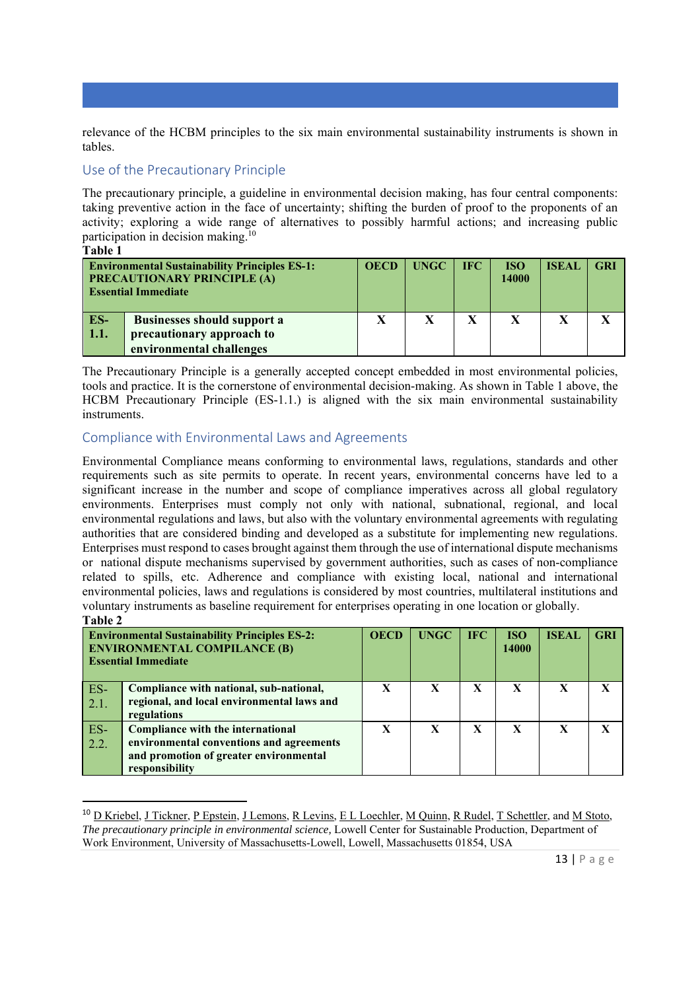relevance of the HCBM principles to the six main environmental sustainability instruments is shown in tables.

# Use of the Precautionary Principle

The precautionary principle, a guideline in environmental decision making, has four central components: taking preventive action in the face of uncertainty; shifting the burden of proof to the proponents of an activity; exploring a wide range of alternatives to possibly harmful actions; and increasing public participation in decision making.10

**Table 1** 

|             | <b>Environmental Sustainability Principles ES-1:</b><br><b>PRECAUTIONARY PRINCIPLE (A)</b><br><b>Essential Immediate</b> | <b>OECD</b> | <b>UNGC</b> | <b>IFC</b> | <b>ISO</b><br>14000 | <b>ISEAL</b> | <b>GRI</b> |
|-------------|--------------------------------------------------------------------------------------------------------------------------|-------------|-------------|------------|---------------------|--------------|------------|
| ES-<br>1.1. | <b>Businesses should support a</b><br>precautionary approach to                                                          | X           | X           | X          | X                   |              |            |
|             | environmental challenges                                                                                                 |             |             |            |                     |              |            |

The Precautionary Principle is a generally accepted concept embedded in most environmental policies, tools and practice. It is the cornerstone of environmental decision-making. As shown in Table 1 above, the HCBM Precautionary Principle (ES-1.1.) is aligned with the six main environmental sustainability instruments.

# Compliance with Environmental Laws and Agreements

Environmental Compliance means conforming to environmental laws, regulations, standards and other requirements such as site permits to operate. In recent years, environmental concerns have led to a significant increase in the number and scope of compliance imperatives across all global regulatory environments. Enterprises must comply not only with national, subnational, regional, and local environmental regulations and laws, but also with the voluntary environmental agreements with regulating authorities that are considered binding and developed as a substitute for implementing new regulations. Enterprises must respond to cases brought against them through the use of international dispute mechanisms or national dispute mechanisms supervised by government authorities, such as cases of non-compliance related to spills, etc. Adherence and compliance with existing local, national and international environmental policies, laws and regulations is considered by most countries, multilateral institutions and voluntary instruments as baseline requirement for enterprises operating in one location or globally. **Table 2** 

| <b>Environmental Sustainability Principles ES-2:</b><br><b>ENVIRONMENTAL COMPILANCE (B)</b><br><b>Essential Immediate</b> |                                                                                                                                           | <b>OECD</b> | <b>UNGC</b> | <b>IFC</b> | <b>ISO</b><br>14000 | <b>ISEAL</b> | <b>GRI</b> |
|---------------------------------------------------------------------------------------------------------------------------|-------------------------------------------------------------------------------------------------------------------------------------------|-------------|-------------|------------|---------------------|--------------|------------|
| ES-<br>2.1.                                                                                                               | Compliance with national, sub-national,<br>regional, and local environmental laws and<br>regulations                                      | X           | X           | X          | X                   | $\mathbf x$  | X          |
| ES-<br>2.2.                                                                                                               | Compliance with the international<br>environmental conventions and agreements<br>and promotion of greater environmental<br>responsibility | X           | X           | X          | X                   | X            | X          |

<sup>&</sup>lt;sup>10</sup> D Kriebel, J Tickner, P Epstein, J Lemons, R Levins, E L Loechler, M Quinn, R Rudel, T Schettler, and M Stoto, *The precautionary principle in environmental science,* Lowell Center for Sustainable Production, Department of Work Environment, University of Massachusetts-Lowell, Lowell, Massachusetts 01854, USA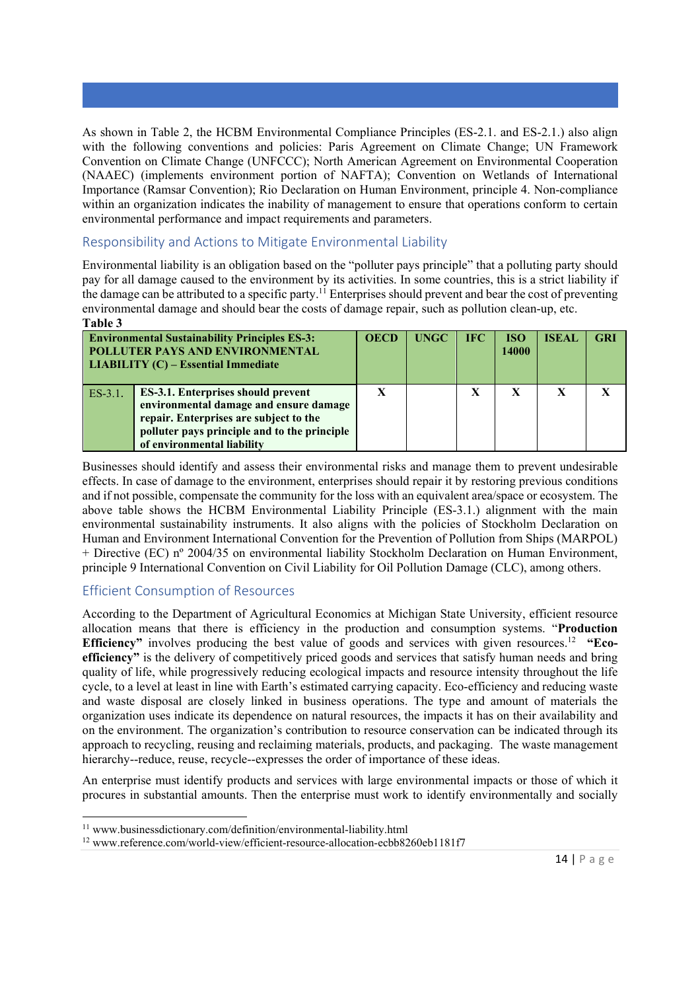As shown in Table 2, the HCBM Environmental Compliance Principles (ES-2.1. and ES-2.1.) also align with the following conventions and policies: Paris Agreement on Climate Change; UN Framework Convention on Climate Change (UNFCCC); North American Agreement on Environmental Cooperation (NAAEC) (implements environment portion of NAFTA); Convention on Wetlands of International Importance (Ramsar Convention); Rio Declaration on Human Environment, principle 4. Non-compliance within an organization indicates the inability of management to ensure that operations conform to certain environmental performance and impact requirements and parameters.

#### Responsibility and Actions to Mitigate Environmental Liability

Environmental liability is an obligation based on the "polluter pays principle" that a polluting party should pay for all damage caused to the environment by its activities. In some countries, this is a strict liability if the damage can be attributed to a specific party.<sup>11</sup> Enterprises should prevent and bear the cost of preventing the damage can be attributed to a specific party.<sup>11</sup> Enterprises should prevent and bear the cost of prevent environmental damage and should bear the costs of damage repair, such as pollution clean-up, etc. **Table 3** 

|            | <b>Environmental Sustainability Principles ES-3:</b><br>POLLUTER PAYS AND ENVIRONMENTAL<br><b>LIABILITY (C) – Essential Immediate</b>                                                                | <b>OECD</b> | <b>UNGC</b> | <b>IFC</b> | <b>ISO</b><br>14000 | <b>ISEAL</b> | <b>GRI</b> |
|------------|------------------------------------------------------------------------------------------------------------------------------------------------------------------------------------------------------|-------------|-------------|------------|---------------------|--------------|------------|
| $ES-3.1$ . | ES-3.1. Enterprises should prevent<br>environmental damage and ensure damage<br>repair. Enterprises are subject to the<br>polluter pays principle and to the principle<br>of environmental liability |             |             |            |                     | X            |            |

Businesses should identify and assess their environmental risks and manage them to prevent undesirable effects. In case of damage to the environment, enterprises should repair it by restoring previous conditions and if not possible, compensate the community for the loss with an equivalent area/space or ecosystem. The above table shows the HCBM Environmental Liability Principle (ES-3.1.) alignment with the main environmental sustainability instruments. It also aligns with the policies of Stockholm Declaration on Human and Environment International Convention for the Prevention of Pollution from Ships (MARPOL) + Directive (EC) nº 2004/35 on environmental liability Stockholm Declaration on Human Environment, principle 9 International Convention on Civil Liability for Oil Pollution Damage (CLC), among others.

# Efficient Consumption of Resources

According to the Department of Agricultural Economics at Michigan State University, efficient resource allocation means that there is efficiency in the production and consumption systems. "**Production Efficiency**" involves producing the best value of goods and services with given resources.<sup>12</sup> "Eco**efficiency"** is the delivery of competitively priced goods and services that satisfy human needs and bring quality of life, while progressively reducing ecological impacts and resource intensity throughout the life cycle, to a level at least in line with Earth's estimated carrying capacity. Eco-efficiency and reducing waste and waste disposal are closely linked in business operations. The type and amount of materials the organization uses indicate its dependence on natural resources, the impacts it has on their availability and on the environment. The organization's contribution to resource conservation can be indicated through its approach to recycling, reusing and reclaiming materials, products, and packaging. The waste management hierarchy--reduce, reuse, recycle--expresses the order of importance of these ideas.

An enterprise must identify products and services with large environmental impacts or those of which it procures in substantial amounts. Then the enterprise must work to identify environmentally and socially

<sup>&</sup>lt;sup>11</sup> www.businessdictionary.com/definition/environmental-liability.html<br><sup>12</sup> www.reference.com/world-view/efficient-resource-allocation-ecbb8260eb1181f7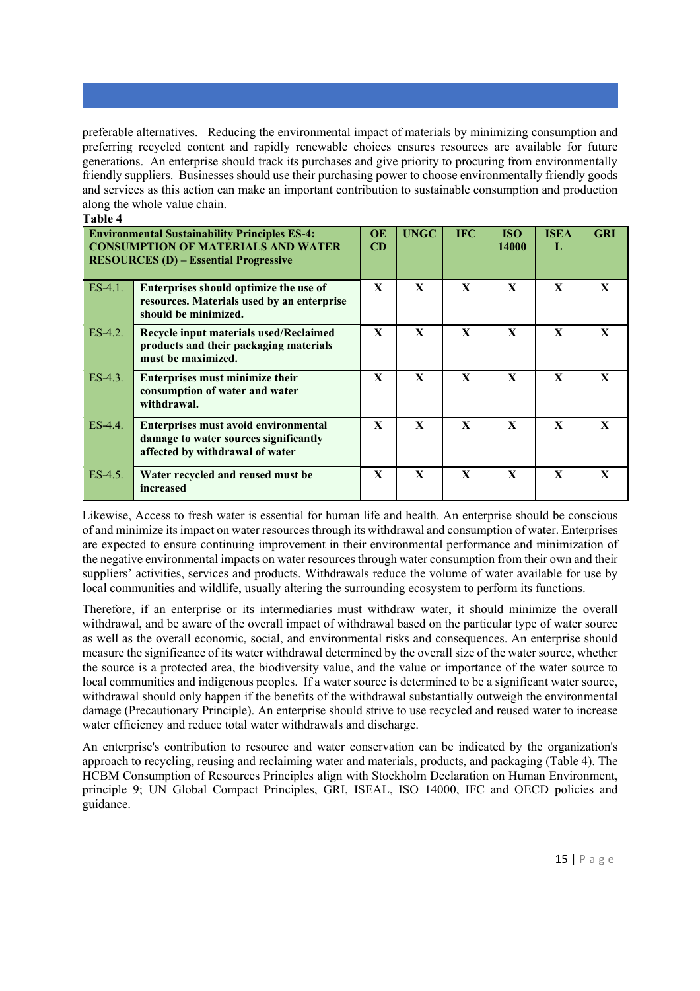preferable alternatives. Reducing the environmental impact of materials by minimizing consumption and preferring recycled content and rapidly renewable choices ensures resources are available for future generations. An enterprise should track its purchases and give priority to procuring from environmentally friendly suppliers. Businesses should use their purchasing power to choose environmentally friendly goods and services as this action can make an important contribution to sustainable consumption and production along the whole value chain. **Table 4** 

| і апіс 4   |                                                                                                                                                   |                        |              |              |                     |                  |              |  |
|------------|---------------------------------------------------------------------------------------------------------------------------------------------------|------------------------|--------------|--------------|---------------------|------------------|--------------|--|
|            | <b>Environmental Sustainability Principles ES-4:</b><br><b>CONSUMPTION OF MATERIALS AND WATER</b><br><b>RESOURCES (D) – Essential Progressive</b> | <b>OE</b><br><b>CD</b> | <b>UNGC</b>  | <b>IFC</b>   | <b>ISO</b><br>14000 | <b>ISEA</b><br>L | <b>GRI</b>   |  |
| $ES-4.1$ . | Enterprises should optimize the use of<br>resources. Materials used by an enterprise<br>should be minimized.                                      | $\mathbf{x}$           | $\mathbf{x}$ | $\mathbf{x}$ | $\mathbf{x}$        | $\mathbf{X}$     | $\mathbf{X}$ |  |
| $ES-4.2$ . | Recycle input materials used/Reclaimed<br>products and their packaging materials<br>must be maximized.                                            | $\mathbf{x}$           | $\mathbf{X}$ | $\mathbf{x}$ | $\mathbf{x}$        | $\mathbf{x}$     | $\mathbf{X}$ |  |
| $ES-4.3$ . | <b>Enterprises must minimize their</b><br>consumption of water and water<br>withdrawal.                                                           | $\mathbf{x}$           | $\mathbf{x}$ | $\mathbf{x}$ | $\mathbf{x}$        | X                | $\mathbf{X}$ |  |
| $ES-4.4$ . | <b>Enterprises must avoid environmental</b><br>damage to water sources significantly<br>affected by withdrawal of water                           | $\mathbf{X}$           | $\mathbf{X}$ | $\mathbf{x}$ | $\mathbf{x}$        | $\mathbf{x}$     | X            |  |
| $ES-4.5$ . | Water recycled and reused must be<br>increased                                                                                                    | $\mathbf{x}$           | X            | $\mathbf{x}$ | $\mathbf{x}$        | $\mathbf{x}$     | X            |  |

Likewise, Access to fresh water is essential for human life and health. An enterprise should be conscious of and minimize its impact on water resources through its withdrawal and consumption of water. Enterprises are expected to ensure continuing improvement in their environmental performance and minimization of the negative environmental impacts on water resources through water consumption from their own and their suppliers' activities, services and products. Withdrawals reduce the volume of water available for use by local communities and wildlife, usually altering the surrounding ecosystem to perform its functions.

Therefore, if an enterprise or its intermediaries must withdraw water, it should minimize the overall withdrawal, and be aware of the overall impact of withdrawal based on the particular type of water source as well as the overall economic, social, and environmental risks and consequences. An enterprise should measure the significance of its water withdrawal determined by the overall size of the water source, whether the source is a protected area, the biodiversity value, and the value or importance of the water source to local communities and indigenous peoples. If a water source is determined to be a significant water source, withdrawal should only happen if the benefits of the withdrawal substantially outweigh the environmental damage (Precautionary Principle). An enterprise should strive to use recycled and reused water to increase water efficiency and reduce total water withdrawals and discharge.

An enterprise's contribution to resource and water conservation can be indicated by the organization's approach to recycling, reusing and reclaiming water and materials, products, and packaging (Table 4). The HCBM Consumption of Resources Principles align with Stockholm Declaration on Human Environment, principle 9; UN Global Compact Principles, GRI, ISEAL, ISO 14000, IFC and OECD policies and guidance.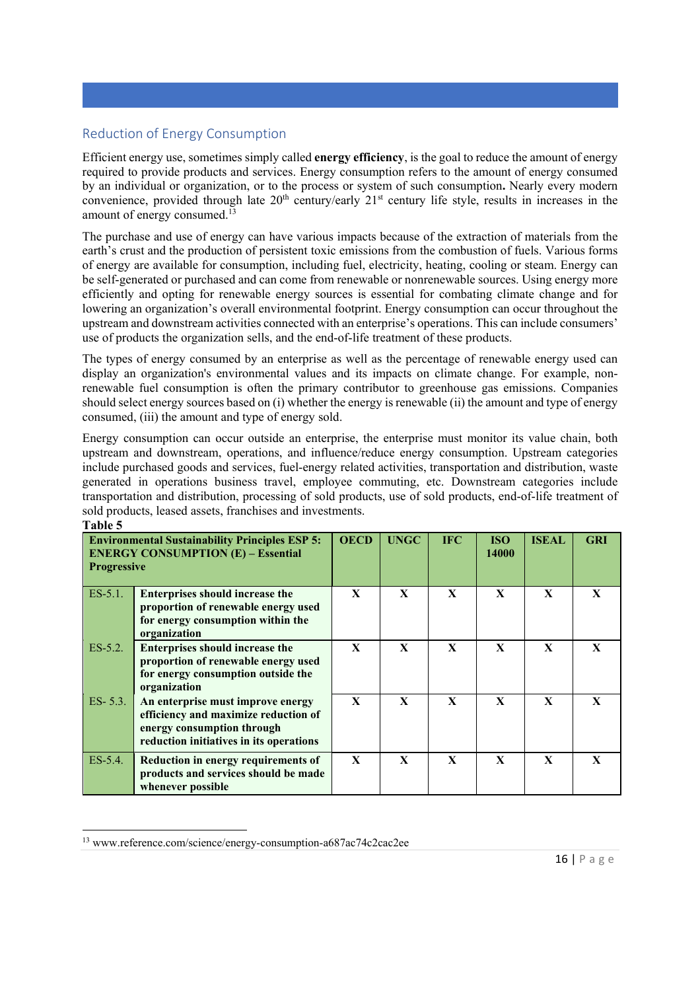# Reduction of Energy Consumption

Efficient energy use, sometimes simply called **energy efficiency**, is the goal to reduce the amount of energy required to provide products and services. Energy consumption refers to the amount of energy consumed by an individual or organization, or to the process or system of such consumption**.** Nearly every modern convenience, provided through late  $20<sup>th</sup>$  century/early  $21<sup>st</sup>$  century life style, results in increases in the amount of energy consumed. $^{13}$ 

The purchase and use of energy can have various impacts because of the extraction of materials from the earth's crust and the production of persistent toxic emissions from the combustion of fuels. Various forms of energy are available for consumption, including fuel, electricity, heating, cooling or steam. Energy can be self-generated or purchased and can come from renewable or nonrenewable sources. Using energy more efficiently and opting for renewable energy sources is essential for combating climate change and for lowering an organization's overall environmental footprint. Energy consumption can occur throughout the upstream and downstream activities connected with an enterprise's operations. This can include consumers' use of products the organization sells, and the end-of-life treatment of these products.

The types of energy consumed by an enterprise as well as the percentage of renewable energy used can display an organization's environmental values and its impacts on climate change. For example, nonrenewable fuel consumption is often the primary contributor to greenhouse gas emissions. Companies should select energy sources based on (i) whether the energy is renewable (ii) the amount and type of energy consumed, (iii) the amount and type of energy sold.

Energy consumption can occur outside an enterprise, the enterprise must monitor its value chain, both upstream and downstream, operations, and influence/reduce energy consumption. Upstream categories include purchased goods and services, fuel-energy related activities, transportation and distribution, waste generated in operations business travel, employee commuting, etc. Downstream categories include transportation and distribution, processing of sold products, use of sold products, end-of-life treatment of sold products, leased assets, franchises and investments.

| <b>Progressive</b> | <b>Environmental Sustainability Principles ESP 5:</b><br><b>ENERGY CONSUMPTION (E) - Essential</b>                                                 | <b>OECD</b>  | <b>UNGC</b>  | <b>IFC</b>   | <b>ISO</b><br>14000 | <b>ISEAL</b> | <b>GRI</b>   |
|--------------------|----------------------------------------------------------------------------------------------------------------------------------------------------|--------------|--------------|--------------|---------------------|--------------|--------------|
| $ES-5.1$ .         | <b>Enterprises should increase the</b><br>proportion of renewable energy used<br>for energy consumption within the<br>organization                 | $\mathbf{x}$ | $\mathbf x$  | $\mathbf{X}$ | $\mathbf{x}$        | $\mathbf{x}$ | $\mathbf{X}$ |
| $ES-5.2$ .         | <b>Enterprises should increase the</b><br>proportion of renewable energy used<br>for energy consumption outside the<br>organization                | $\mathbf{X}$ | $\mathbf{x}$ | $\mathbf{X}$ | $\mathbf{x}$        | $\mathbf{x}$ | X            |
| $ES-5.3.$          | An enterprise must improve energy<br>efficiency and maximize reduction of<br>energy consumption through<br>reduction initiatives in its operations | $\mathbf{x}$ | $\mathbf{x}$ | $\mathbf{X}$ | $\mathbf{x}$        | $\mathbf{X}$ | $\mathbf{X}$ |
| ES-5.4.            | Reduction in energy requirements of<br>products and services should be made<br>whenever possible                                                   | X            | $\mathbf{x}$ | X            | $\mathbf{x}$        | $\mathbf{x}$ | X            |

**Table 5** 

<sup>13</sup> www.reference.com/science/energy-consumption-a687ac74c2cac2ee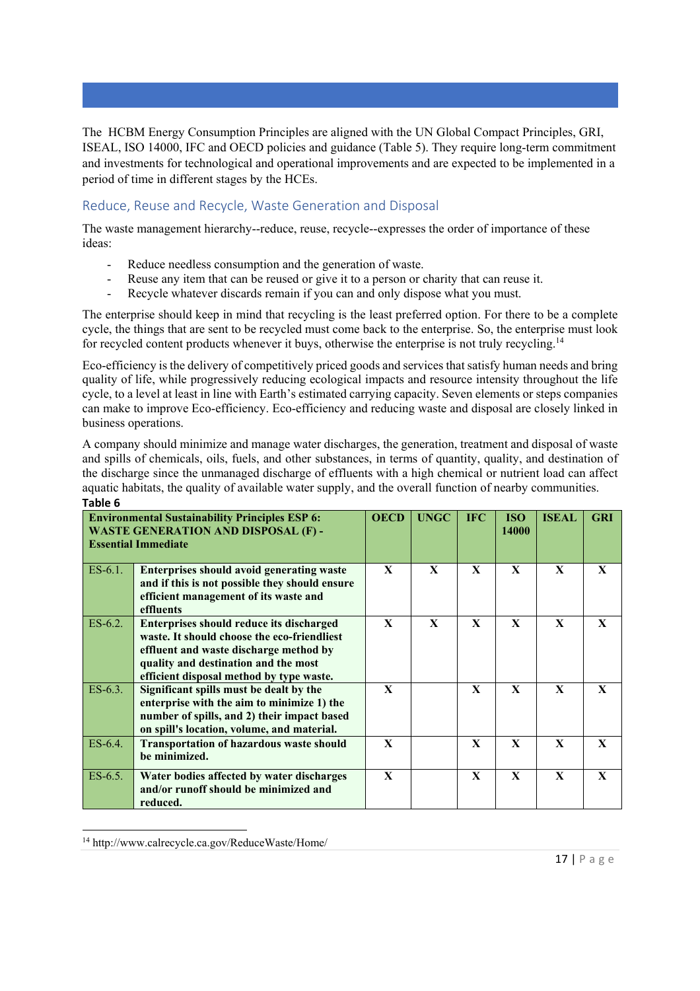The HCBM Energy Consumption Principles are aligned with the UN Global Compact Principles, GRI, ISEAL, ISO 14000, IFC and OECD policies and guidance (Table 5). They require long-term commitment and investments for technological and operational improvements and are expected to be implemented in a period of time in different stages by the HCEs.

# Reduce, Reuse and Recycle, Waste Generation and Disposal

The waste management hierarchy--reduce, reuse, recycle--expresses the order of importance of these ideas:

- Reduce needless consumption and the generation of waste.
- Reuse any item that can be reused or give it to a person or charity that can reuse it.
- Recycle whatever discards remain if you can and only dispose what you must.

The enterprise should keep in mind that recycling is the least preferred option. For there to be a complete cycle, the things that are sent to be recycled must come back to the enterprise. So, the enterprise must look for recycled content products whenever it buys, otherwise the enterprise is not truly recycling.<sup>14</sup>

Eco-efficiency is the delivery of competitively priced goods and services that satisfy human needs and bring quality of life, while progressively reducing ecological impacts and resource intensity throughout the life cycle, to a level at least in line with Earth's estimated carrying capacity. Seven elements or steps companies can make to improve Eco-efficiency. Eco-efficiency and reducing waste and disposal are closely linked in business operations.

A company should minimize and manage water discharges, the generation, treatment and disposal of waste and spills of chemicals, oils, fuels, and other substances, in terms of quantity, quality, and destination of the discharge since the unmanaged discharge of effluents with a high chemical or nutrient load can affect aquatic habitats, the quality of available water supply, and the overall function of nearby communities. **Table 6** 

|            | <b>Environmental Sustainability Principles ESP 6:</b><br><b>WASTE GENERATION AND DISPOSAL (F) -</b><br><b>Essential Immediate</b>                                                                                            | <b>OECD</b>  | <b>UNGC</b>  | <b>IFC</b>   | <b>ISO</b><br>14000 | <b>ISEAL</b> | <b>GRI</b>   |  |
|------------|------------------------------------------------------------------------------------------------------------------------------------------------------------------------------------------------------------------------------|--------------|--------------|--------------|---------------------|--------------|--------------|--|
| $ES-6.1$ . | <b>Enterprises should avoid generating waste</b><br>and if this is not possible they should ensure<br>efficient management of its waste and<br>effluents                                                                     | $\mathbf{X}$ | $\mathbf{x}$ | $\mathbf{X}$ | $\mathbf{X}$        | $\mathbf{X}$ | X            |  |
| $ES-6.2$ . | <b>Enterprises should reduce its discharged</b><br>waste. It should choose the eco-friendliest<br>effluent and waste discharge method by<br>quality and destination and the most<br>efficient disposal method by type waste. | $\mathbf{X}$ | $\mathbf{x}$ | $\mathbf{X}$ | $\mathbf{X}$        | $\mathbf{x}$ | $\mathbf{X}$ |  |
| $ES-6.3$ . | Significant spills must be dealt by the<br>enterprise with the aim to minimize 1) the<br>number of spills, and 2) their impact based<br>on spill's location, volume, and material.                                           | X            |              | X            | X                   | X            | X            |  |
| $ES-6.4$ . | <b>Transportation of hazardous waste should</b><br>be minimized.                                                                                                                                                             | X            |              | X            | $\mathbf{X}$        | X            | X            |  |
| $ES-6.5$ . | Water bodies affected by water discharges<br>and/or runoff should be minimized and<br>reduced.                                                                                                                               | X            |              | X            | $\mathbf{X}$        | X            | $\mathbf{X}$ |  |

<sup>14</sup> http://www.calrecycle.ca.gov/ReduceWaste/Home/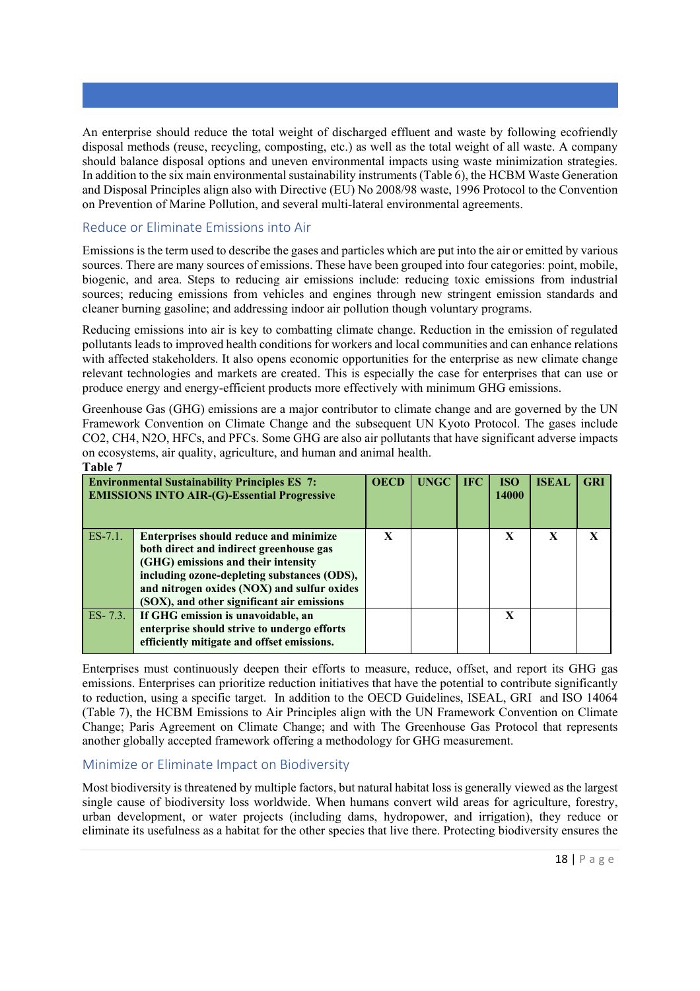An enterprise should reduce the total weight of discharged effluent and waste by following ecofriendly disposal methods (reuse, recycling, composting, etc.) as well as the total weight of all waste. A company should balance disposal options and uneven environmental impacts using waste minimization strategies. In addition to the six main environmental sustainability instruments (Table 6), the HCBM Waste Generation and Disposal Principles align also with Directive (EU) No 2008/98 waste, 1996 Protocol to the Convention on Prevention of Marine Pollution, and several multi-lateral environmental agreements.

# Reduce or Eliminate Emissions into Air

Emissions is the term used to describe the gases and particles which are put into the air or emitted by various sources. There are many sources of emissions. These have been grouped into four categories: point, mobile, biogenic, and area. Steps to reducing air emissions include: reducing toxic emissions from industrial sources; reducing emissions from vehicles and engines through new stringent emission standards and cleaner burning gasoline; and addressing indoor air pollution though voluntary programs.

Reducing emissions into air is key to combatting climate change. Reduction in the emission of regulated pollutants leads to improved health conditions for workers and local communities and can enhance relations with affected stakeholders. It also opens economic opportunities for the enterprise as new climate change relevant technologies and markets are created. This is especially the case for enterprises that can use or produce energy and energy-efficient products more effectively with minimum GHG emissions.

Greenhouse Gas (GHG) emissions are a major contributor to climate change and are governed by the UN Framework Convention on Climate Change and the subsequent UN Kyoto Protocol. The gases include CO2, CH4, N2O, HFCs, and PFCs. Some GHG are also air pollutants that have significant adverse impacts on ecosystems, air quality, agriculture, and human and animal health. **Table 7** 

| <b>Environmental Sustainability Principles ES 7:</b><br><b>EMISSIONS INTO AIR-(G)-Essential Progressive</b> |                                                                                                                                                                                                                                                                             |   | <b>UNGC</b> | <b>IFC</b> | <b>ISO</b><br>14000 | <b>ISEAL</b> | <b>GRI</b> |
|-------------------------------------------------------------------------------------------------------------|-----------------------------------------------------------------------------------------------------------------------------------------------------------------------------------------------------------------------------------------------------------------------------|---|-------------|------------|---------------------|--------------|------------|
| ES-7.1.                                                                                                     | <b>Enterprises should reduce and minimize</b><br>both direct and indirect greenhouse gas<br>(GHG) emissions and their intensity<br>including ozone-depleting substances (ODS),<br>and nitrogen oxides (NOX) and sulfur oxides<br>(SOX), and other significant air emissions | X |             |            | X                   | $\mathbf{x}$ |            |
| $ES-7.3.$                                                                                                   | If GHG emission is unavoidable, an<br>enterprise should strive to undergo efforts<br>efficiently mitigate and offset emissions.                                                                                                                                             |   |             |            | X                   |              |            |

Enterprises must continuously deepen their efforts to measure, reduce, offset, and report its GHG gas emissions. Enterprises can prioritize reduction initiatives that have the potential to contribute significantly to reduction, using a specific target. In addition to the OECD Guidelines, ISEAL, GRI and ISO 14064 (Table 7), the HCBM Emissions to Air Principles align with the UN Framework Convention on Climate Change; Paris Agreement on Climate Change; and with The Greenhouse Gas Protocol that represents another globally accepted framework offering a methodology for GHG measurement.

# Minimize or Eliminate Impact on Biodiversity

Most biodiversity is threatened by multiple factors, but natural habitat loss is generally viewed as the largest single cause of biodiversity loss worldwide. When humans convert wild areas for agriculture, forestry, urban development, or water projects (including dams, hydropower, and irrigation), they reduce or eliminate its usefulness as a habitat for the other species that live there. Protecting biodiversity ensures the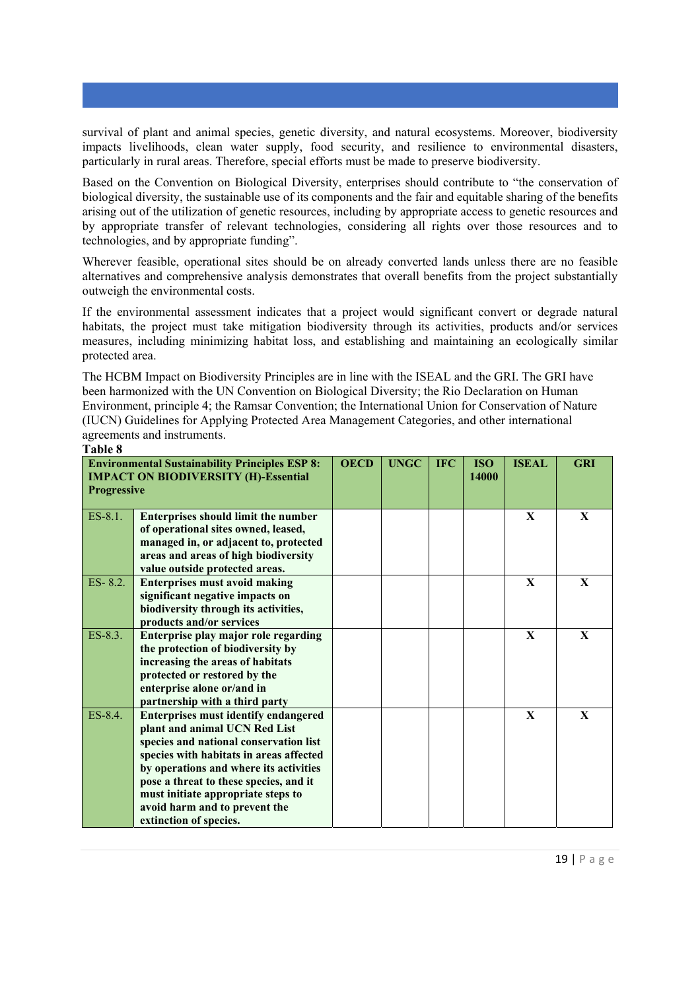survival of plant and animal species, genetic diversity, and natural ecosystems. Moreover, biodiversity impacts livelihoods, clean water supply, food security, and resilience to environmental disasters, particularly in rural areas. Therefore, special efforts must be made to preserve biodiversity.

Based on the Convention on Biological Diversity, enterprises should contribute to "the conservation of biological diversity, the sustainable use of its components and the fair and equitable sharing of the benefits arising out of the utilization of genetic resources, including by appropriate access to genetic resources and by appropriate transfer of relevant technologies, considering all rights over those resources and to technologies, and by appropriate funding".

Wherever feasible, operational sites should be on already converted lands unless there are no feasible alternatives and comprehensive analysis demonstrates that overall benefits from the project substantially outweigh the environmental costs.

If the environmental assessment indicates that a project would significant convert or degrade natural habitats, the project must take mitigation biodiversity through its activities, products and/or services measures, including minimizing habitat loss, and establishing and maintaining an ecologically similar protected area.

The HCBM Impact on Biodiversity Principles are in line with the ISEAL and the GRI. The GRI have been harmonized with the UN Convention on Biological Diversity; the Rio Declaration on Human Environment, principle 4; the Ramsar Convention; the International Union for Conservation of Nature (IUCN) Guidelines for Applying Protected Area Management Categories, and other international agreements and instruments.

**Table 8** 

| <b>Environmental Sustainability Principles ESP 8:</b><br><b>IMPACT ON BIODIVERSITY (H)-Essential</b><br><b>Progressive</b> | <b>OECD</b>                                                                                                                                                                                                                                                                                                                                            | <b>UNGC</b> | <b>IFC</b> | <b>ISO</b><br>14000 | <b>ISEAL</b> | <b>GRI</b>   |              |
|----------------------------------------------------------------------------------------------------------------------------|--------------------------------------------------------------------------------------------------------------------------------------------------------------------------------------------------------------------------------------------------------------------------------------------------------------------------------------------------------|-------------|------------|---------------------|--------------|--------------|--------------|
| $ES-8.1$ .                                                                                                                 | <b>Enterprises should limit the number</b><br>of operational sites owned, leased,<br>managed in, or adjacent to, protected<br>areas and areas of high biodiversity<br>value outside protected areas.                                                                                                                                                   |             |            |                     |              | $\mathbf{X}$ | $\mathbf{X}$ |
| $ES- 8.2.$                                                                                                                 | <b>Enterprises must avoid making</b><br>significant negative impacts on<br>biodiversity through its activities,<br>products and/or services                                                                                                                                                                                                            |             |            |                     |              | $\mathbf{X}$ | $\mathbf{X}$ |
| ES-8.3.                                                                                                                    | Enterprise play major role regarding<br>the protection of biodiversity by<br>increasing the areas of habitats<br>protected or restored by the<br>enterprise alone or/and in<br>partnership with a third party                                                                                                                                          |             |            |                     |              | $\mathbf{x}$ | $\mathbf{x}$ |
| ES-8.4.                                                                                                                    | <b>Enterprises must identify endangered</b><br>plant and animal UCN Red List<br>species and national conservation list<br>species with habitats in areas affected<br>by operations and where its activities<br>pose a threat to these species, and it<br>must initiate appropriate steps to<br>avoid harm and to prevent the<br>extinction of species. |             |            |                     |              | $\mathbf{x}$ | $\mathbf{x}$ |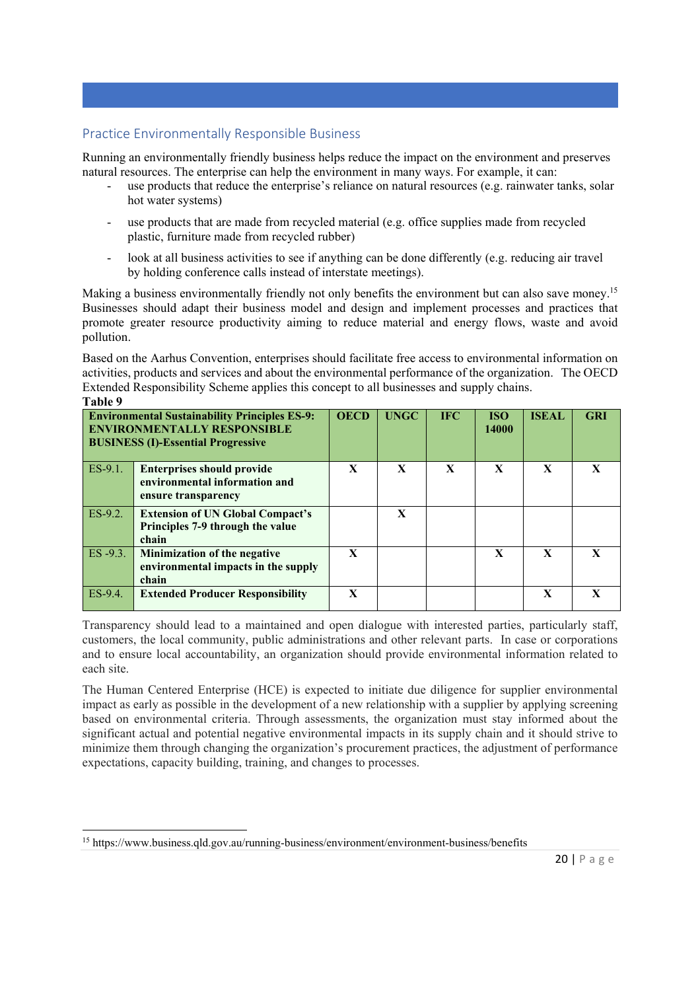# Practice Environmentally Responsible Business

Running an environmentally friendly business helps reduce the impact on the environment and preserves natural resources. The enterprise can help the environment in many ways. For example, it can:

- use products that reduce the enterprise's reliance on natural resources (e.g. rainwater tanks, solar hot water systems)
- use products that are made from recycled material (e.g. office supplies made from recycled plastic, furniture made from recycled rubber)
- look at all business activities to see if anything can be done differently (e.g. reducing air travel by holding conference calls instead of interstate meetings).

Making a business environmentally friendly not only benefits the environment but can also save money.<sup>15</sup> Businesses should adapt their business model and design and implement processes and practices that promote greater resource productivity aiming to reduce material and energy flows, waste and avoid pollution.

Based on the Aarhus Convention, enterprises should facilitate free access to environmental information on activities, products and services and about the environmental performance of the organization. The OECD Extended Responsibility Scheme applies this concept to all businesses and supply chains. **Table 9** 

| танге э                                                                                                                                 |                                                                                           |              |              |                     |              |              |              |  |
|-----------------------------------------------------------------------------------------------------------------------------------------|-------------------------------------------------------------------------------------------|--------------|--------------|---------------------|--------------|--------------|--------------|--|
| <b>Environmental Sustainability Principles ES-9:</b><br><b>ENVIRONMENTALLY RESPONSIBLE</b><br><b>BUSINESS (I)-Essential Progressive</b> | <b>OECD</b>                                                                               | <b>UNGC</b>  | <b>IFC</b>   | <b>ISO</b><br>14000 | <b>ISEAL</b> | <b>GRI</b>   |              |  |
| $ES-9.1$ .                                                                                                                              | <b>Enterprises should provide</b><br>environmental information and<br>ensure transparency | X            | X            | $\mathbf x$         | $\mathbf{X}$ | $\mathbf x$  |              |  |
| ES-9.2.                                                                                                                                 | <b>Extension of UN Global Compact's</b><br>Principles 7-9 through the value<br>chain      |              | $\mathbf{X}$ |                     |              |              |              |  |
| $ES - 9.3.$                                                                                                                             | Minimization of the negative<br>environmental impacts in the supply<br>chain              | $\mathbf{x}$ |              |                     | $\mathbf{x}$ | $\mathbf{x}$ | $\mathbf{x}$ |  |
| ES-9.4.                                                                                                                                 | <b>Extended Producer Responsibility</b>                                                   | $\mathbf{X}$ |              |                     |              | X            |              |  |

Transparency should lead to a maintained and open dialogue with interested parties, particularly staff, customers, the local community, public administrations and other relevant parts. In case or corporations and to ensure local accountability, an organization should provide environmental information related to each site.

The Human Centered Enterprise (HCE) is expected to initiate due diligence for supplier environmental impact as early as possible in the development of a new relationship with a supplier by applying screening based on environmental criteria. Through assessments, the organization must stay informed about the significant actual and potential negative environmental impacts in its supply chain and it should strive to minimize them through changing the organization's procurement practices, the adjustment of performance expectations, capacity building, training, and changes to processes.

<sup>15</sup> https://www.business.qld.gov.au/running-business/environment/environment-business/benefits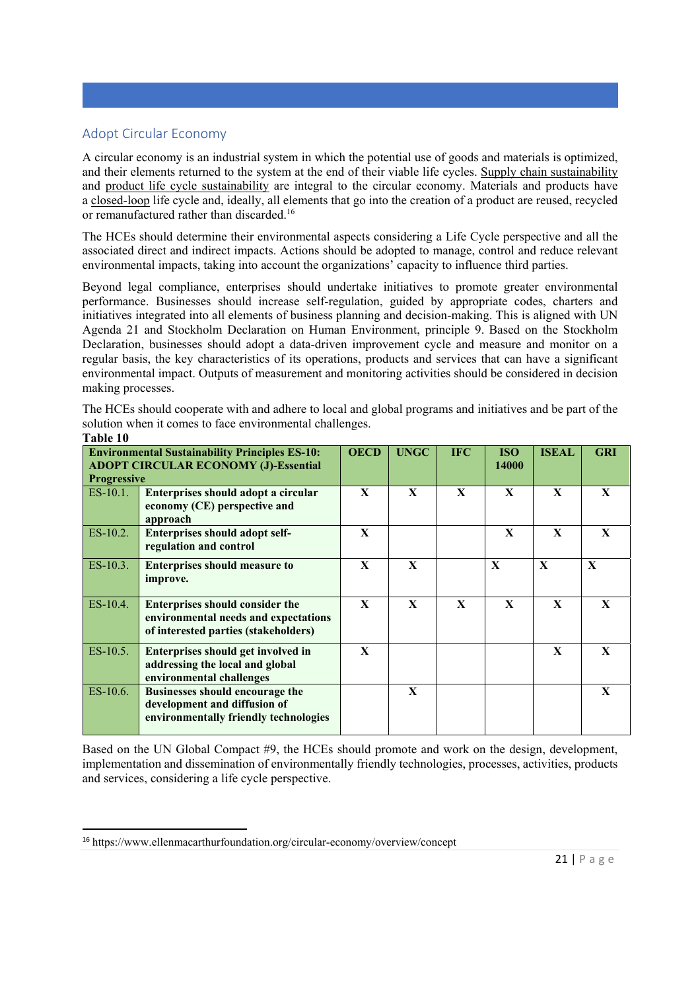# Adopt Circular Economy

A circular economy is an industrial system in which the potential use of goods and materials is optimized, and their elements returned to the system at the end of their viable life cycles. Supply chain sustainability and product life cycle sustainability are integral to the circular economy. Materials and products have a closed-loop life cycle and, ideally, all elements that go into the creation of a product are reused, recycled or remanufactured rather than discarded.16

The HCEs should determine their environmental aspects considering a Life Cycle perspective and all the associated direct and indirect impacts. Actions should be adopted to manage, control and reduce relevant environmental impacts, taking into account the organizations' capacity to influence third parties.

Beyond legal compliance, enterprises should undertake initiatives to promote greater environmental performance. Businesses should increase self-regulation, guided by appropriate codes, charters and initiatives integrated into all elements of business planning and decision-making. This is aligned with UN Agenda 21 and Stockholm Declaration on Human Environment, principle 9. Based on the Stockholm Declaration, businesses should adopt a data-driven improvement cycle and measure and monitor on a regular basis, the key characteristics of its operations, products and services that can have a significant environmental impact. Outputs of measurement and monitoring activities should be considered in decision making processes.

The HCEs should cooperate with and adhere to local and global programs and initiatives and be part of the solution when it comes to face environmental challenges. **Table 10** 

|             | <b>Environmental Sustainability Principles ES-10:</b><br><b>ADOPT CIRCULAR ECONOMY (J)-Essential</b><br><b>Progressive</b> |              |              | <b>IFC</b>   | <b>ISO</b><br>14000 | <b>ISEAL</b> | <b>GRI</b>   |
|-------------|----------------------------------------------------------------------------------------------------------------------------|--------------|--------------|--------------|---------------------|--------------|--------------|
| $ES-10.1$ . | Enterprises should adopt a circular<br>economy (CE) perspective and<br>approach                                            | $\mathbf{x}$ | $\mathbf{x}$ | $\mathbf{X}$ | $\mathbf{x}$        | $\mathbf{x}$ | $\mathbf{X}$ |
| ES-10.2.    | <b>Enterprises should adopt self-</b><br>regulation and control                                                            | $\mathbf{X}$ |              |              | $\mathbf{x}$        | $\mathbf{X}$ | $\mathbf{X}$ |
| $ES-10.3.$  | <b>Enterprises should measure to</b><br>improve.                                                                           | $\mathbf{X}$ | $\mathbf{x}$ |              | $\mathbf{X}$        | $\mathbf{x}$ | $\mathbf{X}$ |
| $ES-10.4$ . | <b>Enterprises should consider the</b><br>environmental needs and expectations<br>of interested parties (stakeholders)     | $\mathbf{x}$ | $\mathbf{x}$ | $\mathbf{x}$ | $\mathbf{X}$        | $\mathbf{X}$ | $\mathbf{X}$ |
| $ES-10.5.$  | Enterprises should get involved in<br>addressing the local and global<br>environmental challenges                          | $\mathbf{X}$ |              |              |                     | $\mathbf{x}$ | $\mathbf{X}$ |
| $ES-10.6.$  | <b>Businesses should encourage the</b><br>development and diffusion of<br>environmentally friendly technologies            |              | $\mathbf{x}$ |              |                     |              | $\mathbf{X}$ |

Based on the UN Global Compact #9, the HCEs should promote and work on the design, development, implementation and dissemination of environmentally friendly technologies, processes, activities, products and services, considering a life cycle perspective.

<sup>16</sup> https://www.ellenmacarthurfoundation.org/circular-economy/overview/concept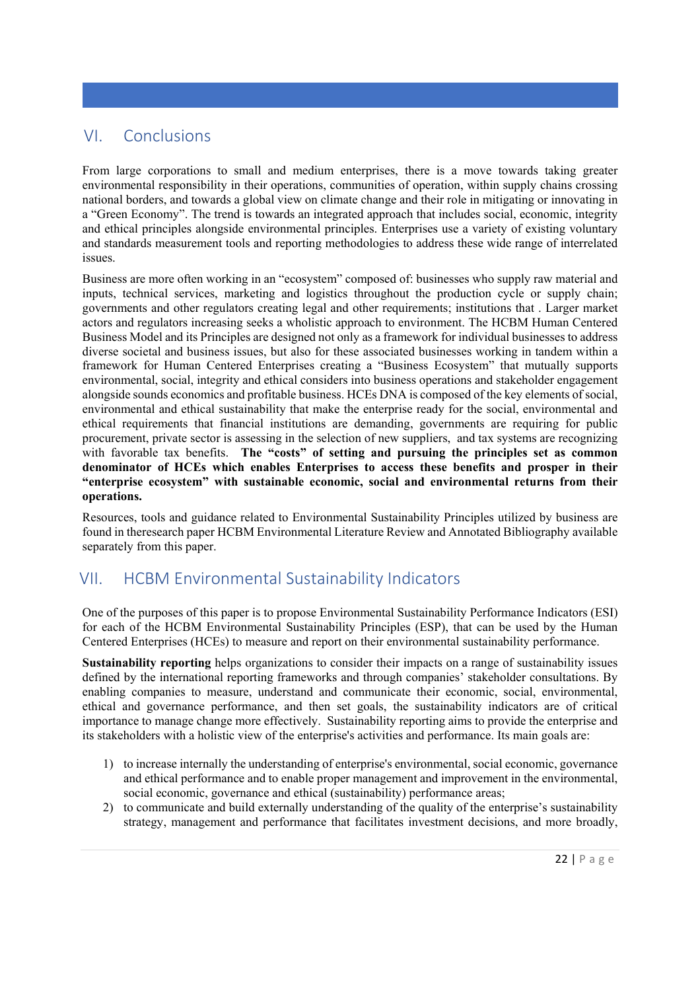# VI. Conclusions

From large corporations to small and medium enterprises, there is a move towards taking greater environmental responsibility in their operations, communities of operation, within supply chains crossing national borders, and towards a global view on climate change and their role in mitigating or innovating in a "Green Economy". The trend is towards an integrated approach that includes social, economic, integrity and ethical principles alongside environmental principles. Enterprises use a variety of existing voluntary and standards measurement tools and reporting methodologies to address these wide range of interrelated issues.

Business are more often working in an "ecosystem" composed of: businesses who supply raw material and inputs, technical services, marketing and logistics throughout the production cycle or supply chain; governments and other regulators creating legal and other requirements; institutions that . Larger market actors and regulators increasing seeks a wholistic approach to environment. The HCBM Human Centered Business Model and its Principles are designed not only as a framework for individual businesses to address diverse societal and business issues, but also for these associated businesses working in tandem within a framework for Human Centered Enterprises creating a "Business Ecosystem" that mutually supports environmental, social, integrity and ethical considers into business operations and stakeholder engagement alongside sounds economics and profitable business. HCEs DNA is composed of the key elements of social, environmental and ethical sustainability that make the enterprise ready for the social, environmental and ethical requirements that financial institutions are demanding, governments are requiring for public procurement, private sector is assessing in the selection of new suppliers, and tax systems are recognizing with favorable tax benefits. **The "costs" of setting and pursuing the principles set as common denominator of HCEs which enables Enterprises to access these benefits and prosper in their "enterprise ecosystem" with sustainable economic, social and environmental returns from their operations.** 

Resources, tools and guidance related to Environmental Sustainability Principles utilized by business are found in theresearch paper HCBM Environmental Literature Review and Annotated Bibliography available separately from this paper.

# VII. HCBM Environmental Sustainability Indicators

One of the purposes of this paper is to propose Environmental Sustainability Performance Indicators (ESI) for each of the HCBM Environmental Sustainability Principles (ESP), that can be used by the Human Centered Enterprises (HCEs) to measure and report on their environmental sustainability performance.

**Sustainability reporting** helps organizations to consider their impacts on a range of sustainability issues defined by the international reporting frameworks and through companies' stakeholder consultations. By enabling companies to measure, understand and communicate their economic, social, environmental, ethical and governance performance, and then set goals, the sustainability indicators are of critical importance to manage change more effectively. Sustainability reporting aims to provide the enterprise and its stakeholders with a holistic view of the enterprise's activities and performance. Its main goals are:

- 1) to increase internally the understanding of enterprise's environmental, social economic, governance and ethical performance and to enable proper management and improvement in the environmental, social economic, governance and ethical (sustainability) performance areas;
- 2) to communicate and build externally understanding of the quality of the enterprise's sustainability strategy, management and performance that facilitates investment decisions, and more broadly,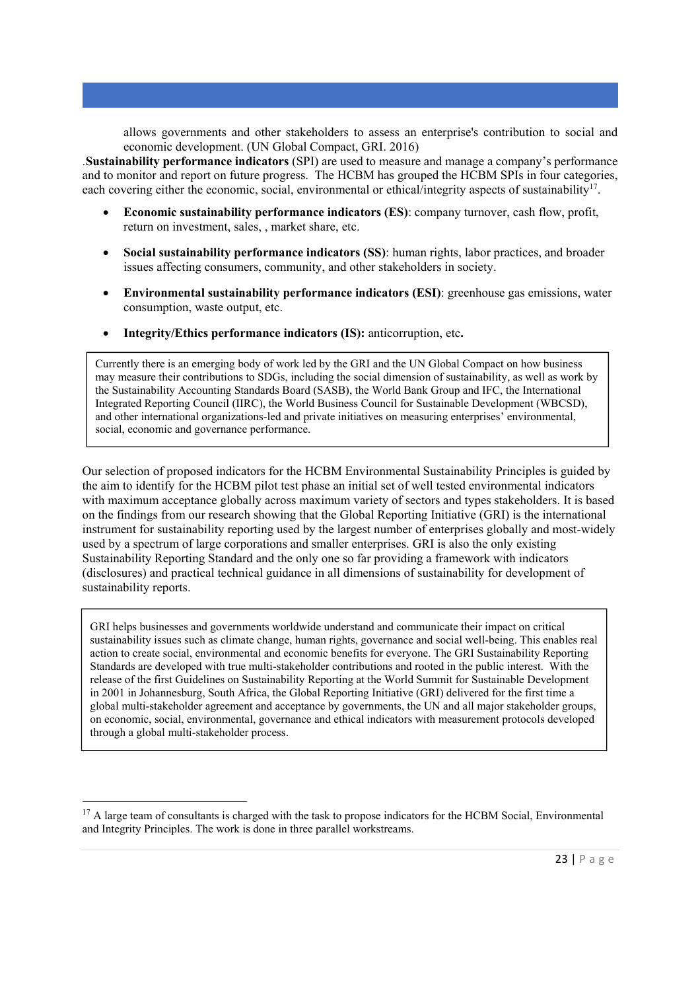allows governments and other stakeholders to assess an enterprise's contribution to social and economic development. (UN Global Compact, GRI. 2016)

.**Sustainability performance indicators** (SPI) are used to measure and manage a company's performance and to monitor and report on future progress. The HCBM has grouped the HCBM SPIs in four categories, each covering either the economic, social, environmental or ethical/integrity aspects of sustainability<sup>17</sup>.

- **Economic sustainability performance indicators (ES)**: company turnover, cash flow, profit, return on investment, sales, , market share, etc.
- **Social sustainability performance indicators (SS)**: human rights, labor practices, and broader issues affecting consumers, community, and other stakeholders in society.
- **Environmental sustainability performance indicators (ESI)**: greenhouse gas emissions, water consumption, waste output, etc.
- **Integrity/Ethics performance indicators (IS):** anticorruption, etc**.**

Currently there is an emerging body of work led by the GRI and the UN Global Compact on how business may measure their contributions to SDGs, including the social dimension of sustainability, as well as work by the Sustainability Accounting Standards Board (SASB), the World Bank Group and IFC, the International Integrated Reporting Council (IIRC), the World Business Council for Sustainable Development (WBCSD), and other international organizations-led and private initiatives on measuring enterprises' environmental, social, economic and governance performance.

Our selection of proposed indicators for the HCBM Environmental Sustainability Principles is guided by the aim to identify for the HCBM pilot test phase an initial set of well tested environmental indicators with maximum acceptance globally across maximum variety of sectors and types stakeholders. It is based on the findings from our research showing that the Global Reporting Initiative (GRI) is the international instrument for sustainability reporting used by the largest number of enterprises globally and most-widely used by a spectrum of large corporations and smaller enterprises. GRI is also the only existing Sustainability Reporting Standard and the only one so far providing a framework with indicators (disclosures) and practical technical guidance in all dimensions of sustainability for development of sustainability reports.

GRI helps businesses and governments worldwide understand and communicate their impact on critical sustainability issues such as climate change, human rights, governance and social well-being. This enables real action to create social, environmental and economic benefits for everyone. The GRI Sustainability Reporting Standards are developed with true multi-stakeholder contributions and rooted in the public interest. With the release of the first Guidelines on Sustainability Reporting at the World Summit for Sustainable Development in 2001 in Johannesburg, South Africa, the Global Reporting Initiative (GRI) delivered for the first time a global multi-stakeholder agreement and acceptance by governments, the UN and all major stakeholder groups, on economic, social, environmental, governance and ethical indicators with measurement protocols developed through a global multi-stakeholder process.

 $17$  A large team of consultants is charged with the task to propose indicators for the HCBM Social, Environmental and Integrity Principles. The work is done in three parallel workstreams.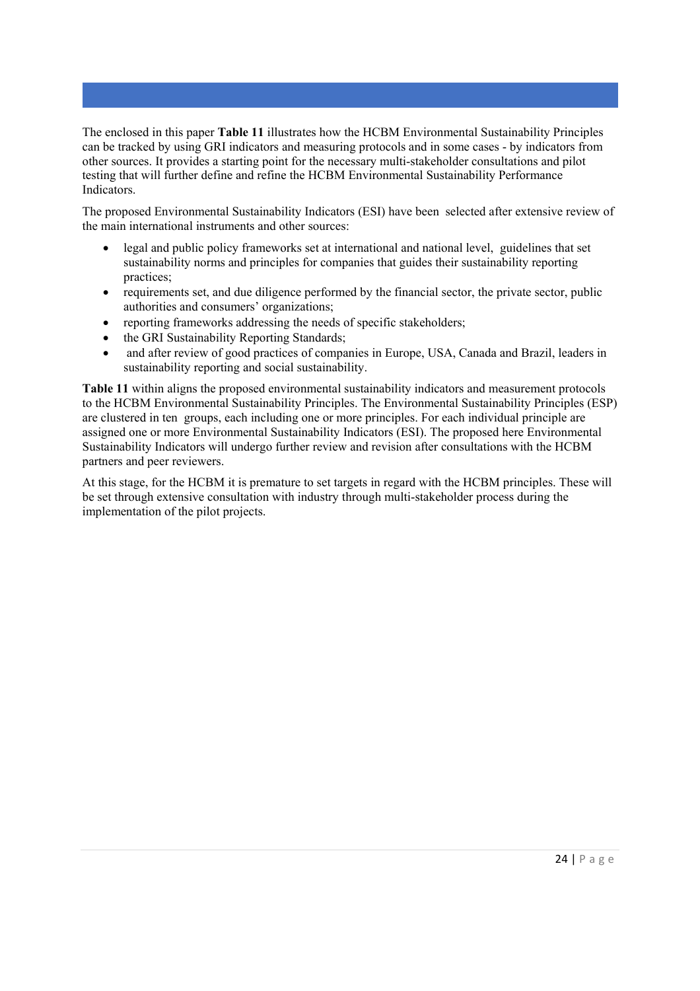The enclosed in this paper **Table 11** illustrates how the HCBM Environmental Sustainability Principles can be tracked by using GRI indicators and measuring protocols and in some cases - by indicators from other sources. It provides a starting point for the necessary multi-stakeholder consultations and pilot testing that will further define and refine the HCBM Environmental Sustainability Performance Indicators.

The proposed Environmental Sustainability Indicators (ESI) have been selected after extensive review of the main international instruments and other sources:

- legal and public policy frameworks set at international and national level, guidelines that set sustainability norms and principles for companies that guides their sustainability reporting practices;
- requirements set, and due diligence performed by the financial sector, the private sector, public authorities and consumers' organizations;
- reporting frameworks addressing the needs of specific stakeholders;
- the GRI Sustainability Reporting Standards;
- and after review of good practices of companies in Europe, USA, Canada and Brazil, leaders in sustainability reporting and social sustainability.

**Table 11** within aligns the proposed environmental sustainability indicators and measurement protocols to the HCBM Environmental Sustainability Principles. The Environmental Sustainability Principles (ESP) are clustered in ten groups, each including one or more principles. For each individual principle are assigned one or more Environmental Sustainability Indicators (ESI). The proposed here Environmental Sustainability Indicators will undergo further review and revision after consultations with the HCBM partners and peer reviewers.

At this stage, for the HCBM it is premature to set targets in regard with the HCBM principles. These will be set through extensive consultation with industry through multi-stakeholder process during the implementation of the pilot projects.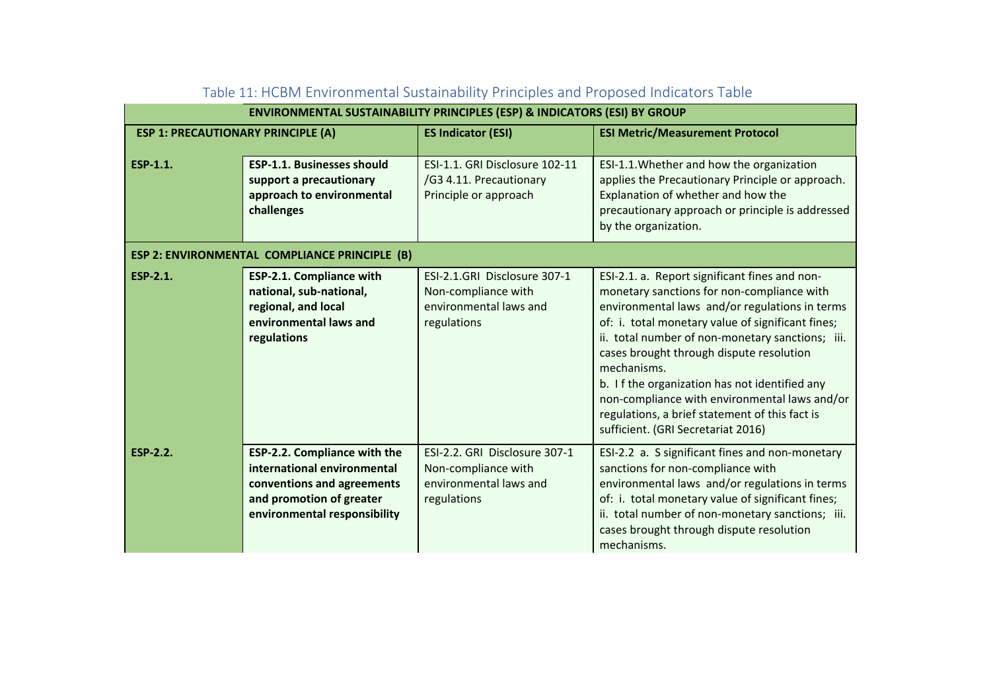|                                               |                                                                                                                                                              | <b>ENVIRONMENTAL SUSTAINABILITY PRINCIPLES (ESP) &amp; INDICATORS (ESI) BY GROUP</b>          |                                                                                                                                                                                                                                                                                                                                                                                                                                                                                                             |  |  |  |  |  |  |
|-----------------------------------------------|--------------------------------------------------------------------------------------------------------------------------------------------------------------|-----------------------------------------------------------------------------------------------|-------------------------------------------------------------------------------------------------------------------------------------------------------------------------------------------------------------------------------------------------------------------------------------------------------------------------------------------------------------------------------------------------------------------------------------------------------------------------------------------------------------|--|--|--|--|--|--|
| <b>ESP 1: PRECAUTIONARY PRINCIPLE (A)</b>     |                                                                                                                                                              | <b>ES Indicator (ESI)</b>                                                                     | <b>ESI Metric/Measurement Protocol</b>                                                                                                                                                                                                                                                                                                                                                                                                                                                                      |  |  |  |  |  |  |
| ESP-1.1.                                      | <b>ESP-1.1. Businesses should</b><br>support a precautionary<br>approach to environmental<br>challenges                                                      | ESI-1.1. GRI Disclosure 102-11<br>/G3 4.11. Precautionary<br>Principle or approach            | ESI-1.1. Whether and how the organization<br>applies the Precautionary Principle or approach.<br>Explanation of whether and how the<br>precautionary approach or principle is addressed<br>by the organization.                                                                                                                                                                                                                                                                                             |  |  |  |  |  |  |
| ESP 2: ENVIRONMENTAL COMPLIANCE PRINCIPLE (B) |                                                                                                                                                              |                                                                                               |                                                                                                                                                                                                                                                                                                                                                                                                                                                                                                             |  |  |  |  |  |  |
| <b>ESP-2.1.</b>                               | <b>ESP-2.1. Compliance with</b><br>national, sub-national,<br>regional, and local<br>environmental laws and<br>regulations                                   | ESI-2.1.GRI Disclosure 307-1<br>Non-compliance with<br>environmental laws and<br>regulations  | ESI-2.1. a. Report significant fines and non-<br>monetary sanctions for non-compliance with<br>environmental laws and/or regulations in terms<br>of: i. total monetary value of significant fines;<br>ii. total number of non-monetary sanctions; iii.<br>cases brought through dispute resolution<br>mechanisms.<br>b. If the organization has not identified any<br>non-compliance with environmental laws and/or<br>regulations, a brief statement of this fact is<br>sufficient. (GRI Secretariat 2016) |  |  |  |  |  |  |
| <b>ESP-2.2.</b>                               | <b>ESP-2.2. Compliance with the</b><br>international environmental<br>conventions and agreements<br>and promotion of greater<br>environmental responsibility | ESI-2.2. GRI Disclosure 307-1<br>Non-compliance with<br>environmental laws and<br>regulations | ESI-2.2 a. S significant fines and non-monetary<br>sanctions for non-compliance with<br>environmental laws and/or regulations in terms<br>of: i. total monetary value of significant fines;<br>ii. total number of non-monetary sanctions; iii.<br>cases brought through dispute resolution<br>mechanisms.                                                                                                                                                                                                  |  |  |  |  |  |  |

| Table 11: HCBM Environmental Sustainability Principles and Proposed Indicators Table |  |  |  |
|--------------------------------------------------------------------------------------|--|--|--|
|                                                                                      |  |  |  |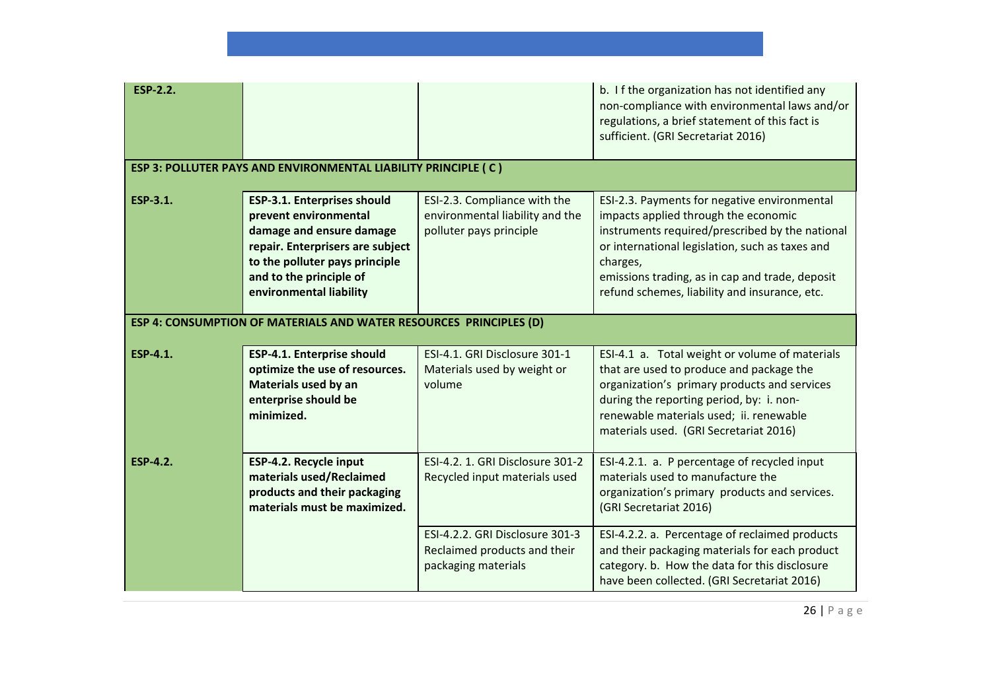| <b>ESP-2.2.</b> |                                                                                                                                                                                                                     |                                                                                            | b. If the organization has not identified any<br>non-compliance with environmental laws and/or<br>regulations, a brief statement of this fact is<br>sufficient. (GRI Secretariat 2016)                                                                                                                     |
|-----------------|---------------------------------------------------------------------------------------------------------------------------------------------------------------------------------------------------------------------|--------------------------------------------------------------------------------------------|------------------------------------------------------------------------------------------------------------------------------------------------------------------------------------------------------------------------------------------------------------------------------------------------------------|
|                 | ESP 3: POLLUTER PAYS AND ENVIRONMENTAL LIABILITY PRINCIPLE (C)                                                                                                                                                      |                                                                                            |                                                                                                                                                                                                                                                                                                            |
| ESP-3.1.        | <b>ESP-3.1. Enterprises should</b><br>prevent environmental<br>damage and ensure damage<br>repair. Enterprisers are subject<br>to the polluter pays principle<br>and to the principle of<br>environmental liability | ESI-2.3. Compliance with the<br>environmental liability and the<br>polluter pays principle | ESI-2.3. Payments for negative environmental<br>impacts applied through the economic<br>instruments required/prescribed by the national<br>or international legislation, such as taxes and<br>charges,<br>emissions trading, as in cap and trade, deposit<br>refund schemes, liability and insurance, etc. |
|                 | <b>ESP 4: CONSUMPTION OF MATERIALS AND WATER RESOURCES PRINCIPLES (D)</b>                                                                                                                                           |                                                                                            |                                                                                                                                                                                                                                                                                                            |
| <b>ESP-4.1.</b> | ESP-4.1. Enterprise should<br>optimize the use of resources.<br>Materials used by an<br>enterprise should be<br>minimized.                                                                                          | ESI-4.1. GRI Disclosure 301-1<br>Materials used by weight or<br>volume                     | ESI-4.1 a. Total weight or volume of materials<br>that are used to produce and package the<br>organization's primary products and services<br>during the reporting period, by: i. non-<br>renewable materials used; ii. renewable<br>materials used. (GRI Secretariat 2016)                                |
| <b>ESP-4.2.</b> | ESP-4.2. Recycle input<br>materials used/Reclaimed<br>products and their packaging<br>materials must be maximized.                                                                                                  | ESI-4.2. 1. GRI Disclosure 301-2<br>Recycled input materials used                          | ESI-4.2.1. a. P percentage of recycled input<br>materials used to manufacture the<br>organization's primary products and services.<br>(GRI Secretariat 2016)                                                                                                                                               |
|                 |                                                                                                                                                                                                                     | ESI-4.2.2. GRI Disclosure 301-3<br>Reclaimed products and their<br>packaging materials     | ESI-4.2.2. a. Percentage of reclaimed products<br>and their packaging materials for each product<br>category. b. How the data for this disclosure<br>have been collected. (GRI Secretariat 2016)                                                                                                           |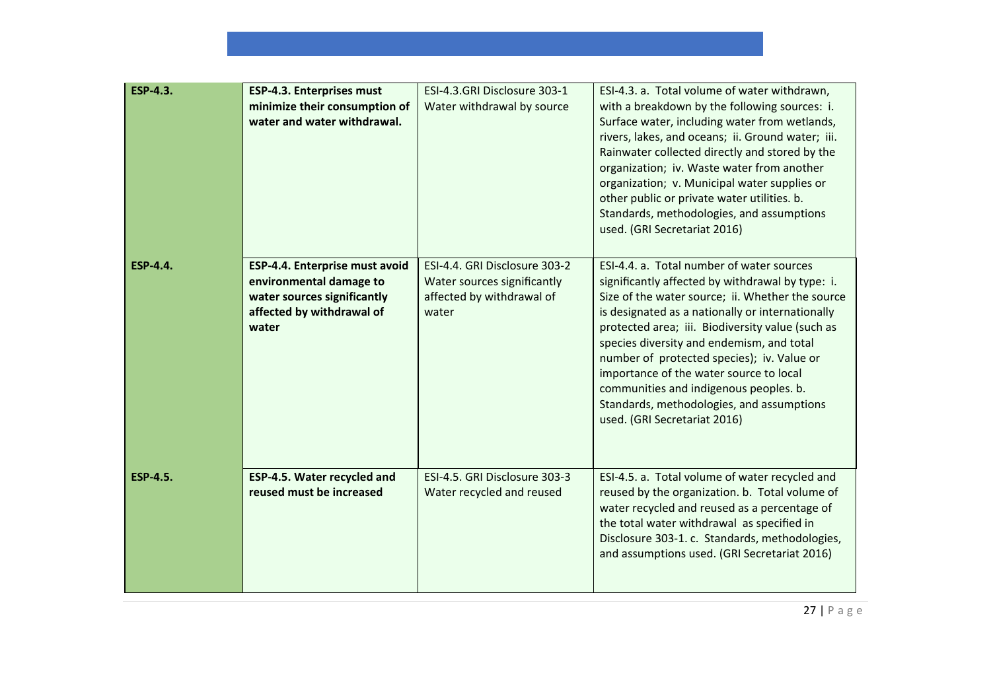| <b>ESP-4.3.</b> | <b>ESP-4.3. Enterprises must</b><br>minimize their consumption of<br>water and water withdrawal.                               | ESI-4.3.GRI Disclosure 303-1<br>Water withdrawal by source                                         | ESI-4.3. a. Total volume of water withdrawn,<br>with a breakdown by the following sources: i.<br>Surface water, including water from wetlands,<br>rivers, lakes, and oceans; ii. Ground water; iii.<br>Rainwater collected directly and stored by the<br>organization; iv. Waste water from another<br>organization; v. Municipal water supplies or<br>other public or private water utilities. b.<br>Standards, methodologies, and assumptions<br>used. (GRI Secretariat 2016)                                        |
|-----------------|--------------------------------------------------------------------------------------------------------------------------------|----------------------------------------------------------------------------------------------------|------------------------------------------------------------------------------------------------------------------------------------------------------------------------------------------------------------------------------------------------------------------------------------------------------------------------------------------------------------------------------------------------------------------------------------------------------------------------------------------------------------------------|
| <b>ESP-4.4.</b> | ESP-4.4. Enterprise must avoid<br>environmental damage to<br>water sources significantly<br>affected by withdrawal of<br>water | ESI-4.4. GRI Disclosure 303-2<br>Water sources significantly<br>affected by withdrawal of<br>water | ESI-4.4. a. Total number of water sources<br>significantly affected by withdrawal by type: i.<br>Size of the water source; ii. Whether the source<br>is designated as a nationally or internationally<br>protected area; iii. Biodiversity value (such as<br>species diversity and endemism, and total<br>number of protected species); iv. Value or<br>importance of the water source to local<br>communities and indigenous peoples. b.<br>Standards, methodologies, and assumptions<br>used. (GRI Secretariat 2016) |
| <b>ESP-4.5.</b> | ESP-4.5. Water recycled and<br>reused must be increased                                                                        | ESI-4.5. GRI Disclosure 303-3<br>Water recycled and reused                                         | ESI-4.5. a. Total volume of water recycled and<br>reused by the organization. b. Total volume of<br>water recycled and reused as a percentage of<br>the total water withdrawal as specified in<br>Disclosure 303-1. c. Standards, methodologies,<br>and assumptions used. (GRI Secretariat 2016)                                                                                                                                                                                                                       |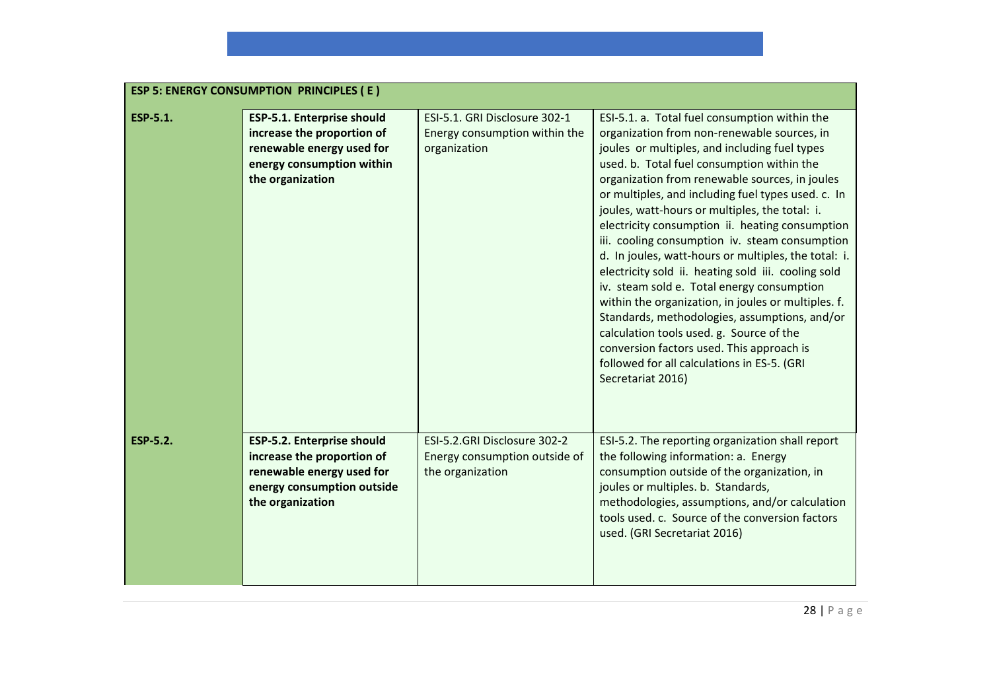|                 | <b>ESP 5: ENERGY CONSUMPTION PRINCIPLES (E)</b>                                                                                               |                                                                                   |                                                                                                                                                                                                                                                                                                                                                                                                                                                                                                                                                                                                                                                                                                                                                                                                                                                                                              |  |  |  |
|-----------------|-----------------------------------------------------------------------------------------------------------------------------------------------|-----------------------------------------------------------------------------------|----------------------------------------------------------------------------------------------------------------------------------------------------------------------------------------------------------------------------------------------------------------------------------------------------------------------------------------------------------------------------------------------------------------------------------------------------------------------------------------------------------------------------------------------------------------------------------------------------------------------------------------------------------------------------------------------------------------------------------------------------------------------------------------------------------------------------------------------------------------------------------------------|--|--|--|
| <b>ESP-5.1.</b> | <b>ESP-5.1. Enterprise should</b><br>increase the proportion of<br>renewable energy used for<br>energy consumption within<br>the organization | ESI-5.1. GRI Disclosure 302-1<br>Energy consumption within the<br>organization    | ESI-5.1. a. Total fuel consumption within the<br>organization from non-renewable sources, in<br>joules or multiples, and including fuel types<br>used. b. Total fuel consumption within the<br>organization from renewable sources, in joules<br>or multiples, and including fuel types used. c. In<br>joules, watt-hours or multiples, the total: i.<br>electricity consumption ii. heating consumption<br>iii. cooling consumption iv. steam consumption<br>d. In joules, watt-hours or multiples, the total: i.<br>electricity sold ii. heating sold iii. cooling sold<br>iv. steam sold e. Total energy consumption<br>within the organization, in joules or multiples. f.<br>Standards, methodologies, assumptions, and/or<br>calculation tools used. g. Source of the<br>conversion factors used. This approach is<br>followed for all calculations in ES-5. (GRI<br>Secretariat 2016) |  |  |  |
| <b>ESP-5.2.</b> | ESP-5.2. Enterprise should<br>increase the proportion of<br>renewable energy used for<br>energy consumption outside<br>the organization       | ESI-5.2.GRI Disclosure 302-2<br>Energy consumption outside of<br>the organization | ESI-5.2. The reporting organization shall report<br>the following information: a. Energy<br>consumption outside of the organization, in<br>joules or multiples. b. Standards,<br>methodologies, assumptions, and/or calculation<br>tools used. c. Source of the conversion factors<br>used. (GRI Secretariat 2016)                                                                                                                                                                                                                                                                                                                                                                                                                                                                                                                                                                           |  |  |  |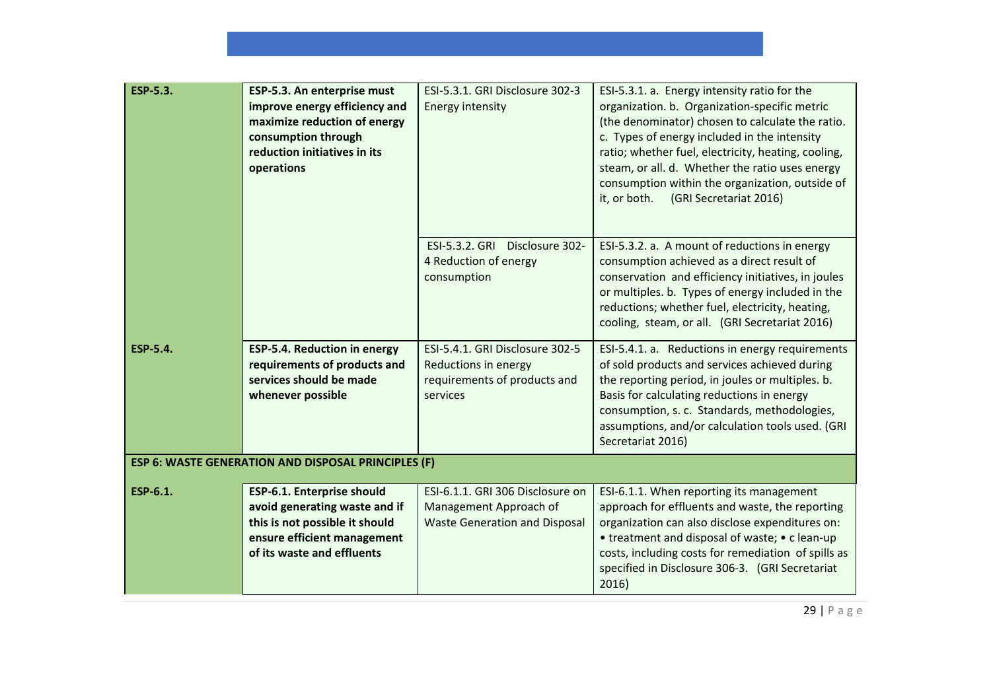| <b>ESP-5.3.</b> | ESP-5.3. An enterprise must<br>improve energy efficiency and<br>maximize reduction of energy<br>consumption through<br>reduction initiatives in its<br>operations | ESI-5.3.1. GRI Disclosure 302-3<br><b>Energy intensity</b>                                          | ESI-5.3.1. a. Energy intensity ratio for the<br>organization. b. Organization-specific metric<br>(the denominator) chosen to calculate the ratio.<br>c. Types of energy included in the intensity<br>ratio; whether fuel, electricity, heating, cooling,<br>steam, or all. d. Whether the ratio uses energy<br>consumption within the organization, outside of<br>it, or both.<br>(GRI Secretariat 2016) |
|-----------------|-------------------------------------------------------------------------------------------------------------------------------------------------------------------|-----------------------------------------------------------------------------------------------------|----------------------------------------------------------------------------------------------------------------------------------------------------------------------------------------------------------------------------------------------------------------------------------------------------------------------------------------------------------------------------------------------------------|
|                 |                                                                                                                                                                   | ESI-5.3.2. GRI Disclosure 302-<br>4 Reduction of energy<br>consumption                              | ESI-5.3.2. a. A mount of reductions in energy<br>consumption achieved as a direct result of<br>conservation and efficiency initiatives, in joules<br>or multiples. b. Types of energy included in the<br>reductions; whether fuel, electricity, heating,<br>cooling, steam, or all. (GRI Secretariat 2016)                                                                                               |
| <b>ESP-5.4.</b> | <b>ESP-5.4. Reduction in energy</b><br>requirements of products and<br>services should be made<br>whenever possible                                               | ESI-5.4.1. GRI Disclosure 302-5<br>Reductions in energy<br>requirements of products and<br>services | ESI-5.4.1. a. Reductions in energy requirements<br>of sold products and services achieved during<br>the reporting period, in joules or multiples. b.<br>Basis for calculating reductions in energy<br>consumption, s. c. Standards, methodologies,<br>assumptions, and/or calculation tools used. (GRI<br>Secretariat 2016)                                                                              |
|                 | ESP 6: WASTE GENERATION AND DISPOSAL PRINCIPLES (F)                                                                                                               |                                                                                                     |                                                                                                                                                                                                                                                                                                                                                                                                          |
| <b>ESP-6.1.</b> | <b>ESP-6.1. Enterprise should</b><br>avoid generating waste and if<br>this is not possible it should<br>ensure efficient management<br>of its waste and effluents | ESI-6.1.1. GRI 306 Disclosure on<br>Management Approach of<br><b>Waste Generation and Disposal</b>  | ESI-6.1.1. When reporting its management<br>approach for effluents and waste, the reporting<br>organization can also disclose expenditures on:<br>• treatment and disposal of waste; • c lean-up<br>costs, including costs for remediation of spills as<br>specified in Disclosure 306-3. (GRI Secretariat<br>2016)                                                                                      |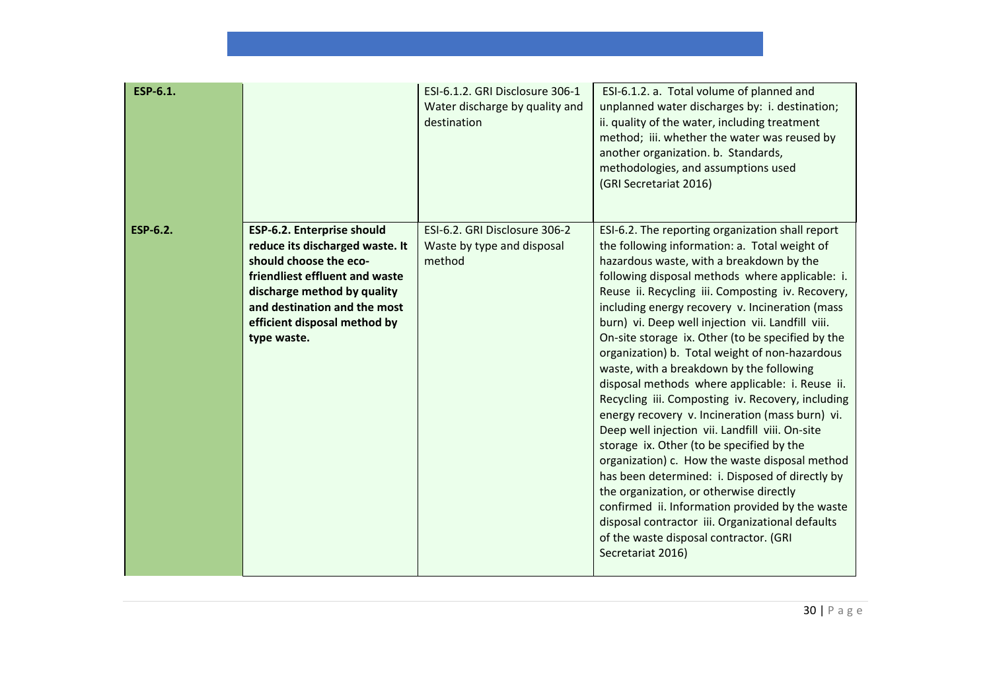| ESP-6.1.        |                                                                                                                                                                                                                                         | ESI-6.1.2. GRI Disclosure 306-1<br>Water discharge by quality and<br>destination | ESI-6.1.2. a. Total volume of planned and<br>unplanned water discharges by: i. destination;<br>ii. quality of the water, including treatment<br>method; iii. whether the water was reused by<br>another organization. b. Standards,<br>methodologies, and assumptions used<br>(GRI Secretariat 2016)                                                                                                                                                                                                                                                                                                                                                                                                                                                                                                                                                                                                                                                                                                                                                                                              |
|-----------------|-----------------------------------------------------------------------------------------------------------------------------------------------------------------------------------------------------------------------------------------|----------------------------------------------------------------------------------|---------------------------------------------------------------------------------------------------------------------------------------------------------------------------------------------------------------------------------------------------------------------------------------------------------------------------------------------------------------------------------------------------------------------------------------------------------------------------------------------------------------------------------------------------------------------------------------------------------------------------------------------------------------------------------------------------------------------------------------------------------------------------------------------------------------------------------------------------------------------------------------------------------------------------------------------------------------------------------------------------------------------------------------------------------------------------------------------------|
| <b>ESP-6.2.</b> | ESP-6.2. Enterprise should<br>reduce its discharged waste. It<br>should choose the eco-<br>friendliest effluent and waste<br>discharge method by quality<br>and destination and the most<br>efficient disposal method by<br>type waste. | ESI-6.2. GRI Disclosure 306-2<br>Waste by type and disposal<br>method            | ESI-6.2. The reporting organization shall report<br>the following information: a. Total weight of<br>hazardous waste, with a breakdown by the<br>following disposal methods where applicable: i.<br>Reuse ii. Recycling iii. Composting iv. Recovery,<br>including energy recovery v. Incineration (mass<br>burn) vi. Deep well injection vii. Landfill viii.<br>On-site storage ix. Other (to be specified by the<br>organization) b. Total weight of non-hazardous<br>waste, with a breakdown by the following<br>disposal methods where applicable: i. Reuse ii.<br>Recycling iii. Composting iv. Recovery, including<br>energy recovery v. Incineration (mass burn) vi.<br>Deep well injection vii. Landfill viii. On-site<br>storage ix. Other (to be specified by the<br>organization) c. How the waste disposal method<br>has been determined: i. Disposed of directly by<br>the organization, or otherwise directly<br>confirmed ii. Information provided by the waste<br>disposal contractor iii. Organizational defaults<br>of the waste disposal contractor. (GRI<br>Secretariat 2016) |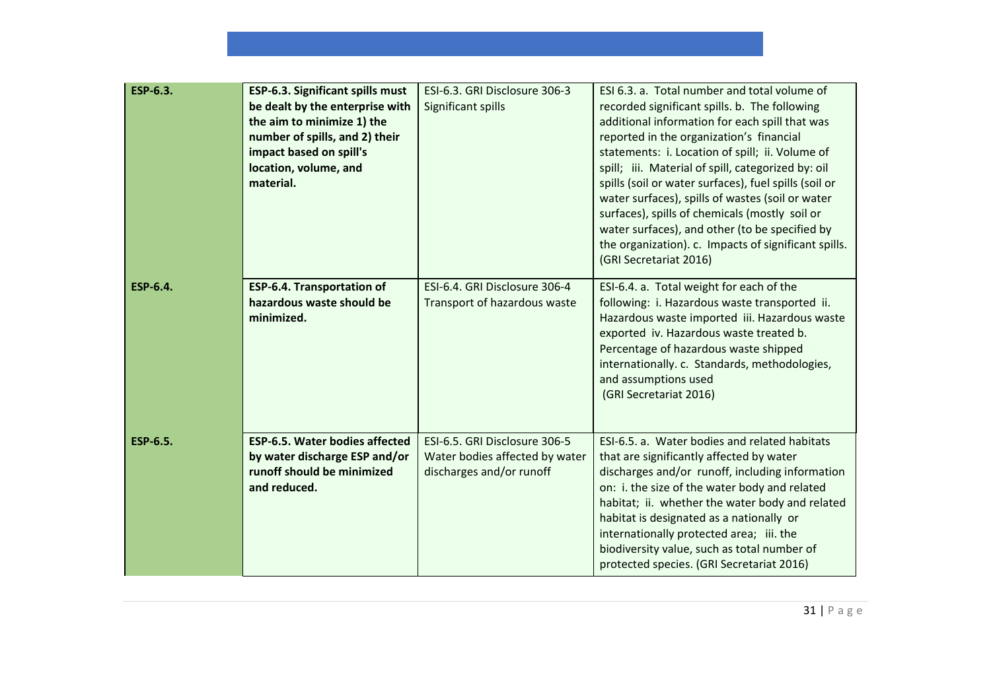| ESP-6.3.        | ESP-6.3. Significant spills must<br>be dealt by the enterprise with<br>the aim to minimize 1) the<br>number of spills, and 2) their<br>impact based on spill's<br>location, volume, and<br>material. | ESI-6.3. GRI Disclosure 306-3<br>Significant spills                                         | ESI 6.3. a. Total number and total volume of<br>recorded significant spills. b. The following<br>additional information for each spill that was<br>reported in the organization's financial<br>statements: i. Location of spill; ii. Volume of<br>spill; iii. Material of spill, categorized by: oil<br>spills (soil or water surfaces), fuel spills (soil or<br>water surfaces), spills of wastes (soil or water<br>surfaces), spills of chemicals (mostly soil or<br>water surfaces), and other (to be specified by<br>the organization). c. Impacts of significant spills.<br>(GRI Secretariat 2016) |
|-----------------|------------------------------------------------------------------------------------------------------------------------------------------------------------------------------------------------------|---------------------------------------------------------------------------------------------|---------------------------------------------------------------------------------------------------------------------------------------------------------------------------------------------------------------------------------------------------------------------------------------------------------------------------------------------------------------------------------------------------------------------------------------------------------------------------------------------------------------------------------------------------------------------------------------------------------|
| <b>ESP-6.4.</b> | <b>ESP-6.4. Transportation of</b><br>hazardous waste should be<br>minimized.                                                                                                                         | ESI-6.4. GRI Disclosure 306-4<br>Transport of hazardous waste                               | ESI-6.4. a. Total weight for each of the<br>following: i. Hazardous waste transported ii.<br>Hazardous waste imported iii. Hazardous waste<br>exported iv. Hazardous waste treated b.<br>Percentage of hazardous waste shipped<br>internationally. c. Standards, methodologies,<br>and assumptions used<br>(GRI Secretariat 2016)                                                                                                                                                                                                                                                                       |
| <b>ESP-6.5.</b> | <b>ESP-6.5. Water bodies affected</b><br>by water discharge ESP and/or<br>runoff should be minimized<br>and reduced.                                                                                 | ESI-6.5. GRI Disclosure 306-5<br>Water bodies affected by water<br>discharges and/or runoff | ESI-6.5. a. Water bodies and related habitats<br>that are significantly affected by water<br>discharges and/or runoff, including information<br>on: i. the size of the water body and related<br>habitat; ii. whether the water body and related<br>habitat is designated as a nationally or<br>internationally protected area; iii. the<br>biodiversity value, such as total number of<br>protected species. (GRI Secretariat 2016)                                                                                                                                                                    |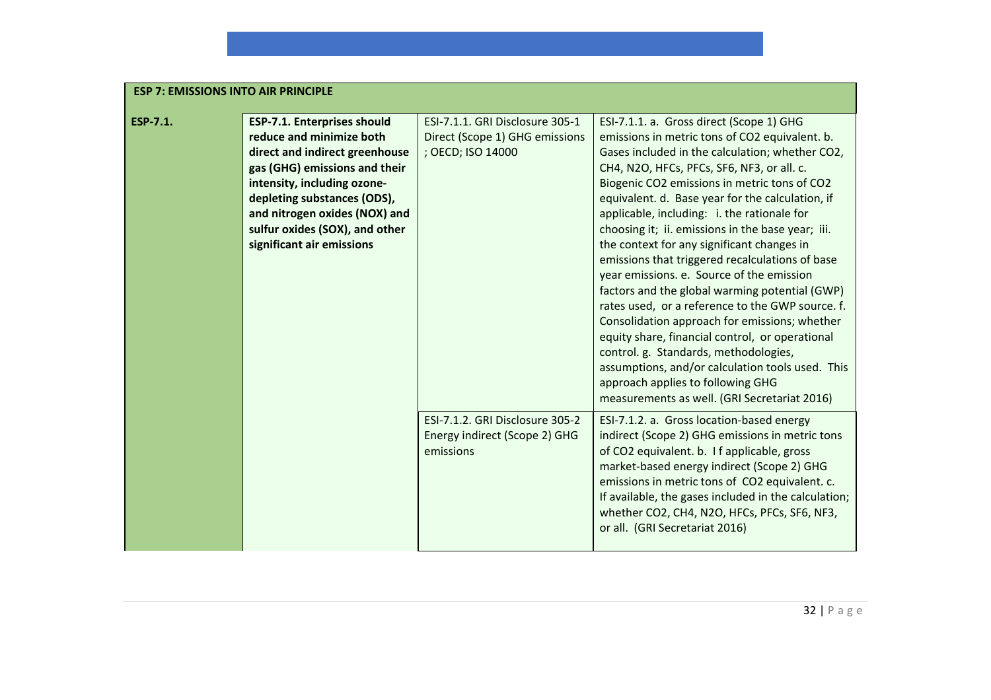| <b>ESP 7: EMISSIONS INTO AIR PRINCIPLE</b> |                                                                                                                                                                                                                                                                                                 |                                                                                        |                                                                                                                                                                                                                                                                                                                                                                                                                                                                                                                                                                                                                                                                                                                                                                                                                                                                                                                                               |
|--------------------------------------------|-------------------------------------------------------------------------------------------------------------------------------------------------------------------------------------------------------------------------------------------------------------------------------------------------|----------------------------------------------------------------------------------------|-----------------------------------------------------------------------------------------------------------------------------------------------------------------------------------------------------------------------------------------------------------------------------------------------------------------------------------------------------------------------------------------------------------------------------------------------------------------------------------------------------------------------------------------------------------------------------------------------------------------------------------------------------------------------------------------------------------------------------------------------------------------------------------------------------------------------------------------------------------------------------------------------------------------------------------------------|
| <b>ESP-7.1.</b>                            | <b>ESP-7.1. Enterprises should</b><br>reduce and minimize both<br>direct and indirect greenhouse<br>gas (GHG) emissions and their<br>intensity, including ozone-<br>depleting substances (ODS),<br>and nitrogen oxides (NOX) and<br>sulfur oxides (SOX), and other<br>significant air emissions | ESI-7.1.1. GRI Disclosure 305-1<br>Direct (Scope 1) GHG emissions<br>; OECD; ISO 14000 | ESI-7.1.1. a. Gross direct (Scope 1) GHG<br>emissions in metric tons of CO2 equivalent. b.<br>Gases included in the calculation; whether CO2,<br>CH4, N2O, HFCs, PFCs, SF6, NF3, or all. c.<br>Biogenic CO2 emissions in metric tons of CO2<br>equivalent. d. Base year for the calculation, if<br>applicable, including: i. the rationale for<br>choosing it; ii. emissions in the base year; iii.<br>the context for any significant changes in<br>emissions that triggered recalculations of base<br>year emissions. e. Source of the emission<br>factors and the global warming potential (GWP)<br>rates used, or a reference to the GWP source. f.<br>Consolidation approach for emissions; whether<br>equity share, financial control, or operational<br>control. g. Standards, methodologies,<br>assumptions, and/or calculation tools used. This<br>approach applies to following GHG<br>measurements as well. (GRI Secretariat 2016) |
|                                            |                                                                                                                                                                                                                                                                                                 | ESI-7.1.2. GRI Disclosure 305-2<br>Energy indirect (Scope 2) GHG<br>emissions          | ESI-7.1.2. a. Gross location-based energy<br>indirect (Scope 2) GHG emissions in metric tons<br>of CO2 equivalent. b. I f applicable, gross<br>market-based energy indirect (Scope 2) GHG<br>emissions in metric tons of CO2 equivalent. c.<br>If available, the gases included in the calculation;<br>whether CO2, CH4, N2O, HFCs, PFCs, SF6, NF3,<br>or all. (GRI Secretariat 2016)                                                                                                                                                                                                                                                                                                                                                                                                                                                                                                                                                         |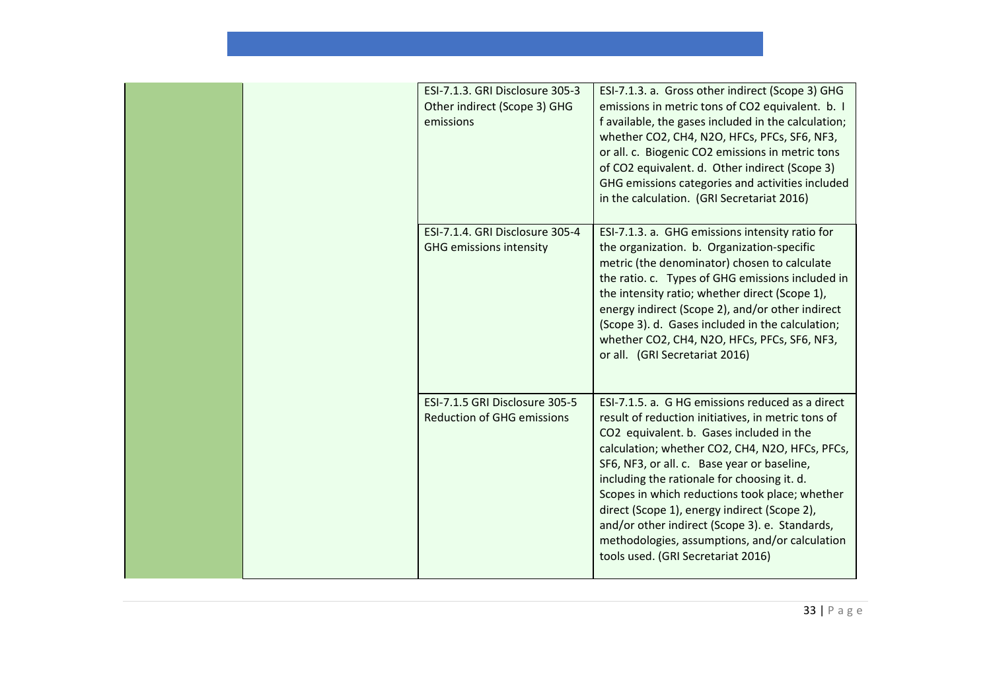| ESI-7.1.3. GRI Disclosure 305-3<br>Other indirect (Scope 3) GHG<br>emissions | ESI-7.1.3. a. Gross other indirect (Scope 3) GHG<br>emissions in metric tons of CO2 equivalent. b. I<br>f available, the gases included in the calculation;<br>whether CO2, CH4, N2O, HFCs, PFCs, SF6, NF3,<br>or all. c. Biogenic CO2 emissions in metric tons<br>of CO2 equivalent. d. Other indirect (Scope 3)<br>GHG emissions categories and activities included<br>in the calculation. (GRI Secretariat 2016)                                                                                                                             |
|------------------------------------------------------------------------------|-------------------------------------------------------------------------------------------------------------------------------------------------------------------------------------------------------------------------------------------------------------------------------------------------------------------------------------------------------------------------------------------------------------------------------------------------------------------------------------------------------------------------------------------------|
| ESI-7.1.4. GRI Disclosure 305-4<br><b>GHG emissions intensity</b>            | ESI-7.1.3. a. GHG emissions intensity ratio for<br>the organization. b. Organization-specific<br>metric (the denominator) chosen to calculate<br>the ratio. c. Types of GHG emissions included in<br>the intensity ratio; whether direct (Scope 1),<br>energy indirect (Scope 2), and/or other indirect<br>(Scope 3). d. Gases included in the calculation;<br>whether CO2, CH4, N2O, HFCs, PFCs, SF6, NF3,<br>or all. (GRI Secretariat 2016)                                                                                                   |
| ESI-7.1.5 GRI Disclosure 305-5<br><b>Reduction of GHG emissions</b>          | ESI-7.1.5. a. G HG emissions reduced as a direct<br>result of reduction initiatives, in metric tons of<br>CO2 equivalent. b. Gases included in the<br>calculation; whether CO2, CH4, N2O, HFCs, PFCs,<br>SF6, NF3, or all. c. Base year or baseline,<br>including the rationale for choosing it. d.<br>Scopes in which reductions took place; whether<br>direct (Scope 1), energy indirect (Scope 2),<br>and/or other indirect (Scope 3). e. Standards,<br>methodologies, assumptions, and/or calculation<br>tools used. (GRI Secretariat 2016) |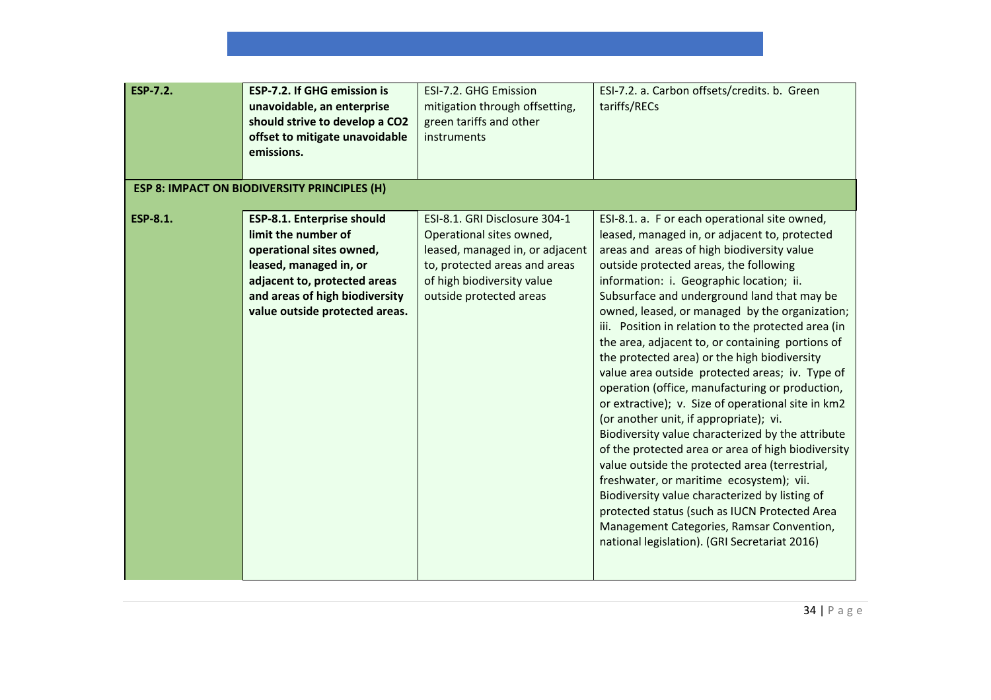| <b>ESP-7.2.</b> | <b>ESP-7.2. If GHG emission is</b><br>unavoidable, an enterprise<br>should strive to develop a CO2<br>offset to mitigate unavoidable<br>emissions.                                                                 | ESI-7.2. GHG Emission<br>mitigation through offsetting,<br>green tariffs and other<br>instruments                                                                                      | ESI-7.2. a. Carbon offsets/credits. b. Green<br>tariffs/RECs                                                                                                                                                                                                                                                                                                                                                                                                                                                                                                                                                                                                                                                                                                                                                                                                                                                                                                                                                                                                                                                   |
|-----------------|--------------------------------------------------------------------------------------------------------------------------------------------------------------------------------------------------------------------|----------------------------------------------------------------------------------------------------------------------------------------------------------------------------------------|----------------------------------------------------------------------------------------------------------------------------------------------------------------------------------------------------------------------------------------------------------------------------------------------------------------------------------------------------------------------------------------------------------------------------------------------------------------------------------------------------------------------------------------------------------------------------------------------------------------------------------------------------------------------------------------------------------------------------------------------------------------------------------------------------------------------------------------------------------------------------------------------------------------------------------------------------------------------------------------------------------------------------------------------------------------------------------------------------------------|
|                 | <b>ESP 8: IMPACT ON BIODIVERSITY PRINCIPLES (H)</b>                                                                                                                                                                |                                                                                                                                                                                        |                                                                                                                                                                                                                                                                                                                                                                                                                                                                                                                                                                                                                                                                                                                                                                                                                                                                                                                                                                                                                                                                                                                |
| <b>ESP-8.1.</b> | <b>ESP-8.1. Enterprise should</b><br>limit the number of<br>operational sites owned,<br>leased, managed in, or<br>adjacent to, protected areas<br>and areas of high biodiversity<br>value outside protected areas. | ESI-8.1. GRI Disclosure 304-1<br>Operational sites owned,<br>leased, managed in, or adjacent<br>to, protected areas and areas<br>of high biodiversity value<br>outside protected areas | ESI-8.1. a. F or each operational site owned,<br>leased, managed in, or adjacent to, protected<br>areas and areas of high biodiversity value<br>outside protected areas, the following<br>information: i. Geographic location; ii.<br>Subsurface and underground land that may be<br>owned, leased, or managed by the organization;<br>iii. Position in relation to the protected area (in<br>the area, adjacent to, or containing portions of<br>the protected area) or the high biodiversity<br>value area outside protected areas; iv. Type of<br>operation (office, manufacturing or production,<br>or extractive); v. Size of operational site in km2<br>(or another unit, if appropriate); vi.<br>Biodiversity value characterized by the attribute<br>of the protected area or area of high biodiversity<br>value outside the protected area (terrestrial,<br>freshwater, or maritime ecosystem); vii.<br>Biodiversity value characterized by listing of<br>protected status (such as IUCN Protected Area<br>Management Categories, Ramsar Convention,<br>national legislation). (GRI Secretariat 2016) |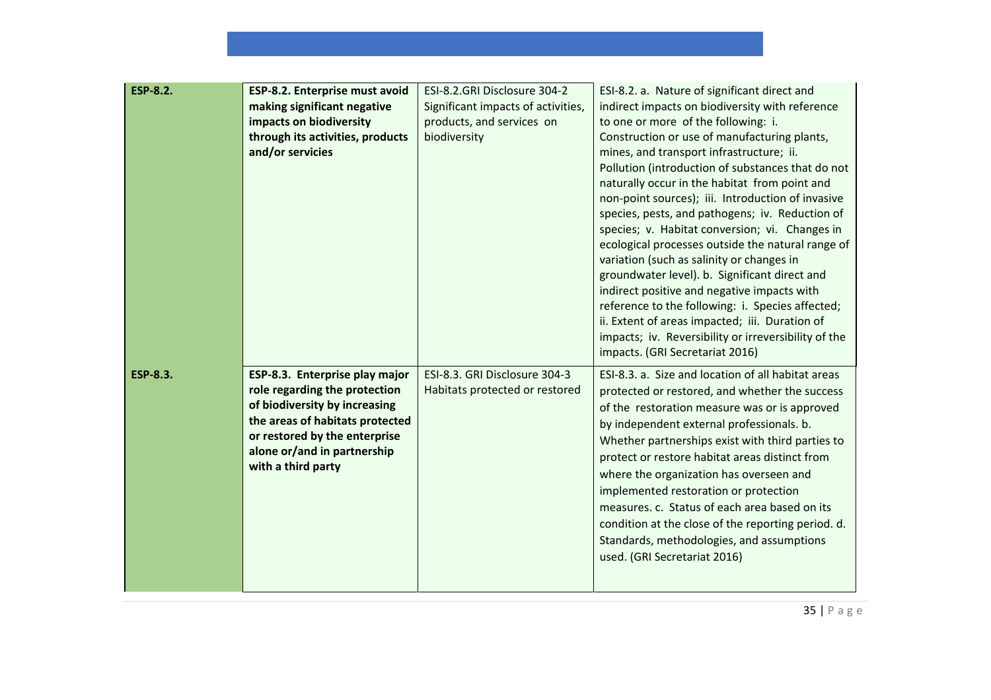| <b>ESP-8.2.</b> | ESP-8.2. Enterprise must avoid<br>making significant negative<br>impacts on biodiversity<br>through its activities, products<br>and/or servicies                                                                          | ESI-8.2.GRI Disclosure 304-2<br>Significant impacts of activities,<br>products, and services on<br>biodiversity | ESI-8.2. a. Nature of significant direct and<br>indirect impacts on biodiversity with reference<br>to one or more of the following: i.<br>Construction or use of manufacturing plants,<br>mines, and transport infrastructure; ii.<br>Pollution (introduction of substances that do not<br>naturally occur in the habitat from point and<br>non-point sources); iii. Introduction of invasive<br>species, pests, and pathogens; iv. Reduction of<br>species; v. Habitat conversion; vi. Changes in<br>ecological processes outside the natural range of<br>variation (such as salinity or changes in<br>groundwater level). b. Significant direct and<br>indirect positive and negative impacts with<br>reference to the following: i. Species affected;<br>ii. Extent of areas impacted; iii. Duration of<br>impacts; iv. Reversibility or irreversibility of the<br>impacts. (GRI Secretariat 2016) |
|-----------------|---------------------------------------------------------------------------------------------------------------------------------------------------------------------------------------------------------------------------|-----------------------------------------------------------------------------------------------------------------|-------------------------------------------------------------------------------------------------------------------------------------------------------------------------------------------------------------------------------------------------------------------------------------------------------------------------------------------------------------------------------------------------------------------------------------------------------------------------------------------------------------------------------------------------------------------------------------------------------------------------------------------------------------------------------------------------------------------------------------------------------------------------------------------------------------------------------------------------------------------------------------------------------|
| <b>ESP-8.3.</b> | ESP-8.3. Enterprise play major<br>role regarding the protection<br>of biodiversity by increasing<br>the areas of habitats protected<br>or restored by the enterprise<br>alone or/and in partnership<br>with a third party | ESI-8.3. GRI Disclosure 304-3<br>Habitats protected or restored                                                 | ESI-8.3. a. Size and location of all habitat areas<br>protected or restored, and whether the success<br>of the restoration measure was or is approved<br>by independent external professionals. b.<br>Whether partnerships exist with third parties to<br>protect or restore habitat areas distinct from<br>where the organization has overseen and<br>implemented restoration or protection<br>measures. c. Status of each area based on its<br>condition at the close of the reporting period. d.<br>Standards, methodologies, and assumptions<br>used. (GRI Secretariat 2016)                                                                                                                                                                                                                                                                                                                      |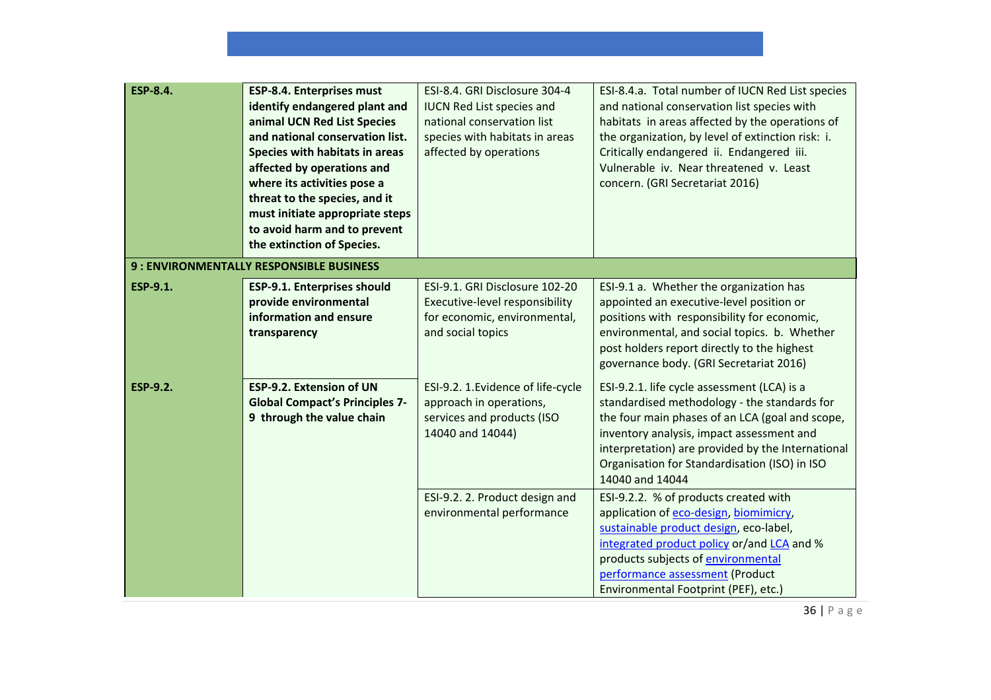| <b>ESP-8.4.</b> | ESP-8.4. Enterprises must<br>identify endangered plant and<br>animal UCN Red List Species<br>and national conservation list.<br>Species with habitats in areas<br>affected by operations and<br>where its activities pose a<br>threat to the species, and it<br>must initiate appropriate steps<br>to avoid harm and to prevent<br>the extinction of Species. | ESI-8.4. GRI Disclosure 304-4<br><b>IUCN Red List species and</b><br>national conservation list<br>species with habitats in areas<br>affected by operations | ESI-8.4.a. Total number of IUCN Red List species<br>and national conservation list species with<br>habitats in areas affected by the operations of<br>the organization, by level of extinction risk: i.<br>Critically endangered ii. Endangered iii.<br>Vulnerable iv. Near threatened v. Least<br>concern. (GRI Secretariat 2016) |
|-----------------|---------------------------------------------------------------------------------------------------------------------------------------------------------------------------------------------------------------------------------------------------------------------------------------------------------------------------------------------------------------|-------------------------------------------------------------------------------------------------------------------------------------------------------------|------------------------------------------------------------------------------------------------------------------------------------------------------------------------------------------------------------------------------------------------------------------------------------------------------------------------------------|
|                 | 9 : ENVIRONMENTALLY RESPONSIBLE BUSINESS                                                                                                                                                                                                                                                                                                                      |                                                                                                                                                             |                                                                                                                                                                                                                                                                                                                                    |
| <b>ESP-9.1.</b> | <b>ESP-9.1. Enterprises should</b><br>provide environmental<br>information and ensure<br>transparency                                                                                                                                                                                                                                                         | ESI-9.1. GRI Disclosure 102-20<br>Executive-level responsibility<br>for economic, environmental,<br>and social topics                                       | ESI-9.1 a. Whether the organization has<br>appointed an executive-level position or<br>positions with responsibility for economic,<br>environmental, and social topics. b. Whether<br>post holders report directly to the highest<br>governance body. (GRI Secretariat 2016)                                                       |
| <b>ESP-9.2.</b> | <b>ESP-9.2. Extension of UN</b><br><b>Global Compact's Principles 7-</b><br>9 through the value chain                                                                                                                                                                                                                                                         | ESI-9.2. 1. Evidence of life-cycle<br>approach in operations,<br>services and products (ISO<br>14040 and 14044)                                             | ESI-9.2.1. life cycle assessment (LCA) is a<br>standardised methodology - the standards for<br>the four main phases of an LCA (goal and scope,<br>inventory analysis, impact assessment and<br>interpretation) are provided by the International<br>Organisation for Standardisation (ISO) in ISO<br>14040 and 14044               |
|                 |                                                                                                                                                                                                                                                                                                                                                               | ESI-9.2. 2. Product design and<br>environmental performance                                                                                                 | ESI-9.2.2. % of products created with<br>application of eco-design, biomimicry,<br>sustainable product design, eco-label,<br>integrated product policy or/and LCA and %<br>products subjects of environmental<br>performance assessment (Product<br>Environmental Footprint (PEF), etc.)                                           |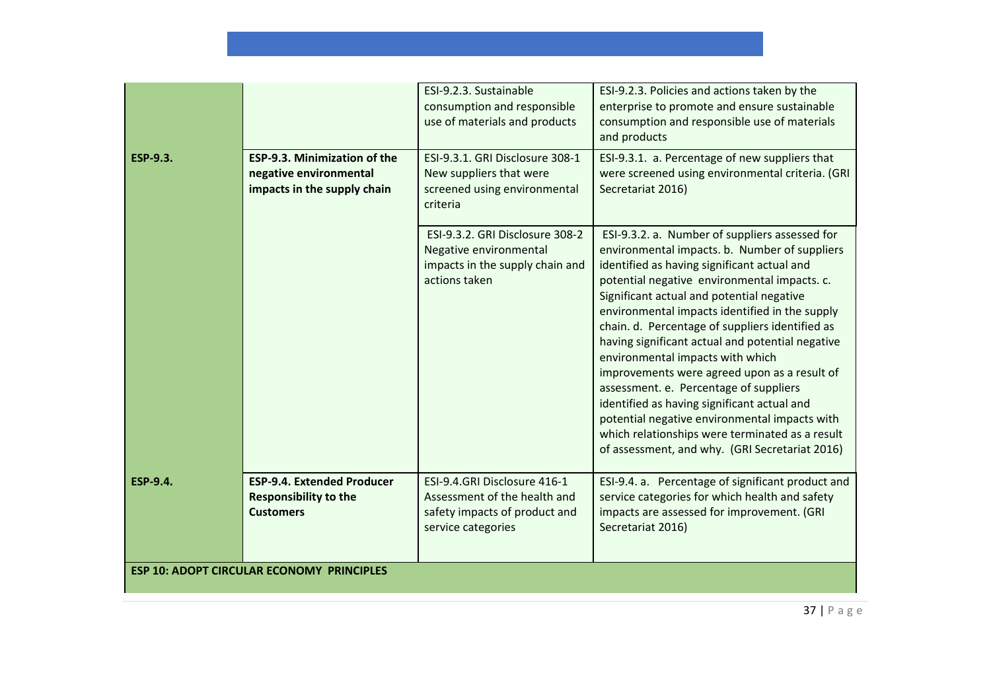| <b>ESP-9.3.</b>                                  | <b>ESP-9.3. Minimization of the</b><br>negative environmental<br>impacts in the supply chain | ESI-9.2.3. Sustainable<br>consumption and responsible<br>use of materials and products<br>ESI-9.3.1. GRI Disclosure 308-1<br>New suppliers that were<br>screened using environmental<br>criteria | ESI-9.2.3. Policies and actions taken by the<br>enterprise to promote and ensure sustainable<br>consumption and responsible use of materials<br>and products<br>ESI-9.3.1. a. Percentage of new suppliers that<br>were screened using environmental criteria. (GRI<br>Secretariat 2016)                                                                                                                                                                                                                                                                                                                                                                                                                                                 |  |  |
|--------------------------------------------------|----------------------------------------------------------------------------------------------|--------------------------------------------------------------------------------------------------------------------------------------------------------------------------------------------------|-----------------------------------------------------------------------------------------------------------------------------------------------------------------------------------------------------------------------------------------------------------------------------------------------------------------------------------------------------------------------------------------------------------------------------------------------------------------------------------------------------------------------------------------------------------------------------------------------------------------------------------------------------------------------------------------------------------------------------------------|--|--|
|                                                  |                                                                                              | ESI-9.3.2. GRI Disclosure 308-2<br>Negative environmental<br>impacts in the supply chain and<br>actions taken                                                                                    | ESI-9.3.2. a. Number of suppliers assessed for<br>environmental impacts. b. Number of suppliers<br>identified as having significant actual and<br>potential negative environmental impacts. c.<br>Significant actual and potential negative<br>environmental impacts identified in the supply<br>chain. d. Percentage of suppliers identified as<br>having significant actual and potential negative<br>environmental impacts with which<br>improvements were agreed upon as a result of<br>assessment. e. Percentage of suppliers<br>identified as having significant actual and<br>potential negative environmental impacts with<br>which relationships were terminated as a result<br>of assessment, and why. (GRI Secretariat 2016) |  |  |
| <b>ESP-9.4.</b>                                  | <b>ESP-9.4. Extended Producer</b><br><b>Responsibility to the</b><br><b>Customers</b>        | ESI-9.4.GRI Disclosure 416-1<br>Assessment of the health and<br>safety impacts of product and<br>service categories                                                                              | ESI-9.4. a. Percentage of significant product and<br>service categories for which health and safety<br>impacts are assessed for improvement. (GRI<br>Secretariat 2016)                                                                                                                                                                                                                                                                                                                                                                                                                                                                                                                                                                  |  |  |
| <b>ESP 10: ADOPT CIRCULAR ECONOMY PRINCIPLES</b> |                                                                                              |                                                                                                                                                                                                  |                                                                                                                                                                                                                                                                                                                                                                                                                                                                                                                                                                                                                                                                                                                                         |  |  |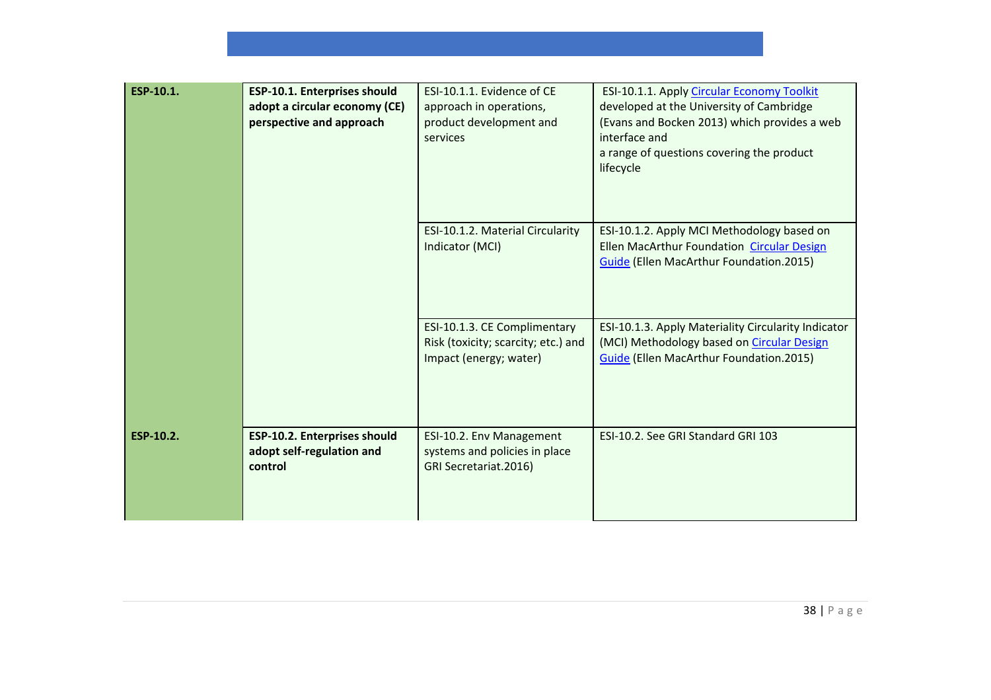| ESP-10.1. | ESP-10.1. Enterprises should<br>adopt a circular economy (CE)<br>perspective and approach | ESI-10.1.1. Evidence of CE<br>approach in operations,<br>product development and<br>services  | ESI-10.1.1. Apply Circular Economy Toolkit<br>developed at the University of Cambridge<br>(Evans and Bocken 2013) which provides a web<br>interface and<br>a range of questions covering the product<br>lifecycle |
|-----------|-------------------------------------------------------------------------------------------|-----------------------------------------------------------------------------------------------|-------------------------------------------------------------------------------------------------------------------------------------------------------------------------------------------------------------------|
|           |                                                                                           | ESI-10.1.2. Material Circularity<br>Indicator (MCI)                                           | ESI-10.1.2. Apply MCI Methodology based on<br>Ellen MacArthur Foundation Circular Design<br>Guide (Ellen MacArthur Foundation.2015)                                                                               |
|           |                                                                                           | ESI-10.1.3. CE Complimentary<br>Risk (toxicity; scarcity; etc.) and<br>Impact (energy; water) | ESI-10.1.3. Apply Materiality Circularity Indicator<br>(MCI) Methodology based on Circular Design<br>Guide (Ellen MacArthur Foundation.2015)                                                                      |
| ESP-10.2. | <b>ESP-10.2. Enterprises should</b><br>adopt self-regulation and<br>control               | ESI-10.2. Env Management<br>systems and policies in place<br>GRI Secretariat.2016)            | ESI-10.2. See GRI Standard GRI 103                                                                                                                                                                                |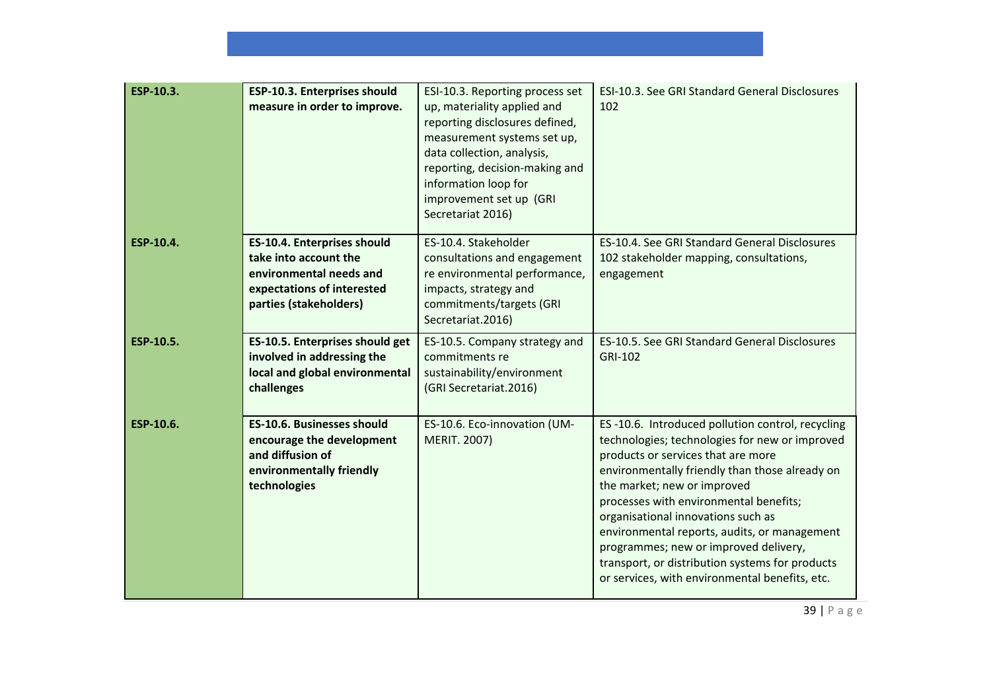| ESP-10.3. | <b>ESP-10.3. Enterprises should</b><br>measure in order to improve.                                                                            | ESI-10.3. Reporting process set<br>up, materiality applied and<br>reporting disclosures defined,<br>measurement systems set up,<br>data collection, analysis,<br>reporting, decision-making and<br>information loop for<br>improvement set up (GRI<br>Secretariat 2016) | ESI-10.3. See GRI Standard General Disclosures<br>102                                                                                                                                                                                                                                                                                                                                                                                                                                                   |
|-----------|------------------------------------------------------------------------------------------------------------------------------------------------|-------------------------------------------------------------------------------------------------------------------------------------------------------------------------------------------------------------------------------------------------------------------------|---------------------------------------------------------------------------------------------------------------------------------------------------------------------------------------------------------------------------------------------------------------------------------------------------------------------------------------------------------------------------------------------------------------------------------------------------------------------------------------------------------|
| ESP-10.4. | <b>ES-10.4. Enterprises should</b><br>take into account the<br>environmental needs and<br>expectations of interested<br>parties (stakeholders) | ES-10.4. Stakeholder<br>consultations and engagement<br>re environmental performance,<br>impacts, strategy and<br>commitments/targets (GRI<br>Secretariat.2016)                                                                                                         | ES-10.4. See GRI Standard General Disclosures<br>102 stakeholder mapping, consultations,<br>engagement                                                                                                                                                                                                                                                                                                                                                                                                  |
| ESP-10.5. | ES-10.5. Enterprises should get<br>involved in addressing the<br>local and global environmental<br>challenges                                  | ES-10.5. Company strategy and<br>commitments re<br>sustainability/environment<br>(GRI Secretariat.2016)                                                                                                                                                                 | ES-10.5. See GRI Standard General Disclosures<br>GRI-102                                                                                                                                                                                                                                                                                                                                                                                                                                                |
| ESP-10.6. | <b>ES-10.6. Businesses should</b><br>encourage the development<br>and diffusion of<br>environmentally friendly<br>technologies                 | ES-10.6. Eco-innovation (UM-<br><b>MERIT. 2007)</b>                                                                                                                                                                                                                     | ES-10.6. Introduced pollution control, recycling<br>technologies; technologies for new or improved<br>products or services that are more<br>environmentally friendly than those already on<br>the market; new or improved<br>processes with environmental benefits;<br>organisational innovations such as<br>environmental reports, audits, or management<br>programmes; new or improved delivery,<br>transport, or distribution systems for products<br>or services, with environmental benefits, etc. |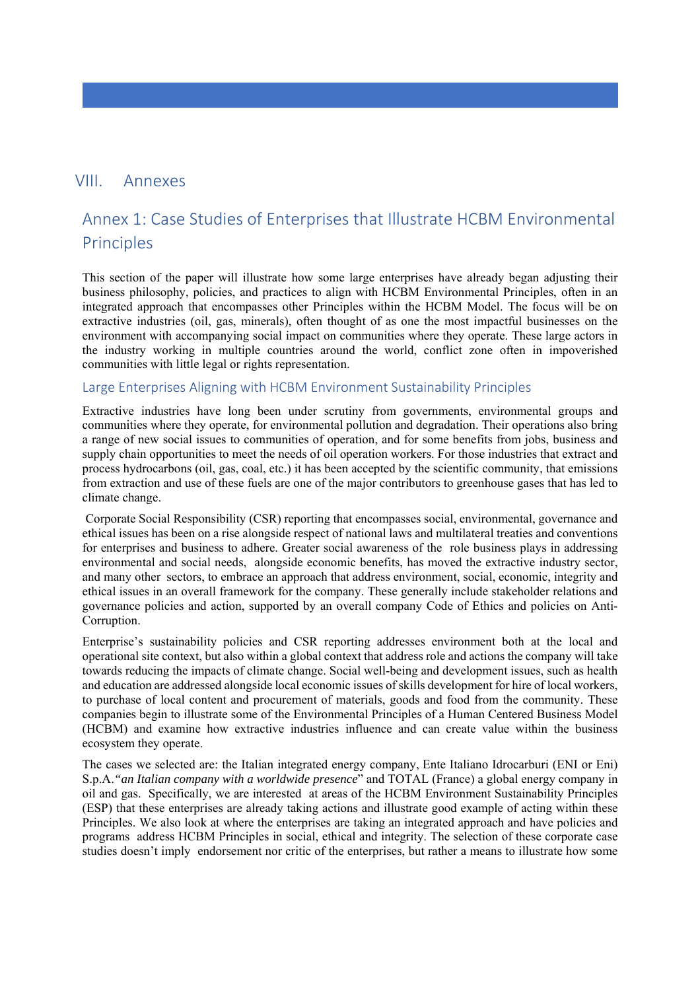# VIII. Annexes

# Annex 1: Case Studies of Enterprises that Illustrate HCBM Environmental Principles

This section of the paper will illustrate how some large enterprises have already began adjusting their business philosophy, policies, and practices to align with HCBM Environmental Principles, often in an integrated approach that encompasses other Principles within the HCBM Model. The focus will be on extractive industries (oil, gas, minerals), often thought of as one the most impactful businesses on the environment with accompanying social impact on communities where they operate. These large actors in the industry working in multiple countries around the world, conflict zone often in impoverished communities with little legal or rights representation.

#### Large Enterprises Aligning with HCBM Environment Sustainability Principles

Extractive industries have long been under scrutiny from governments, environmental groups and communities where they operate, for environmental pollution and degradation. Their operations also bring a range of new social issues to communities of operation, and for some benefits from jobs, business and supply chain opportunities to meet the needs of oil operation workers. For those industries that extract and process hydrocarbons (oil, gas, coal, etc.) it has been accepted by the scientific community, that emissions from extraction and use of these fuels are one of the major contributors to greenhouse gases that has led to climate change.

 Corporate Social Responsibility (CSR) reporting that encompasses social, environmental, governance and ethical issues has been on a rise alongside respect of national laws and multilateral treaties and conventions for enterprises and business to adhere. Greater social awareness of the role business plays in addressing environmental and social needs, alongside economic benefits, has moved the extractive industry sector, and many other sectors, to embrace an approach that address environment, social, economic, integrity and ethical issues in an overall framework for the company. These generally include stakeholder relations and governance policies and action, supported by an overall company Code of Ethics and policies on Anti-Corruption.

Enterprise's sustainability policies and CSR reporting addresses environment both at the local and operational site context, but also within a global context that address role and actions the company will take towards reducing the impacts of climate change. Social well-being and development issues, such as health and education are addressed alongside local economic issues of skills development for hire of local workers, to purchase of local content and procurement of materials, goods and food from the community. These companies begin to illustrate some of the Environmental Principles of a Human Centered Business Model (HCBM) and examine how extractive industries influence and can create value within the business ecosystem they operate.

The cases we selected are: the Italian integrated energy company, Ente Italiano Idrocarburi (ENI or Eni) S.p.A.*"an Italian company with a worldwide presence*" and TOTAL (France) a global energy company in oil and gas. Specifically, we are interested at areas of the HCBM Environment Sustainability Principles (ESP) that these enterprises are already taking actions and illustrate good example of acting within these Principles. We also look at where the enterprises are taking an integrated approach and have policies and programs address HCBM Principles in social, ethical and integrity. The selection of these corporate case studies doesn't imply endorsement nor critic of the enterprises, but rather a means to illustrate how some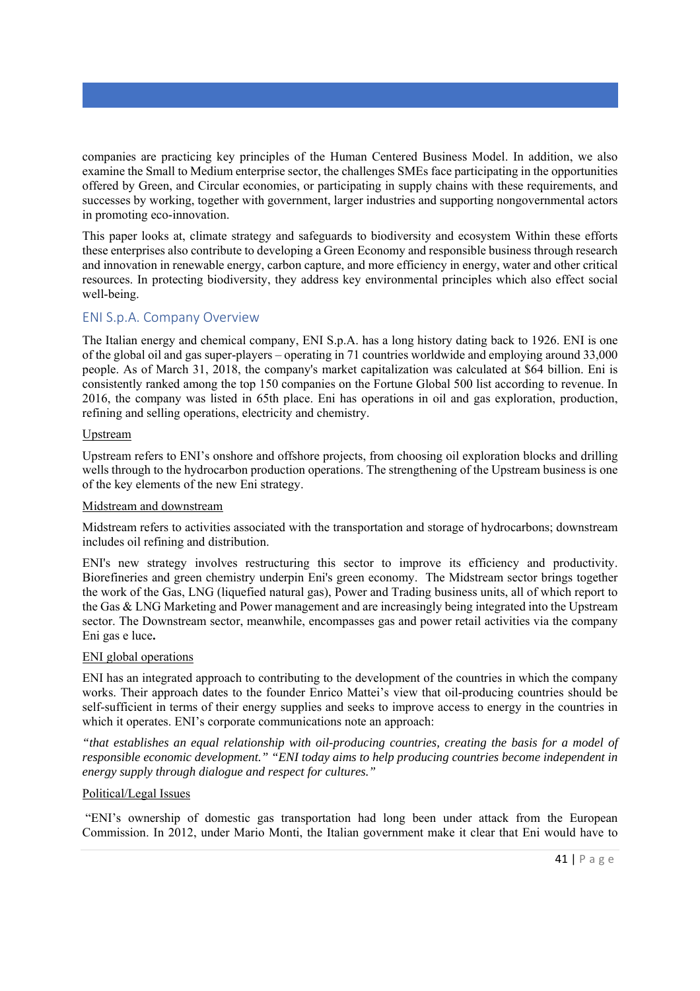companies are practicing key principles of the Human Centered Business Model. In addition, we also examine the Small to Medium enterprise sector, the challenges SMEs face participating in the opportunities offered by Green, and Circular economies, or participating in supply chains with these requirements, and successes by working, together with government, larger industries and supporting nongovernmental actors in promoting eco-innovation.

This paper looks at, climate strategy and safeguards to biodiversity and ecosystem Within these efforts these enterprises also contribute to developing a Green Economy and responsible business through research and innovation in renewable energy, carbon capture, and more efficiency in energy, water and other critical resources. In protecting biodiversity, they address key environmental principles which also effect social well-being.

# ENI S.p.A. Company Overview

The Italian energy and chemical company, ENI S.p.A. has a long history dating back to 1926. ENI is one of the global oil and gas super-players – operating in 71 countries worldwide and employing around 33,000 people. As of March 31, 2018, the company's market capitalization was calculated at \$64 billion. Eni is consistently ranked among the top 150 companies on the Fortune Global 500 list according to revenue. In 2016, the company was listed in 65th place. Eni has operations in oil and gas exploration, production, refining and selling operations, electricity and chemistry.

#### Upstream

Upstream refers to ENI's onshore and offshore projects, from choosing oil exploration blocks and drilling wells through to the hydrocarbon production operations. The strengthening of the Upstream business is one of the key elements of the new Eni strategy.

#### Midstream and downstream

Midstream refers to activities associated with the transportation and storage of hydrocarbons; downstream includes oil refining and distribution.

ENI's new strategy involves restructuring this sector to improve its efficiency and productivity. Biorefineries and green chemistry underpin Eni's green economy. The Midstream sector brings together the work of the Gas, LNG (liquefied natural gas), Power and Trading business units, all of which report to the Gas & LNG Marketing and Power management and are increasingly being integrated into the Upstream sector. The Downstream sector, meanwhile, encompasses gas and power retail activities via the company Eni gas e luce**.** 

#### ENI global operations

ENI has an integrated approach to contributing to the development of the countries in which the company works. Their approach dates to the founder Enrico Mattei's view that oil-producing countries should be self-sufficient in terms of their energy supplies and seeks to improve access to energy in the countries in which it operates. ENI's corporate communications note an approach:

*"that establishes an equal relationship with oil-producing countries, creating the basis for a model of responsible economic development." "ENI today aims to help producing countries become independent in energy supply through dialogue and respect for cultures."*

#### Political/Legal Issues

 "ENI's ownership of domestic gas transportation had long been under attack from the European Commission. In 2012, under Mario Monti, the Italian government make it clear that Eni would have to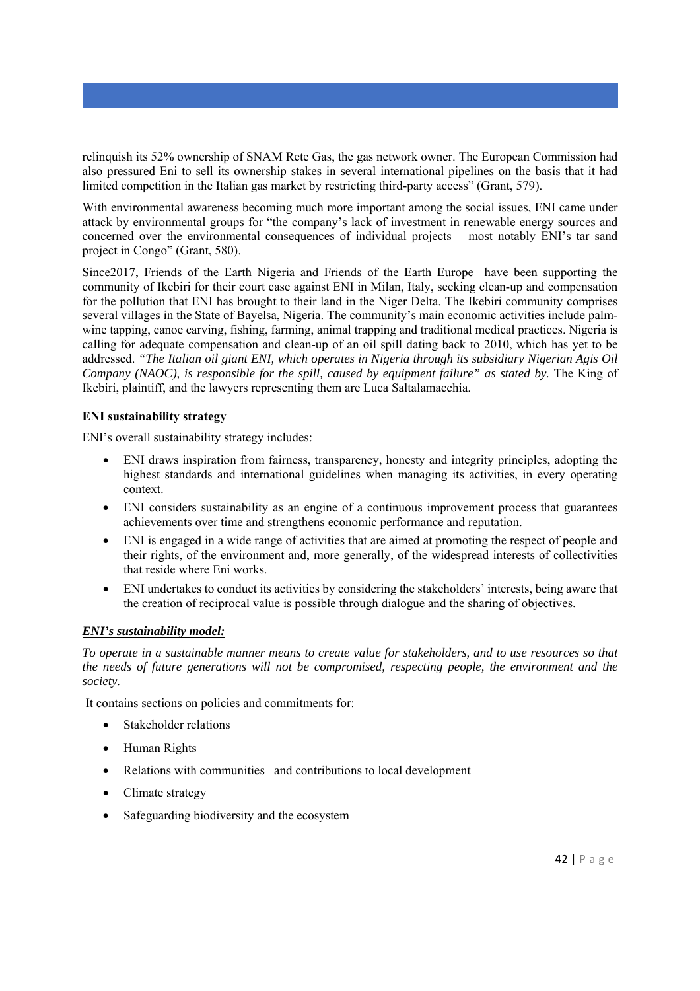relinquish its 52% ownership of SNAM Rete Gas, the gas network owner. The European Commission had also pressured Eni to sell its ownership stakes in several international pipelines on the basis that it had limited competition in the Italian gas market by restricting third-party access" (Grant, 579).

With environmental awareness becoming much more important among the social issues, ENI came under attack by environmental groups for "the company's lack of investment in renewable energy sources and concerned over the environmental consequences of individual projects – most notably ENI's tar sand project in Congo" (Grant, 580).

Since2017, Friends of the Earth Nigeria and Friends of the Earth Europe have been supporting the community of Ikebiri for their court case against ENI in Milan, Italy, seeking clean-up and compensation for the pollution that ENI has brought to their land in the Niger Delta. The Ikebiri community comprises several villages in the State of Bayelsa, Nigeria. The community's main economic activities include palmwine tapping, canoe carving, fishing, farming, animal trapping and traditional medical practices. Nigeria is calling for adequate compensation and clean-up of an oil spill dating back to 2010, which has yet to be addressed. *"The Italian oil giant ENI, which operates in Nigeria through its subsidiary Nigerian Agis Oil Company (NAOC), is responsible for the spill, caused by equipment failure" as stated by.* The King of Ikebiri, plaintiff, and the lawyers representing them are Luca Saltalamacchia.

### **ENI sustainability strategy**

ENI's overall sustainability strategy includes:

- ENI draws inspiration from fairness, transparency, honesty and integrity principles, adopting the highest standards and international guidelines when managing its activities, in every operating context.
- ENI considers sustainability as an engine of a continuous improvement process that guarantees achievements over time and strengthens economic performance and reputation.
- ENI is engaged in a wide range of activities that are aimed at promoting the respect of people and their rights, of the environment and, more generally, of the widespread interests of collectivities that reside where Eni works.
- ENI undertakes to conduct its activities by considering the stakeholders' interests, being aware that the creation of reciprocal value is possible through dialogue and the sharing of objectives.

#### *ENI's sustainability model:*

*To operate in a sustainable manner means to create value for stakeholders, and to use resources so that the needs of future generations will not be compromised, respecting people, the environment and the society.* 

It contains sections on policies and commitments for:

- Stakeholder relations
- Human Rights
- Relations with communities and contributions to local development
- Climate strategy
- Safeguarding biodiversity and the ecosystem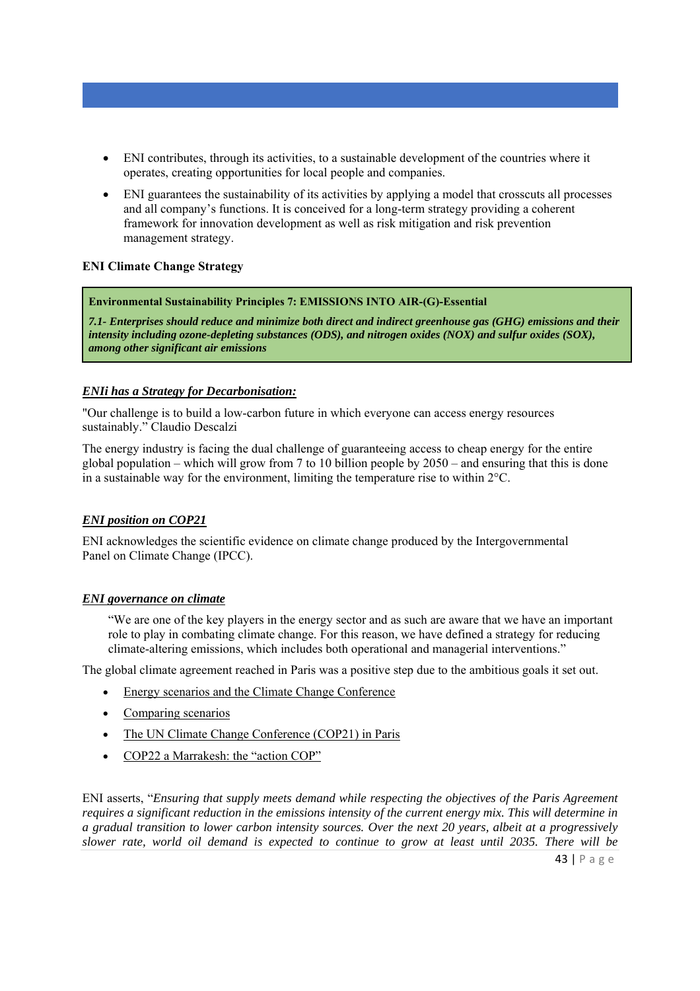- ENI contributes, through its activities, to a sustainable development of the countries where it operates, creating opportunities for local people and companies.
- ENI guarantees the sustainability of its activities by applying a model that crosscuts all processes and all company's functions. It is conceived for a long-term strategy providing a coherent framework for innovation development as well as risk mitigation and risk prevention management strategy.

### **ENI Climate Change Strategy**

#### **Environmental Sustainability Principles 7: EMISSIONS INTO AIR-(G)-Essential**

*7.1- Enterprises should reduce and minimize both direct and indirect greenhouse gas (GHG) emissions and their intensity including ozone-depleting substances (ODS), and nitrogen oxides (NOX) and sulfur oxides (SOX), among other significant air emissions* 

#### *ENIi has a Strategy for Decarbonisation:*

"Our challenge is to build a low-carbon future in which everyone can access energy resources sustainably." Claudio Descalzi

The energy industry is facing the dual challenge of guaranteeing access to cheap energy for the entire global population – which will grow from 7 to 10 billion people by  $2050$  – and ensuring that this is done in a sustainable way for the environment, limiting the temperature rise to within 2°C.

#### *ENI position on COP21*

ENI acknowledges the scientific evidence on climate change produced by the Intergovernmental Panel on Climate Change (IPCC).

#### *ENI governance on climate*

"We are one of the key players in the energy sector and as such are aware that we have an important role to play in combating climate change. For this reason, we have defined a strategy for reducing climate-altering emissions, which includes both operational and managerial interventions."

The global climate agreement reached in Paris was a positive step due to the ambitious goals it set out.

- Energy scenarios and the Climate Change Conference
- Comparing scenarios
- The UN Climate Change Conference (COP21) in Paris
- COP22 a Marrakesh: the "action COP"

ENI asserts, "*Ensuring that supply meets demand while respecting the objectives of the Paris Agreement requires a significant reduction in the emissions intensity of the current energy mix. This will determine in a gradual transition to lower carbon intensity sources. Over the next 20 years, albeit at a progressively slower rate, world oil demand is expected to continue to grow at least until 2035. There will be*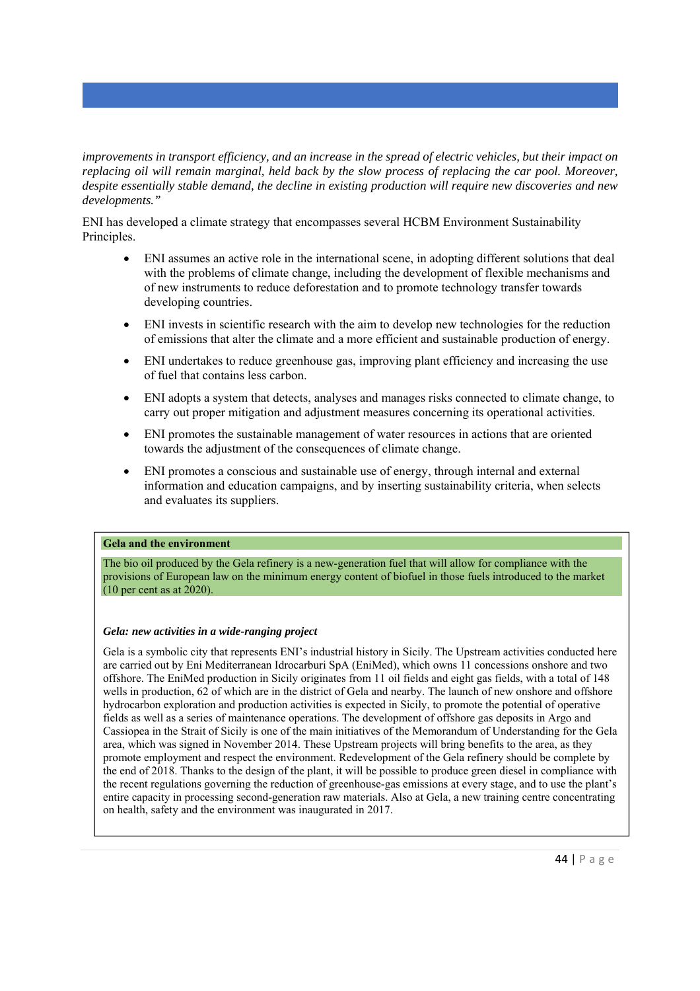*improvements in transport efficiency, and an increase in the spread of electric vehicles, but their impact on replacing oil will remain marginal, held back by the slow process of replacing the car pool. Moreover, despite essentially stable demand, the decline in existing production will require new discoveries and new developments."*

ENI has developed a climate strategy that encompasses several HCBM Environment Sustainability Principles.

- ENI assumes an active role in the international scene, in adopting different solutions that deal with the problems of climate change, including the development of flexible mechanisms and of new instruments to reduce deforestation and to promote technology transfer towards developing countries.
- ENI invests in scientific research with the aim to develop new technologies for the reduction of emissions that alter the climate and a more efficient and sustainable production of energy.
- ENI undertakes to reduce greenhouse gas, improving plant efficiency and increasing the use of fuel that contains less carbon.
- ENI adopts a system that detects, analyses and manages risks connected to climate change, to carry out proper mitigation and adjustment measures concerning its operational activities.
- ENI promotes the sustainable management of water resources in actions that are oriented towards the adjustment of the consequences of climate change.
- ENI promotes a conscious and sustainable use of energy, through internal and external information and education campaigns, and by inserting sustainability criteria, when selects and evaluates its suppliers.

#### **Gela and the environment**

The bio oil produced by the Gela refinery is a new-generation fuel that will allow for compliance with the provisions of European law on the minimum energy content of biofuel in those fuels introduced to the market (10 per cent as at 2020).

#### *Gela: new activities in a wide-ranging project*

Gela is a symbolic city that represents ENI's industrial history in Sicily. The Upstream activities conducted here are carried out by Eni Mediterranean Idrocarburi SpA (EniMed), which owns 11 concessions onshore and two offshore. The EniMed production in Sicily originates from 11 oil fields and eight gas fields, with a total of 148 wells in production, 62 of which are in the district of Gela and nearby. The launch of new onshore and offshore hydrocarbon exploration and production activities is expected in Sicily, to promote the potential of operative fields as well as a series of maintenance operations. The development of offshore gas deposits in Argo and Cassiopea in the Strait of Sicily is one of the main initiatives of the Memorandum of Understanding for the Gela area, which was signed in November 2014. These Upstream projects will bring benefits to the area, as they promote employment and respect the environment. Redevelopment of the Gela refinery should be complete by the end of 2018. Thanks to the design of the plant, it will be possible to produce green diesel in compliance with the recent regulations governing the reduction of greenhouse-gas emissions at every stage, and to use the plant's entire capacity in processing second-generation raw materials. Also at Gela, a new training centre concentrating on health, safety and the environment was inaugurated in 2017.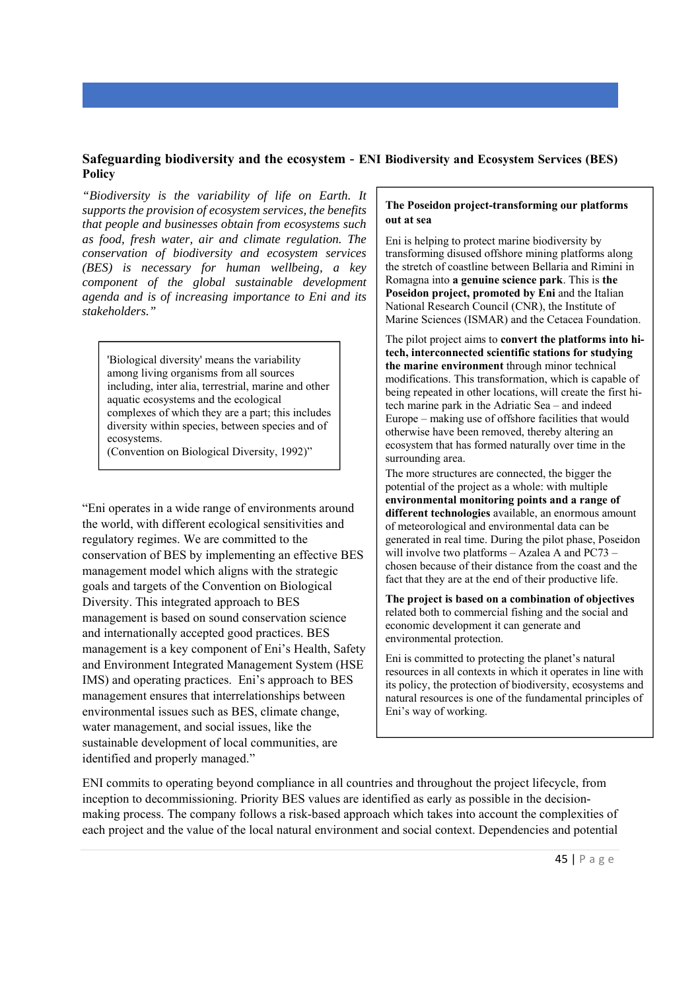### **Safeguarding biodiversity and the ecosystem** - **ENI Biodiversity and Ecosystem Services (BES) Policy**

*"Biodiversity is the variability of life on Earth. It supports the provision of ecosystem services, the benefits that people and businesses obtain from ecosystems such as food, fresh water, air and climate regulation. The conservation of biodiversity and ecosystem services (BES) is necessary for human wellbeing, a key component of the global sustainable development agenda and is of increasing importance to Eni and its stakeholders."* 

'Biological diversity' means the variability among living organisms from all sources including, inter alia, terrestrial, marine and other aquatic ecosystems and the ecological complexes of which they are a part; this includes diversity within species, between species and of ecosystems.

(Convention on Biological Diversity, 1992)"

"Eni operates in a wide range of environments around the world, with different ecological sensitivities and regulatory regimes. We are committed to the conservation of BES by implementing an effective BES management model which aligns with the strategic goals and targets of the Convention on Biological Diversity. This integrated approach to BES management is based on sound conservation science and internationally accepted good practices. BES management is a key component of Eni's Health, Safety and Environment Integrated Management System (HSE IMS) and operating practices. Eni's approach to BES management ensures that interrelationships between environmental issues such as BES, climate change, water management, and social issues, like the sustainable development of local communities, are identified and properly managed."

#### **The Poseidon project-transforming our platforms out at sea**

Eni is helping to protect marine biodiversity by transforming disused offshore mining platforms along the stretch of coastline between Bellaria and Rimini in Romagna into **a genuine science park**. This is **the Poseidon project, promoted by Eni** and the Italian National Research Council (CNR), the Institute of Marine Sciences (ISMAR) and the Cetacea Foundation.

The pilot project aims to **convert the platforms into hitech, interconnected scientific stations for studying the marine environment** through minor technical modifications. This transformation, which is capable of being repeated in other locations, will create the first hitech marine park in the Adriatic Sea – and indeed Europe – making use of offshore facilities that would otherwise have been removed, thereby altering an ecosystem that has formed naturally over time in the surrounding area.

The more structures are connected, the bigger the potential of the project as a whole: with multiple **environmental monitoring points and a range of different technologies** available, an enormous amount of meteorological and environmental data can be generated in real time. During the pilot phase, Poseidon will involve two platforms – Azalea A and PC73 – chosen because of their distance from the coast and the fact that they are at the end of their productive life.

**The project is based on a combination of objectives** related both to commercial fishing and the social and economic development it can generate and environmental protection.

Eni is committed to protecting the planet's natural resources in all contexts in which it operates in line with its policy, the protection of biodiversity, ecosystems and natural resources is one of the fundamental principles of Eni's way of working.

ENI commits to operating beyond compliance in all countries and throughout the project lifecycle, from inception to decommissioning. Priority BES values are identified as early as possible in the decisionmaking process. The company follows a risk-based approach which takes into account the complexities of each project and the value of the local natural environment and social context. Dependencies and potential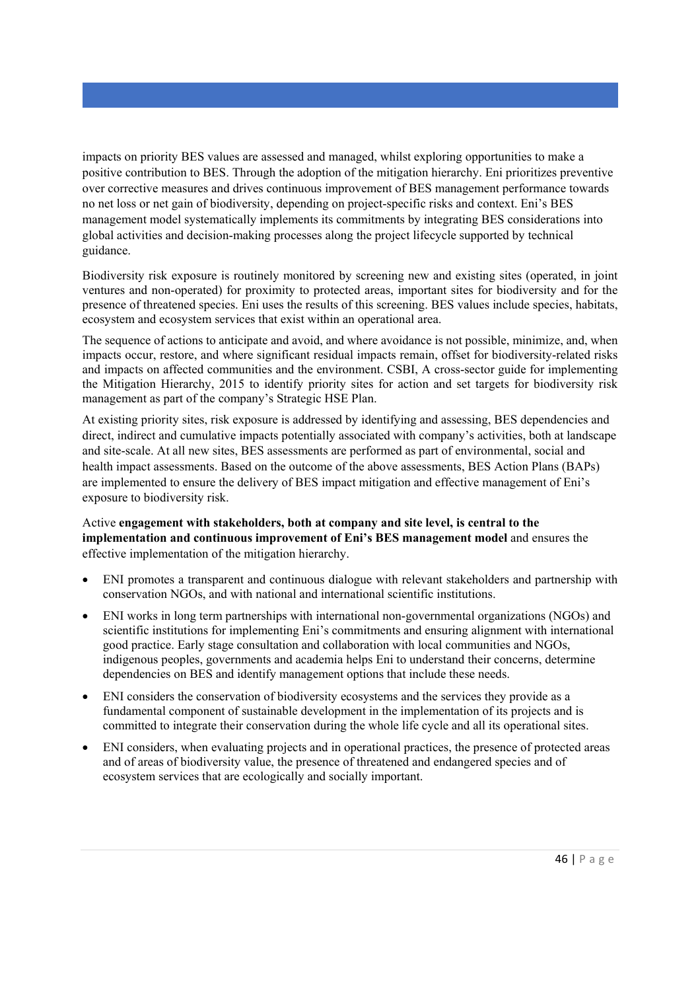impacts on priority BES values are assessed and managed, whilst exploring opportunities to make a positive contribution to BES. Through the adoption of the mitigation hierarchy. Eni prioritizes preventive over corrective measures and drives continuous improvement of BES management performance towards no net loss or net gain of biodiversity, depending on project-specific risks and context. Eni's BES management model systematically implements its commitments by integrating BES considerations into global activities and decision-making processes along the project lifecycle supported by technical guidance.

Biodiversity risk exposure is routinely monitored by screening new and existing sites (operated, in joint ventures and non-operated) for proximity to protected areas, important sites for biodiversity and for the presence of threatened species. Eni uses the results of this screening. BES values include species, habitats, ecosystem and ecosystem services that exist within an operational area.

The sequence of actions to anticipate and avoid, and where avoidance is not possible, minimize, and, when impacts occur, restore, and where significant residual impacts remain, offset for biodiversity-related risks and impacts on affected communities and the environment. CSBI, A cross-sector guide for implementing the Mitigation Hierarchy, 2015 to identify priority sites for action and set targets for biodiversity risk management as part of the company's Strategic HSE Plan.

At existing priority sites, risk exposure is addressed by identifying and assessing, BES dependencies and direct, indirect and cumulative impacts potentially associated with company's activities, both at landscape and site-scale. At all new sites, BES assessments are performed as part of environmental, social and health impact assessments. Based on the outcome of the above assessments, BES Action Plans (BAPs) are implemented to ensure the delivery of BES impact mitigation and effective management of Eni's exposure to biodiversity risk.

Active **engagement with stakeholders, both at company and site level, is central to the implementation and continuous improvement of Eni's BES management model** and ensures the effective implementation of the mitigation hierarchy.

- ENI promotes a transparent and continuous dialogue with relevant stakeholders and partnership with conservation NGOs, and with national and international scientific institutions.
- ENI works in long term partnerships with international non-governmental organizations (NGOs) and scientific institutions for implementing Eni's commitments and ensuring alignment with international good practice. Early stage consultation and collaboration with local communities and NGOs, indigenous peoples, governments and academia helps Eni to understand their concerns, determine dependencies on BES and identify management options that include these needs.
- ENI considers the conservation of biodiversity ecosystems and the services they provide as a fundamental component of sustainable development in the implementation of its projects and is committed to integrate their conservation during the whole life cycle and all its operational sites.
- ENI considers, when evaluating projects and in operational practices, the presence of protected areas and of areas of biodiversity value, the presence of threatened and endangered species and of ecosystem services that are ecologically and socially important.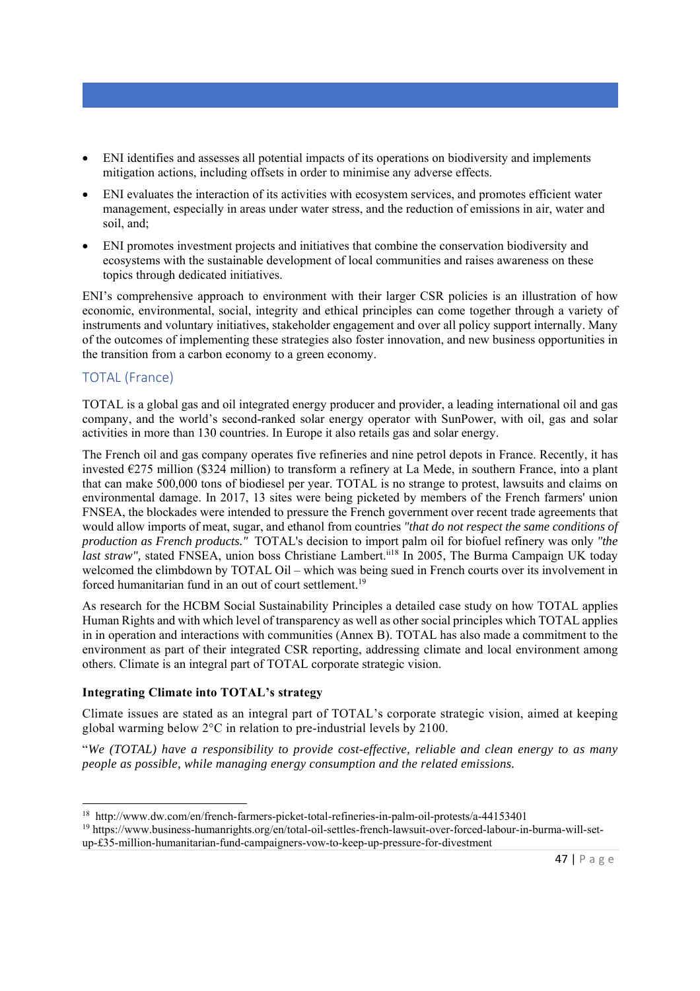- ENI identifies and assesses all potential impacts of its operations on biodiversity and implements mitigation actions, including offsets in order to minimise any adverse effects.
- ENI evaluates the interaction of its activities with ecosystem services, and promotes efficient water management, especially in areas under water stress, and the reduction of emissions in air, water and soil, and;
- ENI promotes investment projects and initiatives that combine the conservation biodiversity and ecosystems with the sustainable development of local communities and raises awareness on these topics through dedicated initiatives.

ENI's comprehensive approach to environment with their larger CSR policies is an illustration of how economic, environmental, social, integrity and ethical principles can come together through a variety of instruments and voluntary initiatives, stakeholder engagement and over all policy support internally. Many of the outcomes of implementing these strategies also foster innovation, and new business opportunities in the transition from a carbon economy to a green economy.

# TOTAL (France)

TOTAL is a global gas and oil integrated energy producer and provider, a leading international oil and gas company, and the world's second-ranked solar energy operator with SunPower, with oil, gas and solar activities in more than 130 countries. In Europe it also retails gas and solar energy.

The French oil and gas company operates five refineries and nine petrol depots in France. Recently, it has invested €275 million (\$324 million) to transform a refinery at La Mede, in southern France, into a plant that can make 500,000 tons of biodiesel per year. TOTAL is no strange to protest, lawsuits and claims on environmental damage. In 2017, 13 sites were being picketed by members of the French farmers' union FNSEA, the blockades were intended to pressure the French government over recent trade agreements that would allow imports of meat, sugar, and ethanol from countries *"that do not respect the same conditions of production as French products."* TOTAL's decision to import palm oil for biofuel refinery was only *"the last straw"*, stated FNSEA, union boss Christiane Lambert.<sup>ii18</sup> In 2005, The Burma Campaign UK today welcomed the climbdown by TOTAL Oil – which was being sued in French courts over its involvement in forced humanitarian fund in an out of court settlement.<sup>19</sup>

As research for the HCBM Social Sustainability Principles a detailed case study on how TOTAL applies Human Rights and with which level of transparency as well as other social principles which TOTAL applies in in operation and interactions with communities (Annex B). TOTAL has also made a commitment to the environment as part of their integrated CSR reporting, addressing climate and local environment among others. Climate is an integral part of TOTAL corporate strategic vision.

#### **Integrating Climate into TOTAL's strategy**

Climate issues are stated as an integral part of TOTAL's corporate strategic vision, aimed at keeping global warming below 2°C in relation to pre-industrial levels by 2100.

"*We (TOTAL) have a responsibility to provide cost-effective, reliable and clean energy to as many people as possible, while managing energy consumption and the related emissions.* 

<sup>&</sup>lt;sup>18</sup> http://www.dw.com/en/french-farmers-picket-total-refineries-in-palm-oil-protests/a-44153401<br><sup>19</sup> https://www.business-humanrights.org/en/total-oil-settles-french-lawsuit-over-forced-labour-in-burma-will-set-

up-£35-million-humanitarian-fund-campaigners-vow-to-keep-up-pressure-for-divestment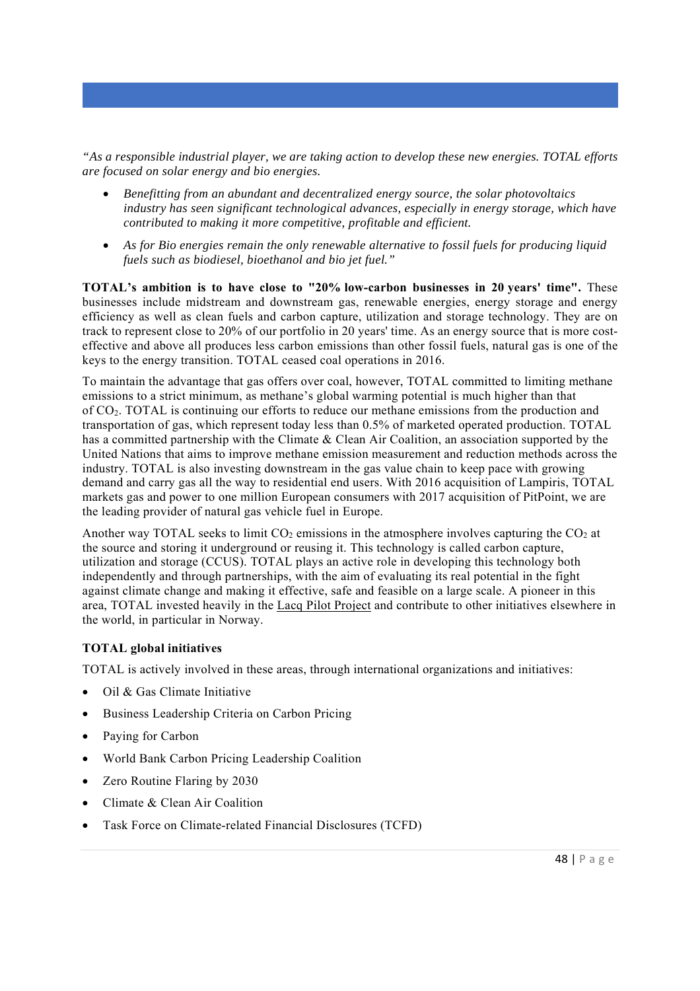*"As a responsible industrial player, we are taking action to develop these new energies. TOTAL efforts are focused on solar energy and bio energies.* 

- *Benefitting from an abundant and decentralized energy source, the solar photovoltaics industry has seen significant technological advances, especially in energy storage, which have contributed to making it more competitive, profitable and efficient.*
- *As for Bio energies remain the only renewable alternative to fossil fuels for producing liquid fuels such as biodiesel, bioethanol and bio jet fuel."*

**TOTAL's ambition is to have close to "20% low-carbon businesses in 20 years' time".** These businesses include midstream and downstream gas, renewable energies, energy storage and energy efficiency as well as clean fuels and carbon capture, utilization and storage technology. They are on track to represent close to 20% of our portfolio in 20 years' time. As an energy source that is more costeffective and above all produces less carbon emissions than other fossil fuels, natural gas is one of the keys to the energy transition. TOTAL ceased coal operations in 2016.

To maintain the advantage that gas offers over coal, however, TOTAL committed to limiting methane emissions to a strict minimum, as methane's global warming potential is much higher than that of CO2. TOTAL is continuing our efforts to reduce our methane emissions from the production and transportation of gas, which represent today less than 0.5% of marketed operated production. TOTAL has a committed partnership with the Climate & Clean Air Coalition, an association supported by the United Nations that aims to improve methane emission measurement and reduction methods across the industry. TOTAL is also investing downstream in the gas value chain to keep pace with growing demand and carry gas all the way to residential end users. With 2016 acquisition of Lampiris, TOTAL markets gas and power to one million European consumers with 2017 acquisition of PitPoint, we are the leading provider of natural gas vehicle fuel in Europe.

Another way TOTAL seeks to limit  $CO_2$  emissions in the atmosphere involves capturing the  $CO_2$  at the source and storing it underground or reusing it. This technology is called carbon capture, utilization and storage (CCUS). TOTAL plays an active role in developing this technology both independently and through partnerships, with the aim of evaluating its real potential in the fight against climate change and making it effective, safe and feasible on a large scale. A pioneer in this area, TOTAL invested heavily in the Lacq Pilot Project and contribute to other initiatives elsewhere in the world, in particular in Norway.

# **TOTAL global initiatives**

TOTAL is actively involved in these areas, through international organizations and initiatives:

- Oil & Gas Climate Initiative
- Business Leadership Criteria on Carbon Pricing
- Paying for Carbon
- World Bank Carbon Pricing Leadership Coalition
- Zero Routine Flaring by 2030
- Climate & Clean Air Coalition
- Task Force on Climate-related Financial Disclosures (TCFD)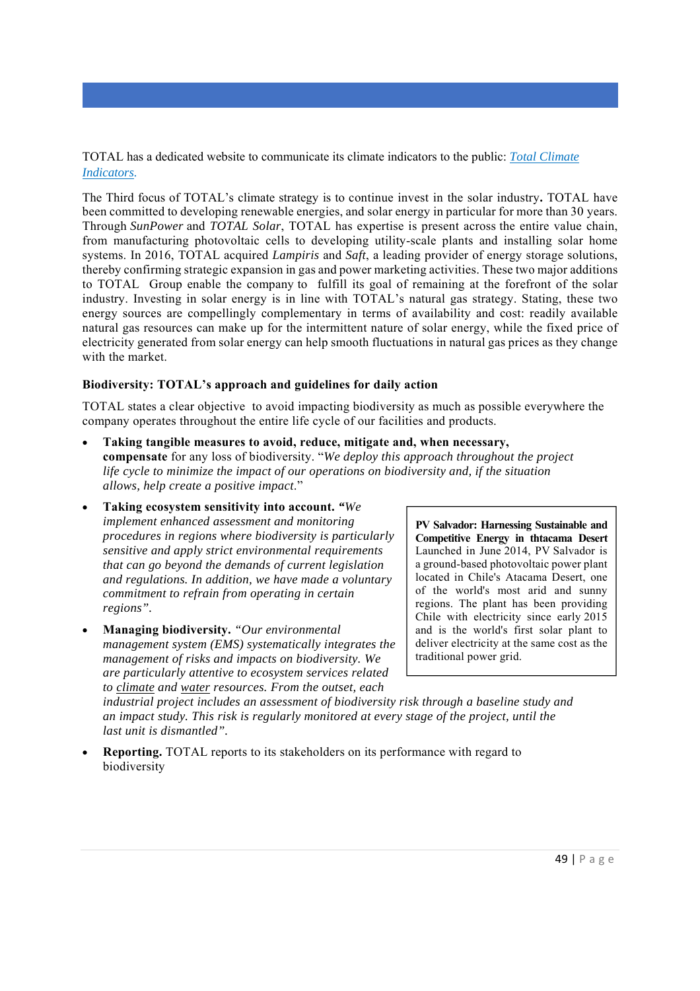TOTAL has a dedicated website to communicate its climate indicators to the public: *Total Climate Indicators.* 

The Third focus of TOTAL's climate strategy is to continue invest in the solar industry**.** TOTAL have been committed to developing renewable energies, and solar energy in particular for more than 30 years. Through *SunPower* and *TOTAL Solar*, TOTAL has expertise is present across the entire value chain, from manufacturing photovoltaic cells to developing utility-scale plants and installing solar home systems. In 2016, TOTAL acquired *Lampiris* and *Saft*, a leading provider of energy storage solutions, thereby confirming strategic expansion in gas and power marketing activities. These two major additions to TOTAL Group enable the company to fulfill its goal of remaining at the forefront of the solar industry. Investing in solar energy is in line with TOTAL's natural gas strategy. Stating, these two energy sources are compellingly complementary in terms of availability and cost: readily available natural gas resources can make up for the intermittent nature of solar energy, while the fixed price of electricity generated from solar energy can help smooth fluctuations in natural gas prices as they change with the market.

#### **Biodiversity: TOTAL's approach and guidelines for daily action**

TOTAL states a clear objective to avoid impacting biodiversity as much as possible everywhere the company operates throughout the entire life cycle of our facilities and products.

- **Taking tangible measures to avoid, reduce, mitigate and, when necessary, compensate** for any loss of biodiversity. "*We deploy this approach throughout the project life cycle to minimize the impact of our operations on biodiversity and, if the situation allows, help create a positive impact*."
- **Taking ecosystem sensitivity into account.** *"We implement enhanced assessment and monitoring procedures in regions where biodiversity is particularly sensitive and apply strict environmental requirements that can go beyond the demands of current legislation and regulations. In addition, we have made a voluntary commitment to refrain from operating in certain regions".*
- **Managing biodiversity.** *"Our environmental management system (EMS) systematically integrates the management of risks and impacts on biodiversity. We are particularly attentive to ecosystem services related to climate and water resources. From the outset, each*

**PV Salvador: Harnessing Sustainable and Competitive Energy in thtacama Desert**  Launched in June 2014, PV Salvador is a ground-based photovoltaic power plant located in Chile's Atacama Desert, one of the world's most arid and sunny regions. The plant has been providing Chile with electricity since early 2015 and is the world's first solar plant to deliver electricity at the same cost as the traditional power grid.

*industrial project includes an assessment of biodiversity risk through a baseline study and an impact study. This risk is regularly monitored at every stage of the project, until the last unit is dismantled".*

 **Reporting.** TOTAL reports to its stakeholders on its performance with regard to biodiversity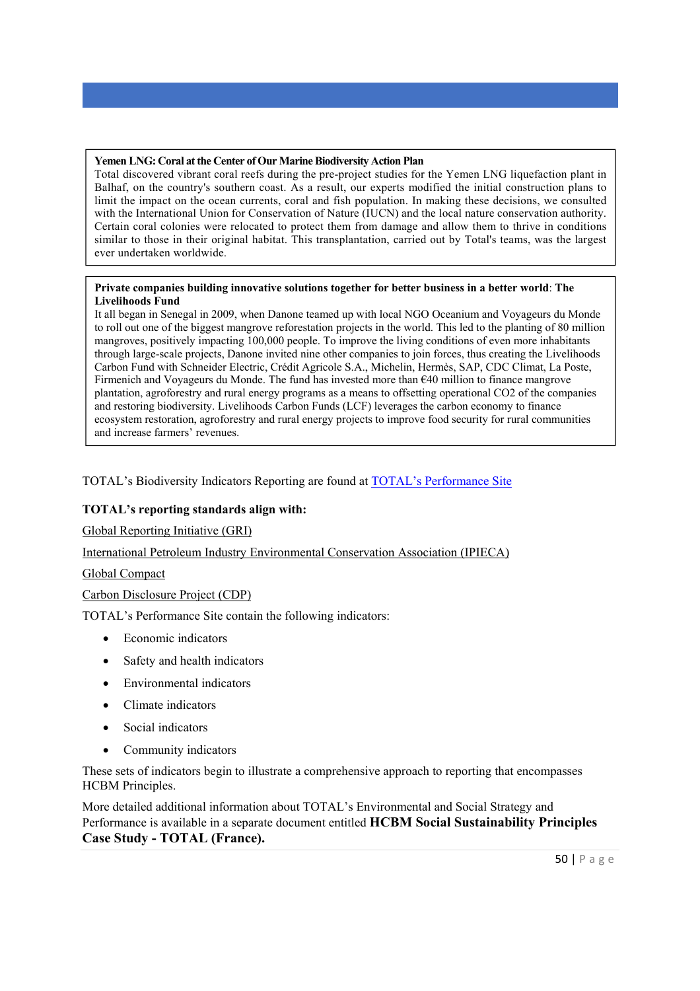#### **Yemen LNG: Coral at the Center of Our Marine Biodiversity Action Plan**

Total discovered vibrant coral reefs during the pre-project studies for the Yemen LNG liquefaction plant in Balhaf, on the country's southern coast. As a result, our experts modified the initial construction plans to limit the impact on the ocean currents, coral and fish population. In making these decisions, we consulted with the International Union for Conservation of Nature (IUCN) and the local nature conservation authority. Certain coral colonies were relocated to protect them from damage and allow them to thrive in conditions similar to those in their original habitat. This transplantation, carried out by Total's teams, was the largest ever undertaken worldwide.

#### **Private companies building innovative solutions together for better business in a better world**: **The Livelihoods Fund**

It all began in Senegal in 2009, when Danone teamed up with local NGO Oceanium and Voyageurs du Monde to roll out one of the biggest mangrove reforestation projects in the world. This led to the planting of 80 million mangroves, positively impacting 100,000 people. To improve the living conditions of even more inhabitants through large-scale projects, Danone invited nine other companies to join forces, thus creating the Livelihoods Carbon Fund with Schneider Electric, Crédit Agricole S.A., Michelin, Hermès, SAP, CDC Climat, La Poste, Firmenich and Voyageurs du Monde. The fund has invested more than €40 million to finance mangrove plantation, agroforestry and rural energy programs as a means to offsetting operational CO2 of the companies and restoring biodiversity. Livelihoods Carbon Funds (LCF) leverages the carbon economy to finance ecosystem restoration, agroforestry and rural energy projects to improve food security for rural communities and increase farmers' revenues.

TOTAL's Biodiversity Indicators Reporting are found at TOTAL's Performance Site

#### **TOTAL's reporting standards align with:**

Global Reporting Initiative (GRI)

International Petroleum Industry Environmental Conservation Association (IPIECA)

Global Compact

Carbon Disclosure Project (CDP)

TOTAL's Performance Site contain the following indicators:

- Economic indicators
- Safety and health indicators
- Environmental indicators
- Climate indicators
- Social indicators
- Community indicators

These sets of indicators begin to illustrate a comprehensive approach to reporting that encompasses HCBM Principles.

More detailed additional information about TOTAL's Environmental and Social Strategy and Performance is available in a separate document entitled **HCBM Social Sustainability Principles Case Study - TOTAL (France).**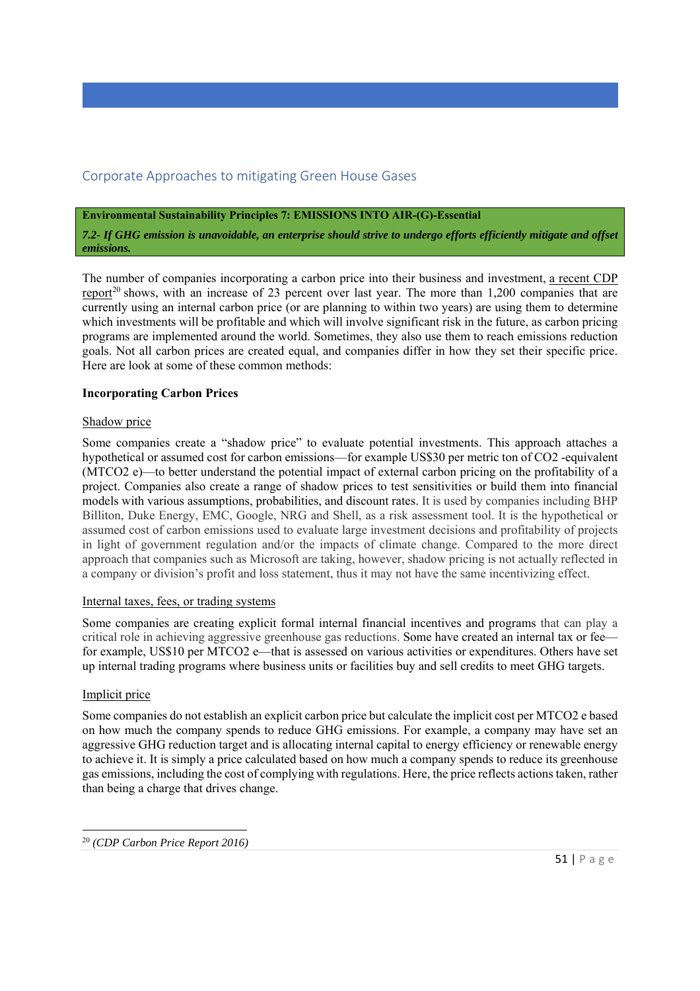# Corporate Approaches to mitigating Green House Gases

**Environmental Sustainability Principles 7: EMISSIONS INTO AIR-(G)-Essential** 

*7.2- If GHG emission is unavoidable, an enterprise should strive to undergo efforts efficiently mitigate and offset emissions.*

The number of companies incorporating a carbon price into their business and investment, a recent CDP report<sup>20</sup> shows, with an increase of 23 percent over last year. The more than 1,200 companies that are currently using an internal carbon price (or are planning to within two years) are using them to determine which investments will be profitable and which will involve significant risk in the future, as carbon pricing programs are implemented around the world. Sometimes, they also use them to reach emissions reduction goals. Not all carbon prices are created equal, and companies differ in how they set their specific price. Here are look at some of these common methods:

### **Incorporating Carbon Prices**

### Shadow price

Some companies create a "shadow price" to evaluate potential investments. This approach attaches a hypothetical or assumed cost for carbon emissions—for example US\$30 per metric ton of CO2 -equivalent (MTCO2 e)—to better understand the potential impact of external carbon pricing on the profitability of a project. Companies also create a range of shadow prices to test sensitivities or build them into financial models with various assumptions, probabilities, and discount rates. It is used by companies including BHP Billiton, Duke Energy, EMC, Google, NRG and Shell, as a risk assessment tool. It is the hypothetical or assumed cost of carbon emissions used to evaluate large investment decisions and profitability of projects in light of government regulation and/or the impacts of climate change. Compared to the more direct approach that companies such as Microsoft are taking, however, shadow pricing is not actually reflected in a company or division's profit and loss statement, thus it may not have the same incentivizing effect.

#### Internal taxes, fees, or trading systems

Some companies are creating explicit formal internal financial incentives and programs that can play a critical role in achieving aggressive greenhouse gas reductions. Some have created an internal tax or fee for example, US\$10 per MTCO2 e—that is assessed on various activities or expenditures. Others have set up internal trading programs where business units or facilities buy and sell credits to meet GHG targets.

# Implicit price

Some companies do not establish an explicit carbon price but calculate the implicit cost per MTCO2 e based on how much the company spends to reduce GHG emissions. For example, a company may have set an aggressive GHG reduction target and is allocating internal capital to energy efficiency or renewable energy to achieve it. It is simply a price calculated based on how much a company spends to reduce its greenhouse gas emissions, including the cost of complying with regulations. Here, the price reflects actions taken, rather than being a charge that drives change.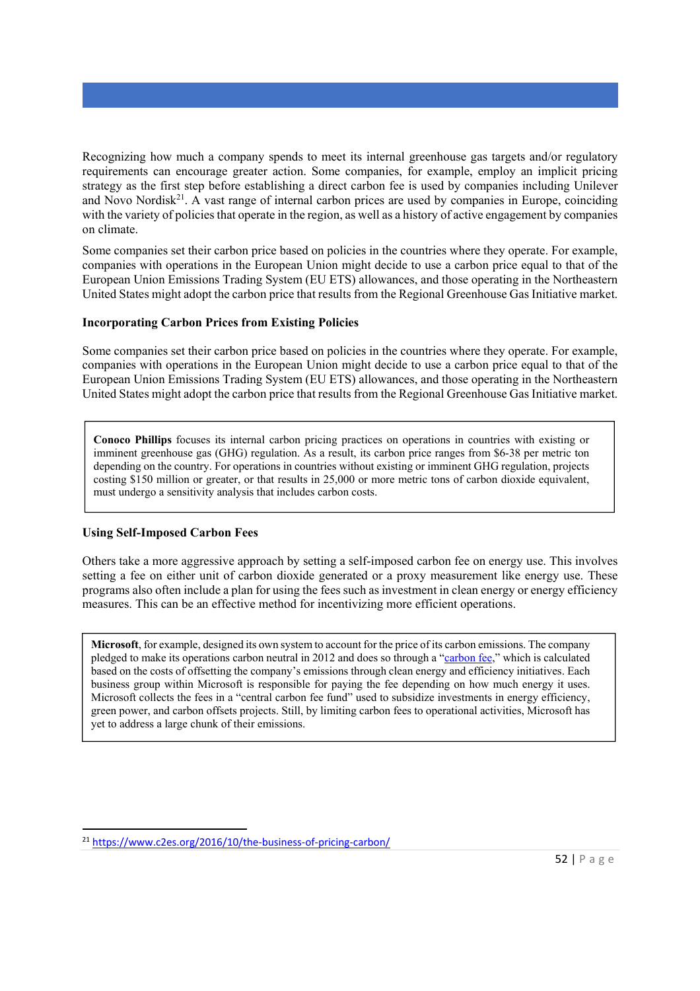Recognizing how much a company spends to meet its internal greenhouse gas targets and/or regulatory requirements can encourage greater action. Some companies, for example, employ an implicit pricing strategy as the first step before establishing a direct carbon fee is used by companies including Unilever and Novo Nordisk<sup>21</sup>. A vast range of internal carbon prices are used by companies in Europe, coinciding with the variety of policies that operate in the region, as well as a history of active engagement by companies on climate.

Some companies set their carbon price based on policies in the countries where they operate. For example, companies with operations in the European Union might decide to use a carbon price equal to that of the European Union Emissions Trading System (EU ETS) allowances, and those operating in the Northeastern United States might adopt the carbon price that results from the Regional Greenhouse Gas Initiative market.

### **Incorporating Carbon Prices from Existing Policies**

Some companies set their carbon price based on policies in the countries where they operate. For example, companies with operations in the European Union might decide to use a carbon price equal to that of the European Union Emissions Trading System (EU ETS) allowances, and those operating in the Northeastern United States might adopt the carbon price that results from the Regional Greenhouse Gas Initiative market.

**Conoco Phillips** focuses its internal carbon pricing practices on operations in countries with existing or imminent greenhouse gas (GHG) regulation. As a result, its carbon price ranges from \$6-38 per metric ton depending on the country. For operations in countries without existing or imminent GHG regulation, projects costing \$150 million or greater, or that results in 25,000 or more metric tons of carbon dioxide equivalent, must undergo a sensitivity analysis that includes carbon costs.

# **Using Self-Imposed Carbon Fees**

Others take a more aggressive approach by setting a self-imposed carbon fee on energy use. This involves setting a fee on either unit of carbon dioxide generated or a proxy measurement like energy use. These programs also often include a plan for using the fees such as investment in clean energy or energy efficiency measures. This can be an effective method for incentivizing more efficient operations.

**Microsoft**, for example, designed its own system to account for the price of its carbon emissions. The company pledged to make its operations carbon neutral in 2012 and does so through a "carbon fee," which is calculated based on the costs of offsetting the company's emissions through clean energy and efficiency initiatives. Each business group within Microsoft is responsible for paying the fee depending on how much energy it uses. Microsoft collects the fees in a "central carbon fee fund" used to subsidize investments in energy efficiency, green power, and carbon offsets projects. Still, by limiting carbon fees to operational activities, Microsoft has yet to address a large chunk of their emissions.

<sup>&</sup>lt;sup>21</sup> https://www.c2es.org/2016/10/the-business-of-pricing-carbon/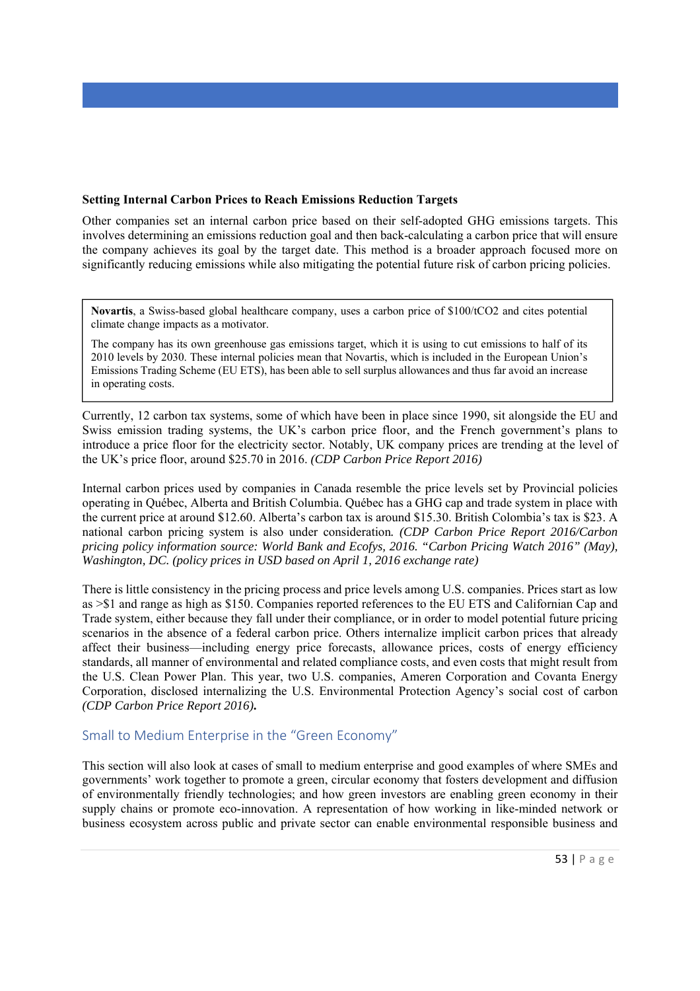#### **Setting Internal Carbon Prices to Reach Emissions Reduction Targets**

Other companies set an internal carbon price based on their self-adopted GHG emissions targets. This involves determining an emissions reduction goal and then back-calculating a carbon price that will ensure the company achieves its goal by the target date. This method is a broader approach focused more on significantly reducing emissions while also mitigating the potential future risk of carbon pricing policies.

**Novartis**, a Swiss-based global healthcare company, uses a carbon price of \$100/tCO2 and cites potential climate change impacts as a motivator.

The company has its own greenhouse gas emissions target, which it is using to cut emissions to half of its 2010 levels by 2030. These internal policies mean that Novartis, which is included in the European Union's Emissions Trading Scheme (EU ETS), has been able to sell surplus allowances and thus far avoid an increase in operating costs.

Currently, 12 carbon tax systems, some of which have been in place since 1990, sit alongside the EU and Swiss emission trading systems, the UK's carbon price floor, and the French government's plans to introduce a price floor for the electricity sector. Notably, UK company prices are trending at the level of the UK's price floor, around \$25.70 in 2016. *(CDP Carbon Price Report 2016)* 

Internal carbon prices used by companies in Canada resemble the price levels set by Provincial policies operating in Québec, Alberta and British Columbia. Québec has a GHG cap and trade system in place with the current price at around \$12.60. Alberta's carbon tax is around \$15.30. British Colombia's tax is \$23. A national carbon pricing system is also under consideration*. (CDP Carbon Price Report 2016/Carbon pricing policy information source: World Bank and Ecofys, 2016. "Carbon Pricing Watch 2016" (May), Washington, DC. (policy prices in USD based on April 1, 2016 exchange rate)* 

There is little consistency in the pricing process and price levels among U.S. companies. Prices start as low as >\$1 and range as high as \$150. Companies reported references to the EU ETS and Californian Cap and Trade system, either because they fall under their compliance, or in order to model potential future pricing scenarios in the absence of a federal carbon price. Others internalize implicit carbon prices that already affect their business—including energy price forecasts, allowance prices, costs of energy efficiency standards, all manner of environmental and related compliance costs, and even costs that might result from the U.S. Clean Power Plan. This year, two U.S. companies, Ameren Corporation and Covanta Energy Corporation, disclosed internalizing the U.S. Environmental Protection Agency's social cost of carbon *(CDP Carbon Price Report 2016)***.** 

# Small to Medium Enterprise in the "Green Economy"

This section will also look at cases of small to medium enterprise and good examples of where SMEs and governments' work together to promote a green, circular economy that fosters development and diffusion of environmentally friendly technologies; and how green investors are enabling green economy in their supply chains or promote eco-innovation. A representation of how working in like-minded network or business ecosystem across public and private sector can enable environmental responsible business and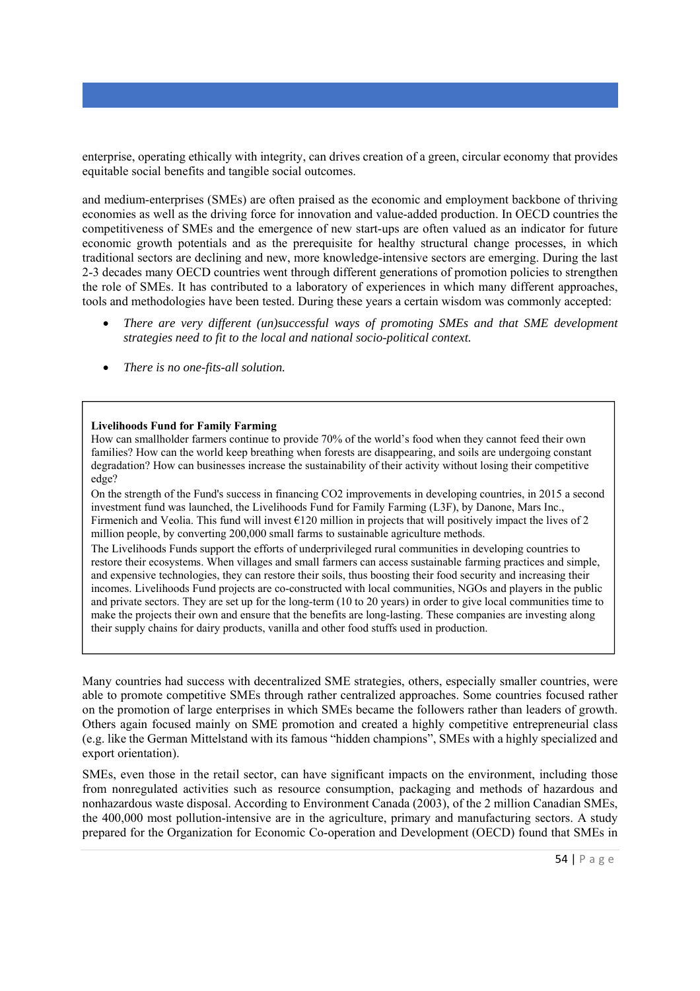enterprise, operating ethically with integrity, can drives creation of a green, circular economy that provides equitable social benefits and tangible social outcomes.

and medium-enterprises (SMEs) are often praised as the economic and employment backbone of thriving economies as well as the driving force for innovation and value-added production. In OECD countries the competitiveness of SMEs and the emergence of new start-ups are often valued as an indicator for future economic growth potentials and as the prerequisite for healthy structural change processes, in which traditional sectors are declining and new, more knowledge-intensive sectors are emerging. During the last 2-3 decades many OECD countries went through different generations of promotion policies to strengthen the role of SMEs. It has contributed to a laboratory of experiences in which many different approaches, tools and methodologies have been tested. During these years a certain wisdom was commonly accepted:

- *There are very different (un)successful ways of promoting SMEs and that SME development strategies need to fit to the local and national socio-political context.*
- *There is no one-fits-all solution.*

#### **Livelihoods Fund for Family Farming**

How can smallholder farmers continue to provide 70% of the world's food when they cannot feed their own families? How can the world keep breathing when forests are disappearing, and soils are undergoing constant degradation? How can businesses increase the sustainability of their activity without losing their competitive edge?

On the strength of the Fund's success in financing CO2 improvements in developing countries, in 2015 a second investment fund was launched, the Livelihoods Fund for Family Farming (L3F), by Danone, Mars Inc., Firmenich and Veolia. This fund will invest €120 million in projects that will positively impact the lives of 2 million people, by converting 200,000 small farms to sustainable agriculture methods.

The Livelihoods Funds support the efforts of underprivileged rural communities in developing countries to restore their ecosystems. When villages and small farmers can access sustainable farming practices and simple, and expensive technologies, they can restore their soils, thus boosting their food security and increasing their incomes. Livelihoods Fund projects are co-constructed with local communities, NGOs and players in the public and private sectors. They are set up for the long-term (10 to 20 years) in order to give local communities time to make the projects their own and ensure that the benefits are long-lasting. These companies are investing along their supply chains for dairy products, vanilla and other food stuffs used in production.

Many countries had success with decentralized SME strategies, others, especially smaller countries, were able to promote competitive SMEs through rather centralized approaches. Some countries focused rather on the promotion of large enterprises in which SMEs became the followers rather than leaders of growth. Others again focused mainly on SME promotion and created a highly competitive entrepreneurial class (e.g. like the German Mittelstand with its famous "hidden champions", SMEs with a highly specialized and export orientation).

SMEs, even those in the retail sector, can have significant impacts on the environment, including those from nonregulated activities such as resource consumption, packaging and methods of hazardous and nonhazardous waste disposal. According to Environment Canada (2003), of the 2 million Canadian SMEs, the 400,000 most pollution-intensive are in the agriculture, primary and manufacturing sectors. A study prepared for the Organization for Economic Co-operation and Development (OECD) found that SMEs in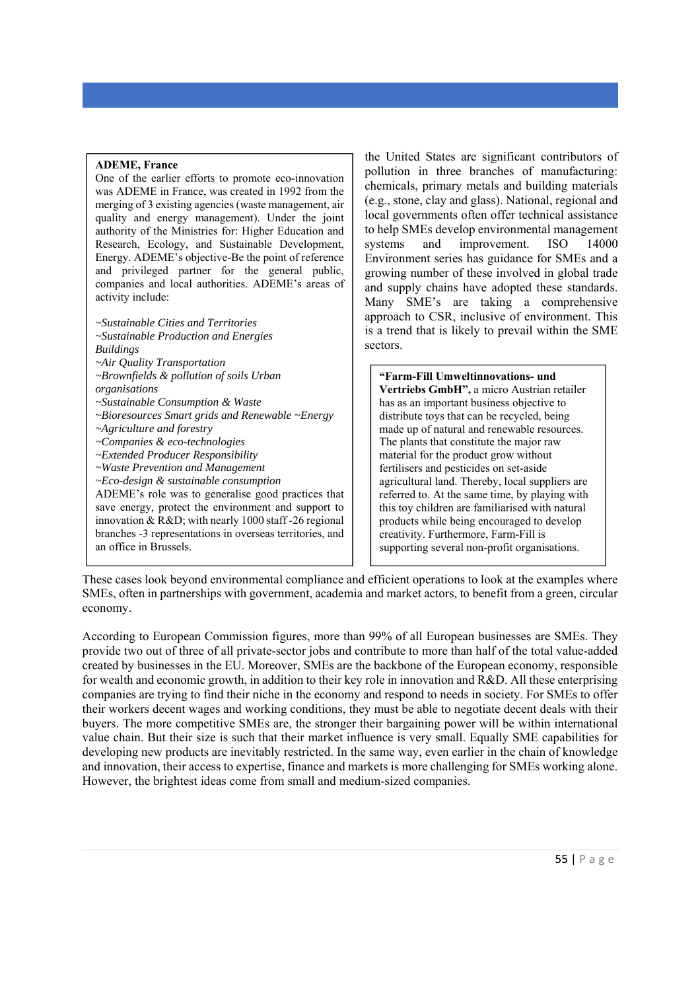#### **ADEME, France**

One of the earlier efforts to promote eco-innovation was ADEME in France, was created in 1992 from the merging of 3 existing agencies (waste management, air quality and energy management). Under the joint authority of the Ministries for: Higher Education and Research, Ecology, and Sustainable Development, Energy. ADEME's objective-Be the point of reference and privileged partner for the general public, companies and local authorities. ADEME's areas of activity include:

*~Sustainable Cities and Territories ~Sustainable Production and Energies Buildings ~Air Quality Transportation ~Brownfields & pollution of soils Urban organisations ~Sustainable Consumption & Waste ~Bioresources Smart grids and Renewable ~Energy ~Agriculture and forestry ~Companies & eco-technologies ~Extended Producer Responsibility ~Waste Prevention and Management ~Eco-design & sustainable consumption*  ADEME's role was to generalise good practices that save energy, protect the environment and support to innovation & R&D; with nearly 1000 staff -26 regional branches -3 representations in overseas territories, and an office in Brussels.

the United States are significant contributors of pollution in three branches of manufacturing: chemicals, primary metals and building materials (e.g., stone, clay and glass). National, regional and local governments often offer technical assistance to help SMEs develop environmental management systems and improvement. ISO 14000 Environment series has guidance for SMEs and a growing number of these involved in global trade and supply chains have adopted these standards. Many SME's are taking a comprehensive approach to CSR, inclusive of environment. This is a trend that is likely to prevail within the SME sectors.

**"Farm-Fill Umweltinnovations- und Vertriebs GmbH",** a micro Austrian retailer has as an important business objective to distribute toys that can be recycled, being made up of natural and renewable resources. The plants that constitute the major raw material for the product grow without fertilisers and pesticides on set-aside agricultural land. Thereby, local suppliers are referred to. At the same time, by playing with this toy children are familiarised with natural products while being encouraged to develop creativity. Furthermore, Farm-Fill is supporting several non-profit organisations.

These cases look beyond environmental compliance and efficient operations to look at the examples where SMEs, often in partnerships with government, academia and market actors, to benefit from a green, circular economy.

According to European Commission figures, more than 99% of all European businesses are SMEs. They provide two out of three of all private-sector jobs and contribute to more than half of the total value-added created by businesses in the EU. Moreover, SMEs are the backbone of the European economy, responsible for wealth and economic growth, in addition to their key role in innovation and R&D. All these enterprising companies are trying to find their niche in the economy and respond to needs in society. For SMEs to offer their workers decent wages and working conditions, they must be able to negotiate decent deals with their buyers. The more competitive SMEs are, the stronger their bargaining power will be within international value chain. But their size is such that their market influence is very small. Equally SME capabilities for developing new products are inevitably restricted. In the same way, even earlier in the chain of knowledge and innovation, their access to expertise, finance and markets is more challenging for SMEs working alone. However, the brightest ideas come from small and medium-sized companies.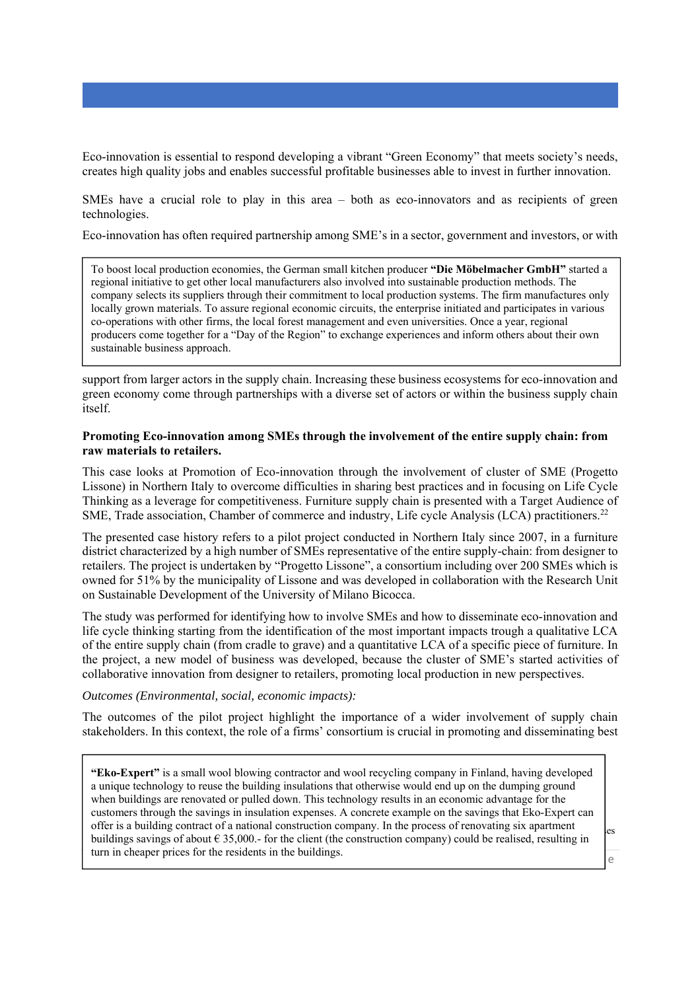Eco-innovation is essential to respond developing a vibrant "Green Economy" that meets society's needs, creates high quality jobs and enables successful profitable businesses able to invest in further innovation.

SMEs have a crucial role to play in this area – both as eco-innovators and as recipients of green technologies.

Eco-innovation has often required partnership among SME's in a sector, government and investors, or with

To boost local production economies, the German small kitchen producer **"Die Möbelmacher GmbH"** started a regional initiative to get other local manufacturers also involved into sustainable production methods. The company selects its suppliers through their commitment to local production systems. The firm manufactures only locally grown materials. To assure regional economic circuits, the enterprise initiated and participates in various co-operations with other firms, the local forest management and even universities. Once a year, regional producers come together for a "Day of the Region" to exchange experiences and inform others about their own sustainable business approach.

support from larger actors in the supply chain. Increasing these business ecosystems for eco-innovation and green economy come through partnerships with a diverse set of actors or within the business supply chain itself.

#### **Promoting Eco-innovation among SMEs through the involvement of the entire supply chain: from raw materials to retailers.**

This case looks at Promotion of Eco-innovation through the involvement of cluster of SME (Progetto Lissone) in Northern Italy to overcome difficulties in sharing best practices and in focusing on Life Cycle Thinking as a leverage for competitiveness. Furniture supply chain is presented with a Target Audience of SME, Trade association, Chamber of commerce and industry, Life cycle Analysis (LCA) practitioners.<sup>22</sup>

The presented case history refers to a pilot project conducted in Northern Italy since 2007, in a furniture district characterized by a high number of SMEs representative of the entire supply-chain: from designer to retailers. The project is undertaken by "Progetto Lissone", a consortium including over 200 SMEs which is owned for 51% by the municipality of Lissone and was developed in collaboration with the Research Unit on Sustainable Development of the University of Milano Bicocca.

The study was performed for identifying how to involve SMEs and how to disseminate eco-innovation and life cycle thinking starting from the identification of the most important impacts trough a qualitative LCA of the entire supply chain (from cradle to grave) and a quantitative LCA of a specific piece of furniture. In the project, a new model of business was developed, because the cluster of SME's started activities of collaborative innovation from designer to retailers, promoting local production in new perspectives.

#### *Outcomes (Environmental, social, economic impacts):*

The outcomes of the pilot project highlight the importance of a wider involvement of supply chain stakeholders. In this context, the role of a firms' consortium is crucial in promoting and disseminating best

 customers through the savings in insulation expenses. A concrete example on the savings that Eko-Expert can offer is a building contract of a national construction company. In the process of renovating six apartment buildings savings of about  $\epsilon$  35,000.- for the client (the construction company) could be realised, resulting in **"Eko-Expert"** is a small wool blowing contractor and wool recycling company in Finland, having developed a unique technology to reuse the building insulations that otherwise would end up on the dumping ground when buildings are renovated or pulled down. This technology results in an economic advantage for the turn in cheaper prices for the residents in the buildings.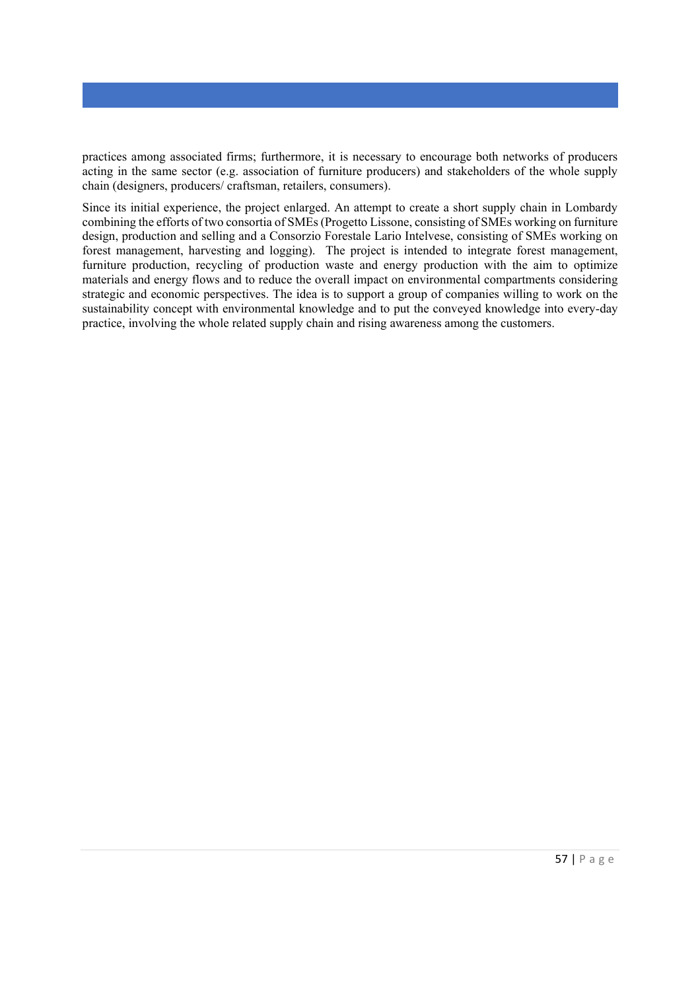practices among associated firms; furthermore, it is necessary to encourage both networks of producers acting in the same sector (e.g. association of furniture producers) and stakeholders of the whole supply chain (designers, producers/ craftsman, retailers, consumers).

Since its initial experience, the project enlarged. An attempt to create a short supply chain in Lombardy combining the efforts of two consortia of SMEs (Progetto Lissone, consisting of SMEs working on furniture design, production and selling and a Consorzio Forestale Lario Intelvese, consisting of SMEs working on forest management, harvesting and logging). The project is intended to integrate forest management, furniture production, recycling of production waste and energy production with the aim to optimize materials and energy flows and to reduce the overall impact on environmental compartments considering strategic and economic perspectives. The idea is to support a group of companies willing to work on the sustainability concept with environmental knowledge and to put the conveyed knowledge into every-day practice, involving the whole related supply chain and rising awareness among the customers.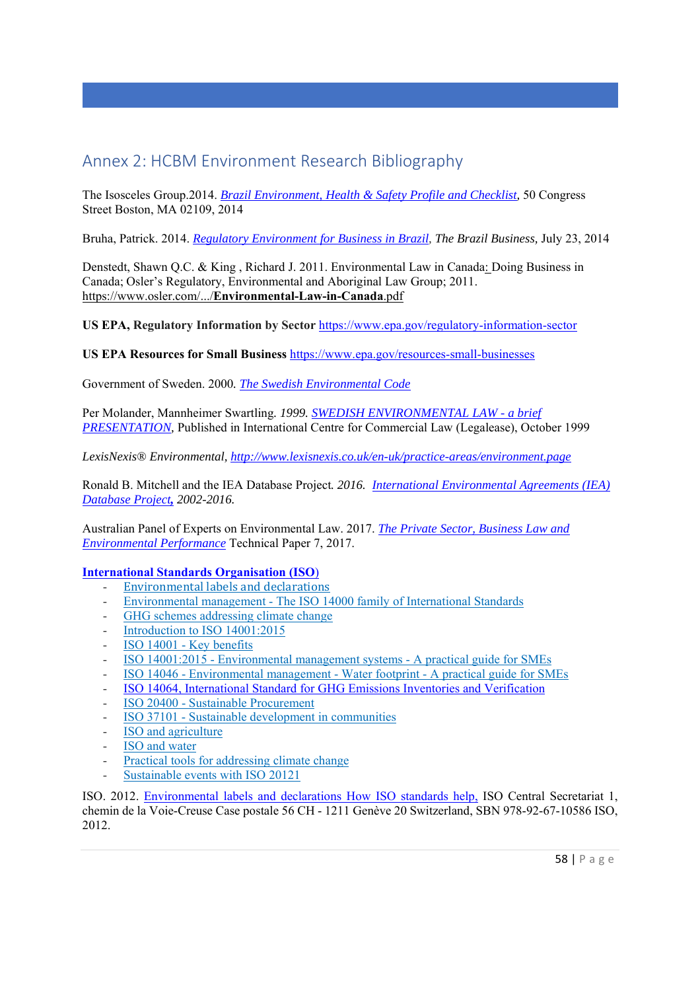# Annex 2: HCBM Environment Research Bibliography

The Isosceles Group.2014. *Brazil Environment, Health & Safety Profile and Checklist,* 50 Congress Street Boston, MA 02109, 2014

Bruha, Patrick. 2014. *Regulatory Environment for Business in Brazil, The Brazil Business,* July 23, 2014

Denstedt, Shawn Q.C. & King , Richard J. 2011. Environmental Law in Canada: Doing Business in Canada; Osler's Regulatory, Environmental and Aboriginal Law Group; 2011. https://www.osler.com/.../**Environmental-Law-in-Canada**.pdf

**US EPA, Regulatory Information by Sector** https://www.epa.gov/regulatory-information-sector

**US EPA Resources for Small Business** https://www.epa.gov/resources-small-businesses

Government of Sweden. 2000*. The Swedish Environmental Code*

Per Molander, Mannheimer Swartling*. 1999. SWEDISH ENVIRONMENTAL LAW - a brief PRESENTATION,* Published in International Centre for Commercial Law (Legalease), October 1999

*LexisNexis® Environmental, http://www.lexisnexis.co.uk/en-uk/practice-areas/environment.page*

Ronald B. Mitchell and the IEA Database Project*. 2016. International Environmental Agreements (IEA) Database Project, 2002-2016.* 

Australian Panel of Experts on Environmental Law. 2017. *The Private Sector, Business Law and Environmental Performance* Technical Paper 7, 2017.

#### **International Standards Organisation (ISO**)

- Environmental labels and declarations
- Environmental management The ISO 14000 family of International Standards
- GHG schemes addressing climate change
- Introduction to ISO 14001:2015
- ISO 14001 Key benefits
- ISO 14001:2015 Environmental management systems A practical guide for SMEs
- ISO 14046 Environmental management Water footprint A practical guide for SMEs
- ISO 14064, International Standard for GHG Emissions Inventories and Verification
- ISO 20400 Sustainable Procurement
- ISO 37101 Sustainable development in communities
- ISO and agriculture
- ISO and water
- Practical tools for addressing climate change
- Sustainable events with ISO 20121

ISO. 2012. Environmental labels and declarations How ISO standards help, ISO Central Secretariat 1, chemin de la Voie-Creuse Case postale 56 CH - 1211 Genève 20 Switzerland, SBN 978-92-67-10586 ISO, 2012.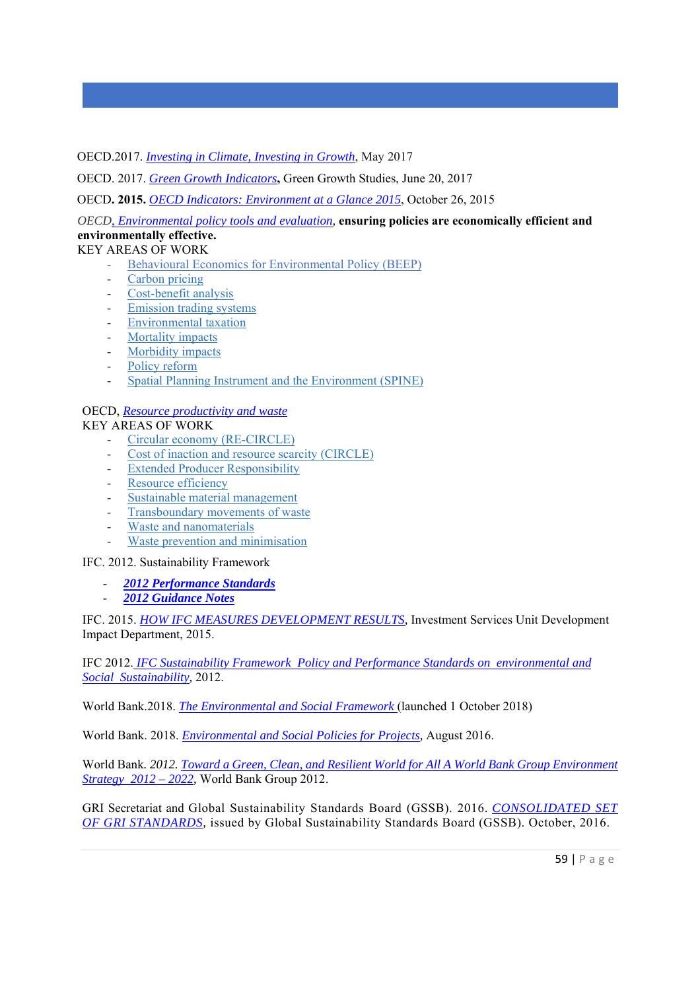OECD.2017. *Investing in Climate, Investing in Growth*, May 2017

OECD. 2017. *Green Growth Indicators***,** Green Growth Studies, June 20, 2017

OECD**. 2015.** *OECD Indicators: Environment at a Glance 2015*, October 26, 2015

*OECD*, *Environmental policy tools and evaluation,* **ensuring policies are economically efficient and environmentally effective.**

- KEY AREAS OF WORK
	- Behavioural Economics for Environmental Policy (BEEP)
	- Carbon pricing
	- Cost-benefit analysis
	- Emission trading systems
	- Environmental taxation
	- Mortality impacts
	- Morbidity impacts
	- Policy reform
	- Spatial Planning Instrument and the Environment (SPINE)

### OECD, *Resource productivity and waste*

#### KEY AREAS OF WORK

- Circular economy (RE-CIRCLE)
- Cost of inaction and resource scarcity (CIRCLE)
- **Extended Producer Responsibility**
- Resource efficiency
- Sustainable material management
- Transboundary movements of waste
- Waste and nanomaterials
- Waste prevention and minimisation

IFC. 2012. Sustainability Framework

- *2012 Performance Standards*
- *2012 Guidance Notes*

IFC. 2015. *HOW IFC MEASURES DEVELOPMENT RESULTS,* Investment Services Unit Development Impact Department, 2015.

IFC 2012. *IFC Sustainability Framework Policy and Performance Standards on environmental and Social Sustainability,* 2012.

World Bank.2018. *The Environmental and Social Framework* (launched 1 October 2018)

World Bank. 2018. *Environmental and Social Policies for Projects,* August 2016.

World Bank*. 2012. Toward a Green, Clean, and Resilient World for All A World Bank Group Environment Strategy 2012 – 2022,* World Bank Group 2012.

GRI Secretariat and Global Sustainability Standards Board (GSSB). 2016. *CONSOLIDATED SET OF GRI STANDARDS,* issued by Global Sustainability Standards Board (GSSB). October, 2016.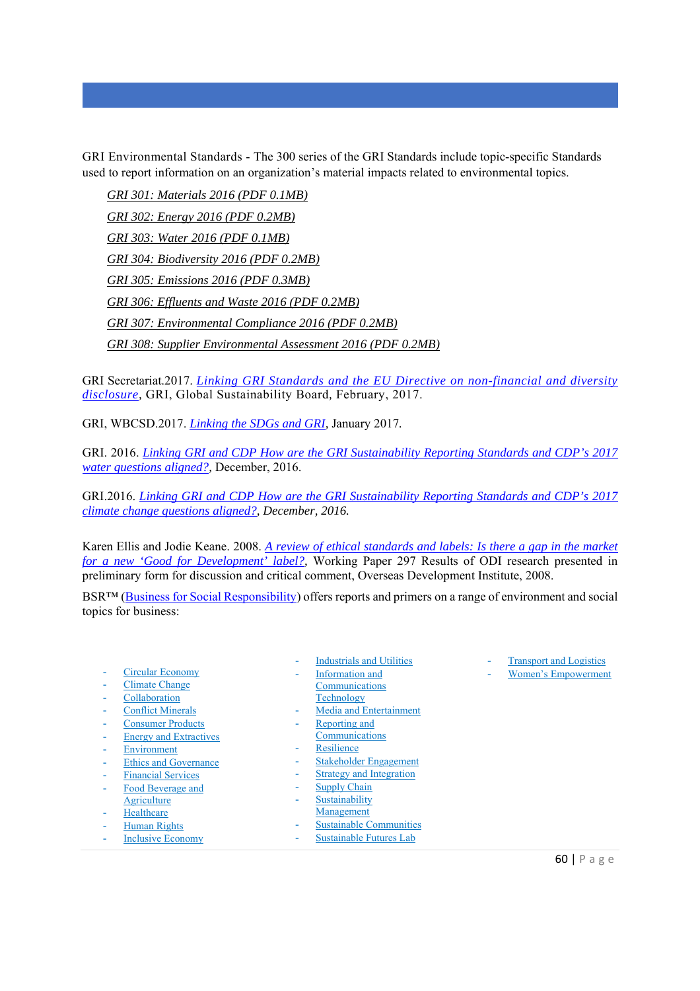GRI Environmental Standards - The 300 series of the GRI Standards include topic-specific Standards used to report information on an organization's material impacts related to environmental topics.

*GRI 301: Materials 2016 (PDF 0.1MB) GRI 302: Energy 2016 (PDF 0.2MB) GRI 303: Water 2016 (PDF 0.1MB) GRI 304: Biodiversity 2016 (PDF 0.2MB) GRI 305: Emissions 2016 (PDF 0.3MB) GRI 306: Effluents and Waste 2016 (PDF 0.2MB) GRI 307: Environmental Compliance 2016 (PDF 0.2MB) GRI 308: Supplier Environmental Assessment 2016 (PDF 0.2MB)* 

GRI Secretariat.2017. *Linking GRI Standards and the EU Directive on non-financial and diversity disclosure,* GRI, Global Sustainability Board*,* February, 2017.

GRI, WBCSD.2017. *Linking the SDGs and GRI,* January 2017*.* 

GRI. 2016. *Linking GRI and CDP How are the GRI Sustainability Reporting Standards and CDP's 2017 water questions aligned?,* December, 2016.

GRI.2016. *Linking GRI and CDP How are the GRI Sustainability Reporting Standards and CDP's 2017 climate change questions aligned?, December, 2016.* 

Karen Ellis and Jodie Keane. 2008. *A review of ethical standards and labels: Is there a gap in the market for a new 'Good for Development' label?,* Working Paper 297 Results of ODI research presented in preliminary form for discussion and critical comment, Overseas Development Institute, 2008.

BSR™ (Business for Social Responsibility) offers reports and primers on a range of environment and social topics for business:

- Circular Economy
- Climate Change
- **Collaboration**
- Conflict Minerals
- Consumer Products
- Energy and Extractives
- **Environment**
- **Ethics and Governance**
- Financial Services
- Food Beverage and
- Agriculture **Healthcare**
- Human Rights
- Inclusive Economy
- Industrials and Utilities
- Information and
- **Communications** Technology
- Media and Entertainment
- Reporting and
- Communications
- Resilience
- Stakeholder Engagement
- **Strategy and Integration**
- Supply Chain
- Sustainability
- Management
- Sustainable Communities
- Sustainable Futures Lab
- **Transport and Logistics**
- Women's Empowerment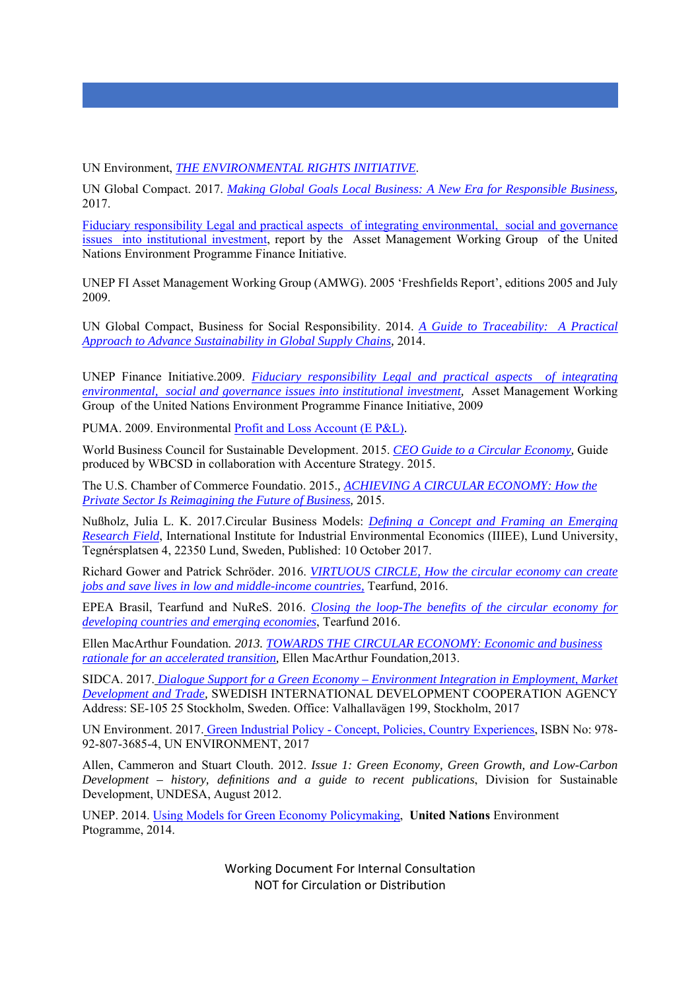UN Environment, *THE ENVIRONMENTAL RIGHTS INITIATIVE*.

UN Global Compact. 2017. *Making Global Goals Local Business: A New Era for Responsible Business,*  2017.

Fiduciary responsibility Legal and practical aspects of integrating environmental, social and governance issues into institutional investment, report by the Asset Management Working Group of the United Nations Environment Programme Finance Initiative.

UNEP FI Asset Management Working Group (AMWG). 2005 'Freshfields Report', editions 2005 and July 2009.

UN Global Compact, Business for Social Responsibility. 2014. *A Guide to Traceability: A Practical Approach to Advance Sustainability in Global Supply Chains,* 2014.

UNEP Finance Initiative.2009. *Fiduciary responsibility Legal and practical aspects of integrating environmental, social and governance issues into institutional investment,* Asset Management Working Group of the United Nations Environment Programme Finance Initiative, 2009

PUMA. 2009. Environmental Profit and Loss Account (E P&L).

World Business Council for Sustainable Development. 2015. *CEO Guide to a Circular Economy,* Guide produced by WBCSD in collaboration with Accenture Strategy. 2015.

The U.S. Chamber of Commerce Foundatio. 2015.*, ACHIEVING A CIRCULAR ECONOMY: How the Private Sector Is Reimagining the Future of Business,* 2015.

Nußholz, Julia L. K. 2017.Circular Business Models: *Defining a Concept and Framing an Emerging Research Field*, International Institute for Industrial Environmental Economics (IIIEE), Lund University, Tegnérsplatsen 4, 22350 Lund, Sweden, Published: 10 October 2017.

Richard Gower and Patrick Schröder. 2016. *VIRTUOUS CIRCLE, How the circular economy can create jobs and save lives in low and middle-income countries,* Tearfund, 2016.

EPEA Brasil, Tearfund and NuReS. 2016. *Closing the loop-The benefits of the circular economy for developing countries and emerging economies*, Tearfund 2016.

Ellen MacArthur Foundation*. 2013. TOWARDS THE CIRCULAR ECONOMY: Economic and business rationale for an accelerated transition,* Ellen MacArthur Foundation*,*2013.

SIDCA. 2017. *Dialogue Support for a Green Economy – Environment Integration in Employment, Market Development and Trade,* SWEDISH INTERNATIONAL DEVELOPMENT COOPERATION AGENCY Address: SE-105 25 Stockholm, Sweden. Office: Valhallavägen 199, Stockholm, 2017

UN Environment. 2017. Green Industrial Policy - Concept, Policies, Country Experiences, ISBN No: 978- 92-807-3685-4, UN ENVIRONMENT, 2017

Allen, Cammeron and Stuart Clouth. 2012. *Issue 1: Green Economy, Green Growth, and Low-Carbon Development – history, definitions and a guide to recent publications*, Division for Sustainable Development, UNDESA, August 2012.

UNEP. 2014. Using Models for Green Economy Policymaking, **United Nations** Environment Ptogramme, 2014.

> Working Document For Internal Consultation NOT for Circulation or Distribution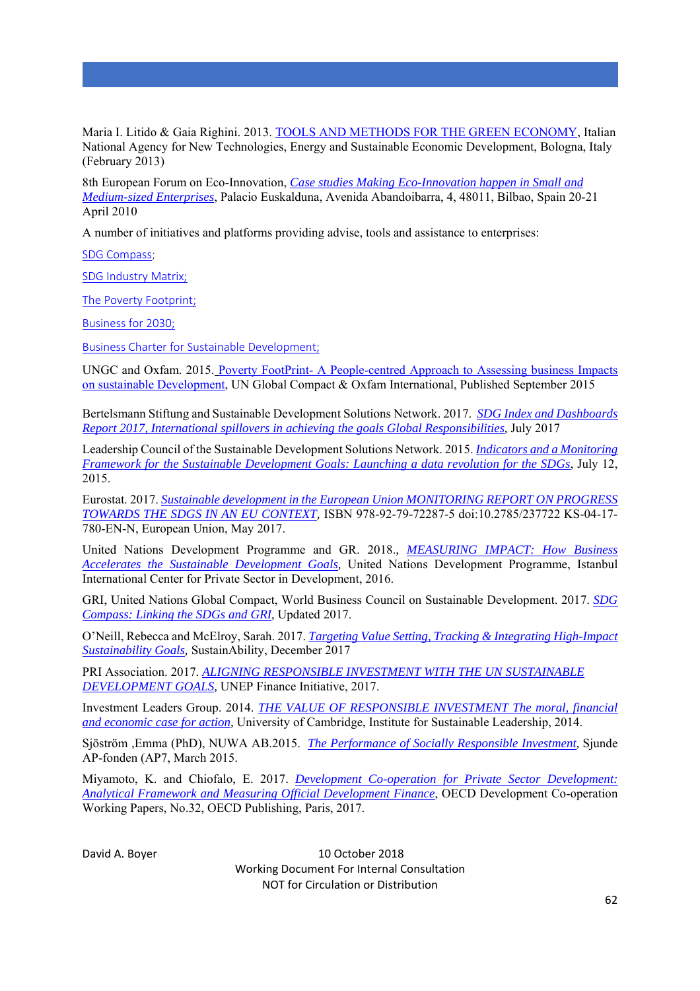Maria I. Litido & Gaia Righini. 2013. TOOLS AND METHODS FOR THE GREEN ECONOMY, Italian National Agency for New Technologies, Energy and Sustainable Economic Development, Bologna, Italy (February 2013)

8th European Forum on Eco-Innovation, *Case studies Making Eco-Innovation happen in Small and Medium-sized Enterprises*, Palacio Euskalduna, Avenida Abandoibarra, 4, 48011, Bilbao, Spain 20-21 April 2010

A number of initiatives and platforms providing advise, tools and assistance to enterprises:

SDG Compass;

SDG Industry Matrix;

The Poverty Footprint;

Business for 2030;

Business Charter for Sustainable Development;

UNGC and Oxfam. 2015. Poverty FootPrint- A People-centred Approach to Assessing business Impacts on sustainable Development, UN Global Compact & Oxfam International, Published September 2015

Bertelsmann Stiftung and Sustainable Development Solutions Network. 2017. *SDG Index and Dashboards Report 2017, International spillovers in achieving the goals Global Responsibilities,* July 2017

Leadership Council of the Sustainable Development Solutions Network. 2015. *Indicators and a Monitoring Framework for the Sustainable Development Goals: Launching a data revolution for the SDGs*, July 12, 2015.

Eurostat. 2017. *Sustainable development in the European Union MONITORING REPORT ON PROGRESS TOWARDS THE SDGS IN AN EU CONTEXT,* ISBN 978-92-79-72287-5 doi:10.2785/237722 KS-04-17- 780-EN-N, European Union, May 2017.

United Nations Development Programme and GR. 2018.*, MEASURING IMPACT: How Business Accelerates the Sustainable Development Goals,* United Nations Development Programme, Istanbul International Center for Private Sector in Development, 2016.

GRI, United Nations Global Compact, World Business Council on Sustainable Development. 2017. *SDG Compass: Linking the SDGs and GRI,* Updated 2017.

O'Neill, Rebecca and McElroy, Sarah. 2017. *Targeting Value Setting, Tracking & Integrating High-Impact Sustainability Goals,* SustainAbility, December 2017

PRI Association. 2017. *ALIGNING RESPONSIBLE INVESTMENT WITH THE UN SUSTAINABLE DEVELOPMENT GOALS,* UNEP Finance Initiative, 2017.

Investment Leaders Group. 2014. *THE VALUE OF RESPONSIBLE INVESTMENT The moral, financial and economic case for action,* University of Cambridge, Institute for Sustainable Leadership, 2014.

Sjöström ,Emma (PhD), NUWA AB.2015. *The Performance of Socially Responsible Investment,* Sjunde AP-fonden (AP7, March 2015.

Miyamoto, K. and Chiofalo, E. 2017. *Development Co-operation for Private Sector Development: Analytical Framework and Measuring Official Development Finance*, OECD Development Co-operation Working Papers, No.32, OECD Publishing, Paris, 2017.

David A. Boyer **10 October 2018**  Working Document For Internal Consultation NOT for Circulation or Distribution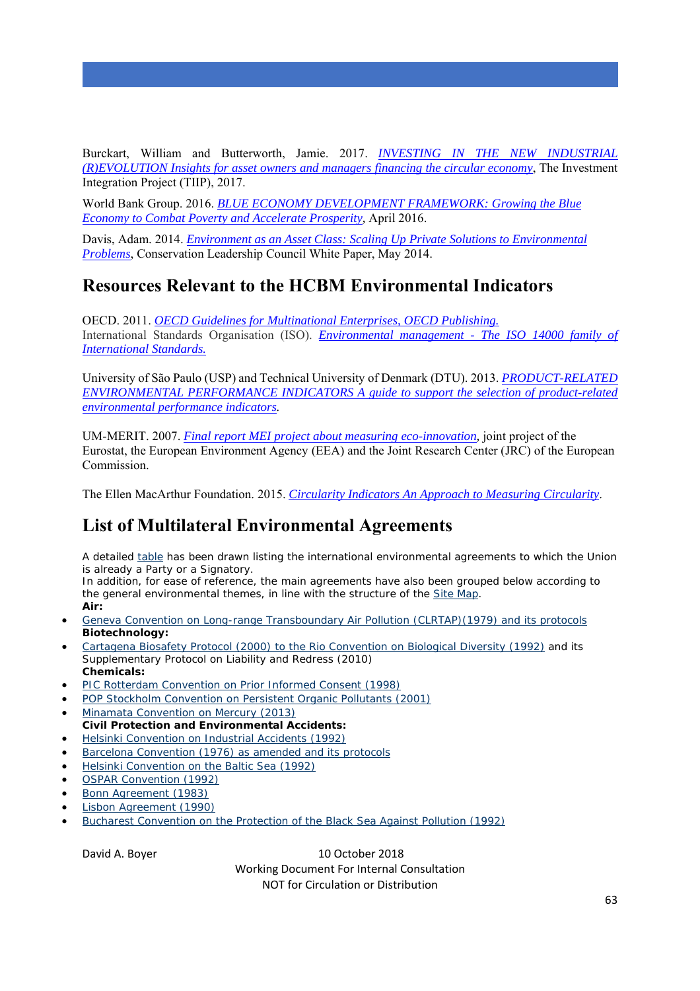Burckart, William and Butterworth, Jamie. 2017. *INVESTING IN THE NEW INDUSTRIAL (R)EVOLUTION Insights for asset owners and managers financing the circular economy*, The Investment Integration Project (TIIP), 2017.

World Bank Group. 2016. *BLUE ECONOMY DEVELOPMENT FRAMEWORK: Growing the Blue Economy to Combat Poverty and Accelerate Prosperity,* April 2016.

Davis, Adam. 2014. *Environment as an Asset Class: Scaling Up Private Solutions to Environmental Problems*, Conservation Leadership Council White Paper, May 2014.

# **Resources Relevant to the HCBM Environmental Indicators**

OECD. 2011. *OECD Guidelines for Multinational Enterprises, OECD Publishing.* International Standards Organisation (ISO). *Environmental management - The ISO 14000 family of International Standards.*

University of São Paulo (USP) and Technical University of Denmark (DTU). 2013. *PRODUCT-RELATED ENVIRONMENTAL PERFORMANCE INDICATORS A guide to support the selection of product-related environmental performance indicators.*

UM-MERIT. 2007. *Final report MEI project about measuring eco-innovation,* joint project of the Eurostat, the European Environment Agency (EEA) and the Joint Research Center (JRC) of the European Commission.

The Ellen MacArthur Foundation. 2015. *Circularity Indicators An Approach to Measuring Circularity*.

# **List of Multilateral Environmental Agreements**

A detailed table has been drawn listing the international environmental agreements to which the Union is already a Party or a Signatory.

In addition, for ease of reference, the main agreements have also been grouped below according to the general environmental themes, in line with the structure of the Site Map. **Air:**

- Geneva Convention on Long-range Transboundary Air Pollution (CLRTAP)(1979) and its protocols **Biotechnology:**
- Cartagena Biosafety Protocol (2000) to the Rio Convention on Biological Diversity (1992) and its Supplementary Protocol on Liability and Redress (2010) **Chemicals:**
- PIC Rotterdam Convention on Prior Informed Consent (1998)
- POP Stockholm Convention on Persistent Organic Pollutants (2001)
- Minamata Convention on Mercury (2013) **Civil Protection and Environmental Accidents:**
- Helsinki Convention on Industrial Accidents (1992)
- Barcelona Convention (1976) as amended and its protocols
- Helsinki Convention on the Baltic Sea (1992)
- OSPAR Convention (1992)
- Bonn Agreement (1983)
- Lisbon Agreement (1990)
- Bucharest Convention on the Protection of the Black Sea Against Pollution (1992)

David A. Boyer **10 October 2018** 

 Working Document For Internal Consultation NOT for Circulation or Distribution